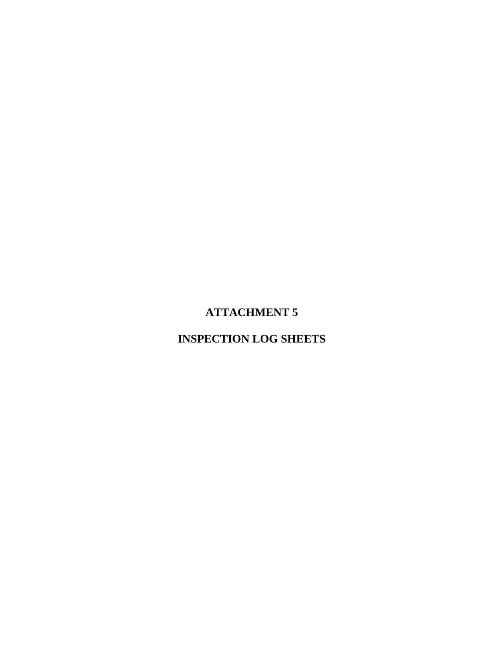# **ATTACHMENT 5**

## **INSPECTION LOG SHEETS**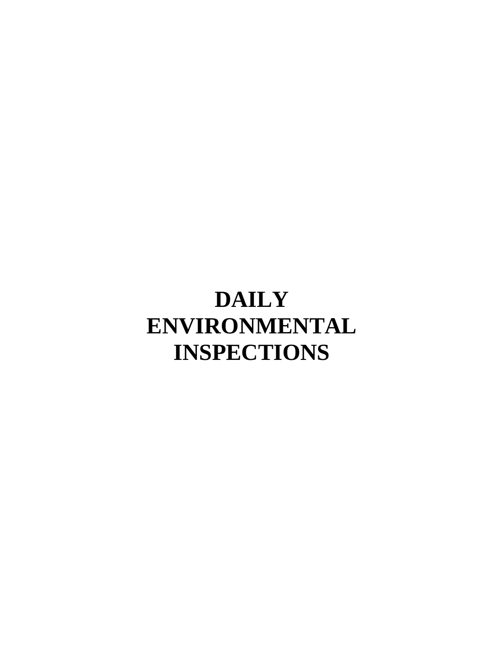# **DAILY ENVIRONMENTAL INSPECTIONS**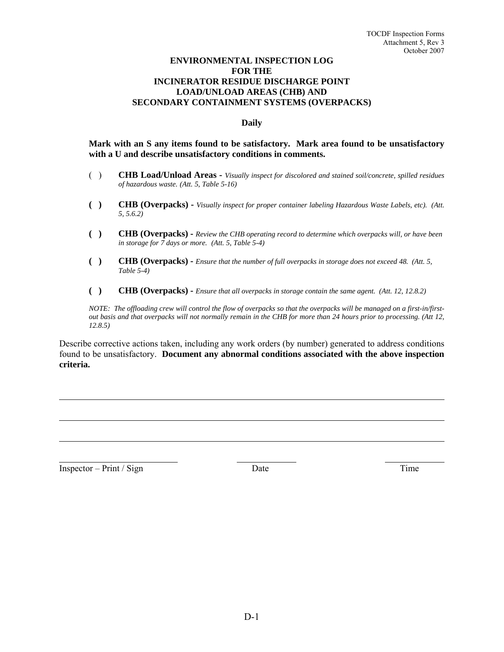#### **ENVIRONMENTAL INSPECTION LOG FOR THE INCINERATOR RESIDUE DISCHARGE POINT LOAD/UNLOAD AREAS (CHB) AND SECONDARY CONTAINMENT SYSTEMS (OVERPACKS)**

#### **Daily**

#### **Mark with an S any items found to be satisfactory. Mark area found to be unsatisfactory with a U and describe unsatisfactory conditions in comments.**

- ( ) **CHB Load/Unload Areas** *Visually inspect for discolored and stained soil/concrete, spilled residues of hazardous waste. (Att. 5, Table 5-16)*
- **( ) CHB (Overpacks)** *Visually inspect for proper container labeling Hazardous Waste Labels, etc). (Att. 5, 5.6.2)*
- **( ) CHB (Overpacks)** *Review the CHB operating record to determine which overpacks will, or have been in storage for 7 days or more. (Att. 5, Table 5-4)*
- **( ) CHB (Overpacks)** *Ensure that the number of full overpacks in storage does not exceed 48. (Att. 5, Table 5-4)*
- **( ) CHB (Overpacks)** *Ensure that all overpacks in storage contain the same agent. (Att. 12, 12.8.2)*

*NOTE: The offloading crew will control the flow of overpacks so that the overpacks will be managed on a first-in/firstout basis and that overpacks will not normally remain in the CHB for more than 24 hours prior to processing. (Att 12, 12.8.5)* 

Describe corrective actions taken, including any work orders (by number) generated to address conditions found to be unsatisfactory. **Document any abnormal conditions associated with the above inspection criteria.**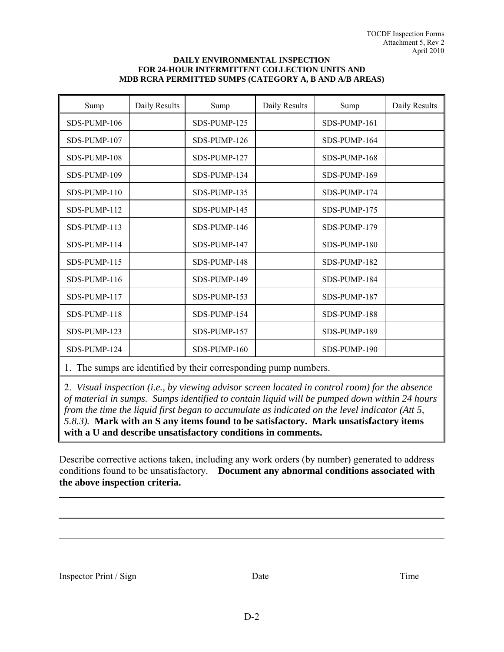#### **DAILY ENVIRONMENTAL INSPECTION FOR 24-HOUR INTERMITTENT COLLECTION UNITS AND MDB RCRA PERMITTED SUMPS (CATEGORY A, B AND A/B AREAS)**

| Sump            | Daily Results                                                                                                                                                                                                                                                                                                                      | Sump         | Daily Results  | Sump         | Daily Results |
|-----------------|------------------------------------------------------------------------------------------------------------------------------------------------------------------------------------------------------------------------------------------------------------------------------------------------------------------------------------|--------------|----------------|--------------|---------------|
| SDS-PUMP-106    |                                                                                                                                                                                                                                                                                                                                    | SDS-PUMP-125 |                | SDS-PUMP-161 |               |
| SDS-PUMP-107    |                                                                                                                                                                                                                                                                                                                                    | SDS-PUMP-126 |                | SDS-PUMP-164 |               |
| SDS-PUMP-108    |                                                                                                                                                                                                                                                                                                                                    | SDS-PUMP-127 |                | SDS-PUMP-168 |               |
| SDS-PUMP-109    |                                                                                                                                                                                                                                                                                                                                    | SDS-PUMP-134 |                | SDS-PUMP-169 |               |
| SDS-PUMP-110    |                                                                                                                                                                                                                                                                                                                                    | SDS-PUMP-135 |                | SDS-PUMP-174 |               |
| SDS-PUMP-112    |                                                                                                                                                                                                                                                                                                                                    | SDS-PUMP-145 |                | SDS-PUMP-175 |               |
| SDS-PUMP-113    |                                                                                                                                                                                                                                                                                                                                    | SDS-PUMP-146 |                | SDS-PUMP-179 |               |
| SDS-PUMP-114    |                                                                                                                                                                                                                                                                                                                                    | SDS-PUMP-147 |                | SDS-PUMP-180 |               |
| SDS-PUMP-115    |                                                                                                                                                                                                                                                                                                                                    | SDS-PUMP-148 |                | SDS-PUMP-182 |               |
| SDS-PUMP-116    |                                                                                                                                                                                                                                                                                                                                    | SDS-PUMP-149 |                | SDS-PUMP-184 |               |
| SDS-PUMP-117    |                                                                                                                                                                                                                                                                                                                                    | SDS-PUMP-153 |                | SDS-PUMP-187 |               |
| SDS-PUMP-118    |                                                                                                                                                                                                                                                                                                                                    | SDS-PUMP-154 |                | SDS-PUMP-188 |               |
| SDS-PUMP-123    |                                                                                                                                                                                                                                                                                                                                    | SDS-PUMP-157 |                | SDS-PUMP-189 |               |
| SDS-PUMP-124    |                                                                                                                                                                                                                                                                                                                                    | SDS-PUMP-160 |                | SDS-PUMP-190 |               |
| $\sim$ $\sim$ 1 | $\mathbf{1}$ $\mathbf{1}$ $\mathbf{1}$ $\mathbf{1}$ $\mathbf{1}$ $\mathbf{1}$ $\mathbf{1}$ $\mathbf{1}$ $\mathbf{1}$ $\mathbf{1}$ $\mathbf{1}$ $\mathbf{1}$ $\mathbf{1}$ $\mathbf{1}$ $\mathbf{1}$ $\mathbf{1}$ $\mathbf{1}$ $\mathbf{1}$ $\mathbf{1}$ $\mathbf{1}$ $\mathbf{1}$ $\mathbf{1}$ $\mathbf{1}$ $\mathbf{1}$ $\mathbf{$ |              | $\blacksquare$ |              |               |

1. The sumps are identified by their corresponding pump numbers.

2. *Visual inspection (i.e., by viewing advisor screen located in control room) for the absence of material in sumps. Sumps identified to contain liquid will be pumped down within 24 hours from the time the liquid first began to accumulate as indicated on the level indicator (Att 5, 5.8.3).* **Mark with an S any items found to be satisfactory. Mark unsatisfactory items with a U and describe unsatisfactory conditions in comments.**

Describe corrective actions taken, including any work orders (by number) generated to address conditions found to be unsatisfactory. **Document any abnormal conditions associated with the above inspection criteria.**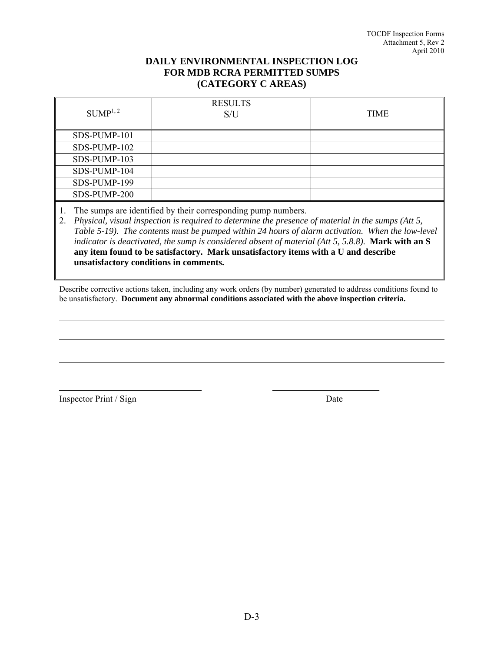#### **DAILY ENVIRONMENTAL INSPECTION LOG FOR MDB RCRA PERMITTED SUMPS (CATEGORY C AREAS)**

| $\mathrm{SUMP}^{1,\,2}$ | <b>RESULTS</b><br>S/U | <b>TIME</b> |
|-------------------------|-----------------------|-------------|
| SDS-PUMP-101            |                       |             |
| SDS-PUMP-102            |                       |             |
| SDS-PUMP-103            |                       |             |
| SDS-PUMP-104            |                       |             |
| SDS-PUMP-199            |                       |             |
| SDS-PUMP-200            |                       |             |

1. The sumps are identified by their corresponding pump numbers.

2. *Physical, visual inspection is required to determine the presence of material in the sumps (Att 5, Table 5-19). The contents must be pumped within 24 hours of alarm activation. When the low-level indicator is deactivated, the sump is considered absent of material (Att 5, 5.8.8).* **Mark with an S any item found to be satisfactory. Mark unsatisfactory items with a U and describe unsatisfactory conditions in comments.**

Describe corrective actions taken, including any work orders (by number) generated to address conditions found to be unsatisfactory. **Document any abnormal conditions associated with the above inspection criteria.**

Inspector Print / Sign Date

l

l

 $\overline{a}$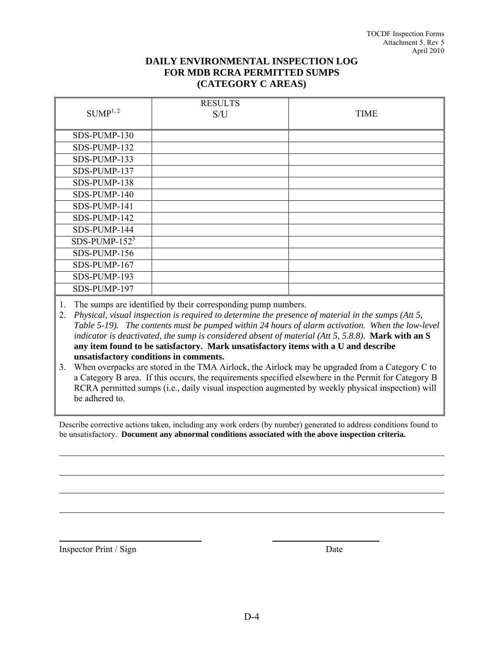### **DAILY ENVIRONMENTAL INSPECTION LOG FOR MDB RCRA PERMITTED SUMPS (CATEGORY C AREAS)**

| SUMP <sup>1, 2</sup> | <b>RESULTS</b><br>S/U | <b>TIME</b> |
|----------------------|-----------------------|-------------|
| SDS-PUMP-130         |                       |             |
| SDS-PUMP-132         |                       |             |
| SDS-PUMP-133         |                       |             |
| SDS-PUMP-137         |                       |             |
| SDS-PUMP-138         |                       |             |
| SDS-PUMP-140         |                       |             |
| SDS-PUMP-141         |                       |             |
| SDS-PUMP-142         |                       |             |
| SDS-PUMP-144         |                       |             |
| SDS-PUMP- $152^3$    |                       |             |
| SDS-PUMP-156         |                       |             |
| SDS-PUMP-167         |                       |             |
| SDS-PUMP-193         |                       |             |
| SDS-PUMP-197         |                       |             |

1. The sumps are identified by their corresponding pump numbers.

2. *Physical, visual inspection is required to determine the presence of material in the sumps (Att 5, Table 5-19). The contents must be pumped within 24 hours of alarm activation. When the low-level indicator is deactivated, the sump is considered absent of material (Att 5, 5.8.8).* **Mark with an S any item found to be satisfactory. Mark unsatisfactory items with a U and describe unsatisfactory conditions in comments.** 

3. When overpacks are stored in the TMA Airlock, the Airlock may be upgraded from a Category C to a Category B area. If this occurs, the requirements specified elsewhere in the Permit for Category B RCRA permitted sumps (i.e., daily visual inspection augmented by weekly physical inspection) will be adhered to.

Describe corrective actions taken, including any work orders (by number) generated to address conditions found to be unsatisfactory. **Document any abnormal conditions associated with the above inspection criteria.**

Inspector Print / Sign Date

l

l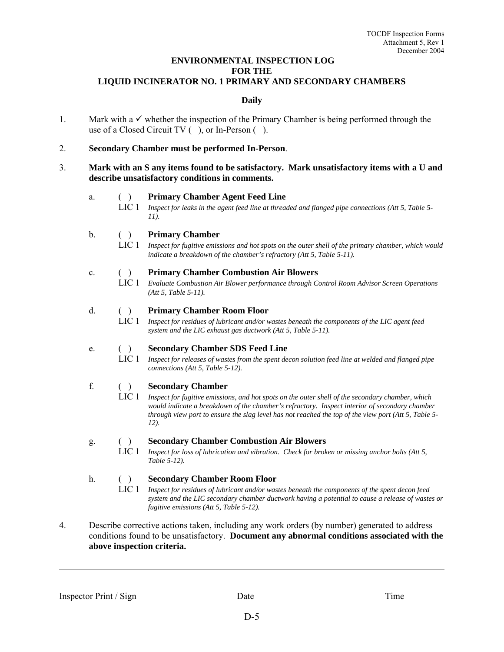#### **ENVIRONMENTAL INSPECTION LOG FOR THE LIQUID INCINERATOR NO. 1 PRIMARY AND SECONDARY CHAMBERS**

#### **Daily**

1. Mark with a  $\checkmark$  whether the inspection of the Primary Chamber is being performed through the use of a Closed Circuit TV ( ), or In-Person ( ).

2. **Secondary Chamber must be performed In-Person**.

3. **Mark with an S any items found to be satisfactory. Mark unsatisfactory items with a U and describe unsatisfactory conditions in comments.**

#### a. ( ) **Primary Chamber Agent Feed Line**

- LIC 1 *Inspect for leaks in the agent feed line at threaded and flanged pipe connections (Att 5, Table 5- 11).*
- b. ( ) **Primary Chamber**
	- LIC 1 *Inspect for fugitive emissions and hot spots on the outer shell of the primary chamber, which would indicate a breakdown of the chamber's refractory (Att 5, Table 5-11).*

#### c. ( ) **Primary Chamber Combustion Air Blowers**

LIC 1 *Evaluate Combustion Air Blower performance through Control Room Advisor Screen Operations (Att 5, Table 5-11).*

#### d. ( ) **Primary Chamber Room Floor**

LIC 1 *Inspect for residues of lubricant and/or wastes beneath the components of the LIC agent feed system and the LIC exhaust gas ductwork (Att 5, Table 5-11).*

#### e. ( ) **Secondary Chamber SDS Feed Line**

LIC 1 *Inspect for releases of wastes from the spent decon solution feed line at welded and flanged pipe connections (Att 5, Table 5-12).*

#### f. ( ) **Secondary Chamber**

LIC 1 *Inspect for fugitive emissions, and hot spots on the outer shell of the secondary chamber, which would indicate a breakdown of the chamber's refractory. Inspect interior of secondary chamber through view port to ensure the slag level has not reached the top of the view port (Att 5, Table 5- 12).*

#### g. ( ) **Secondary Chamber Combustion Air Blowers**

LIC 1 *Inspect for loss of lubrication and vibration. Check for broken or missing anchor bolts (Att 5, Table 5-12).*

#### h. ( ) **Secondary Chamber Room Floor**

- LIC 1 *Inspect for residues of lubricant and/or wastes beneath the components of the spent decon feed system and the LIC secondary chamber ductwork having a potential to cause a release of wastes or fugitive emissions (Att 5, Table 5-12).*
- 4. Describe corrective actions taken, including any work orders (by number) generated to address conditions found to be unsatisfactory. **Document any abnormal conditions associated with the above inspection criteria.**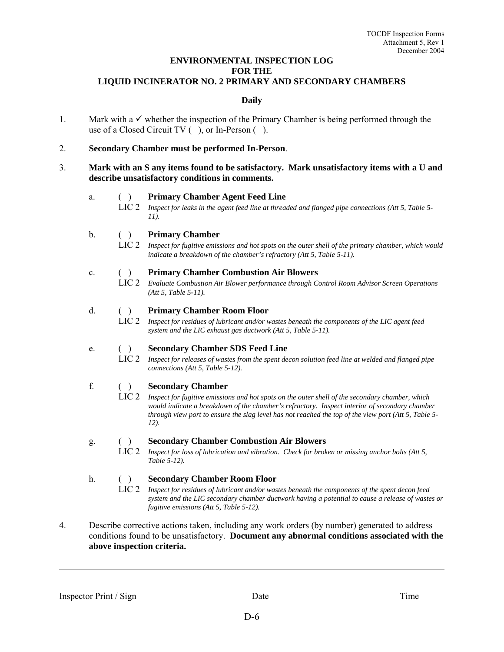#### **ENVIRONMENTAL INSPECTION LOG FOR THE LIQUID INCINERATOR NO. 2 PRIMARY AND SECONDARY CHAMBERS**

#### **Daily**

1. Mark with a  $\checkmark$  whether the inspection of the Primary Chamber is being performed through the use of a Closed Circuit TV ( ), or In-Person ( ).

2. **Secondary Chamber must be performed In-Person**.

3. **Mark with an S any items found to be satisfactory. Mark unsatisfactory items with a U and describe unsatisfactory conditions in comments.**

#### a. ( ) **Primary Chamber Agent Feed Line**

- LIC 2 *Inspect for leaks in the agent feed line at threaded and flanged pipe connections (Att 5, Table 5- 11).*
- b. ( ) **Primary Chamber**
	- LIC 2 *Inspect for fugitive emissions and hot spots on the outer shell of the primary chamber, which would indicate a breakdown of the chamber's refractory (Att 5, Table 5-11).*

#### c. ( ) **Primary Chamber Combustion Air Blowers**

LIC 2 *Evaluate Combustion Air Blower performance through Control Room Advisor Screen Operations (Att 5, Table 5-11).*

#### d. ( ) **Primary Chamber Room Floor**

LIC 2 *Inspect for residues of lubricant and/or wastes beneath the components of the LIC agent feed system and the LIC exhaust gas ductwork (Att 5, Table 5-11).*

#### e. ( ) **Secondary Chamber SDS Feed Line**

LIC 2 *Inspect for releases of wastes from the spent decon solution feed line at welded and flanged pipe connections (Att 5, Table 5-12).*

#### f. ( ) **Secondary Chamber**

LIC 2 *Inspect for fugitive emissions and hot spots on the outer shell of the secondary chamber, which would indicate a breakdown of the chamber's refractory. Inspect interior of secondary chamber through view port to ensure the slag level has not reached the top of the view port (Att 5, Table 5- 12).*

#### g. ( ) **Secondary Chamber Combustion Air Blowers**

LIC 2 *Inspect for loss of lubrication and vibration. Check for broken or missing anchor bolts (Att 5, Table 5-12).*

#### h. ( ) **Secondary Chamber Room Floor**

- LIC 2 *Inspect for residues of lubricant and/or wastes beneath the components of the spent decon feed system and the LIC secondary chamber ductwork having a potential to cause a release of wastes or fugitive emissions (Att 5, Table 5-12).*
- 4. Describe corrective actions taken, including any work orders (by number) generated to address conditions found to be unsatisfactory. **Document any abnormal conditions associated with the above inspection criteria.**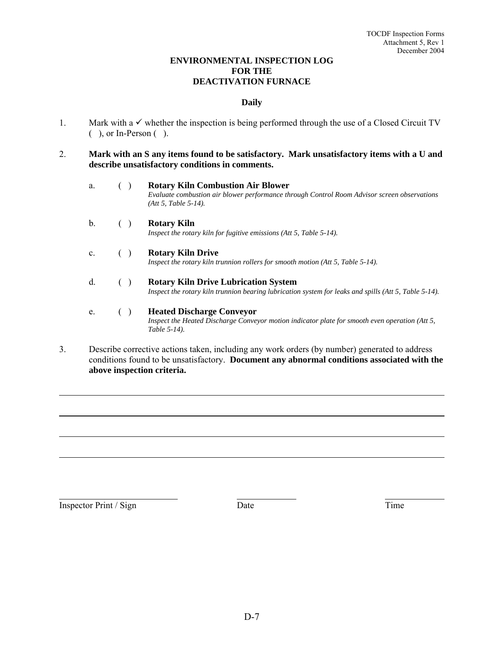#### **ENVIRONMENTAL INSPECTION LOG FOR THE DEACTIVATION FURNACE**

#### **Daily**

- 1. Mark with a  $\checkmark$  whether the inspection is being performed through the use of a Closed Circuit TV ( ), or In-Person ( ).
- 2. **Mark with an S any items found to be satisfactory. Mark unsatisfactory items with a U and describe unsatisfactory conditions in comments.**
	- a. ( ) **Rotary Kiln Combustion Air Blower** *Evaluate combustion air blower performance through Control Room Advisor screen observations (Att 5, Table 5-14).*
	- b. ( ) **Rotary Kiln** *Inspect the rotary kiln for fugitive emissions (Att 5, Table 5-14).*
	- c. ( ) **Rotary Kiln Drive** *Inspect the rotary kiln trunnion rollers for smooth motion (Att 5, Table 5-14).*
	- d. ( ) **Rotary Kiln Drive Lubrication System** *Inspect the rotary kiln trunnion bearing lubrication system for leaks and spills (Att 5, Table 5-14).*
	- e. ( ) **Heated Discharge Conveyor** *Inspect the Heated Discharge Conveyor motion indicator plate for smooth even operation (Att 5, Table 5-14).*
- 3. Describe corrective actions taken, including any work orders (by number) generated to address conditions found to be unsatisfactory. **Document any abnormal conditions associated with the above inspection criteria.**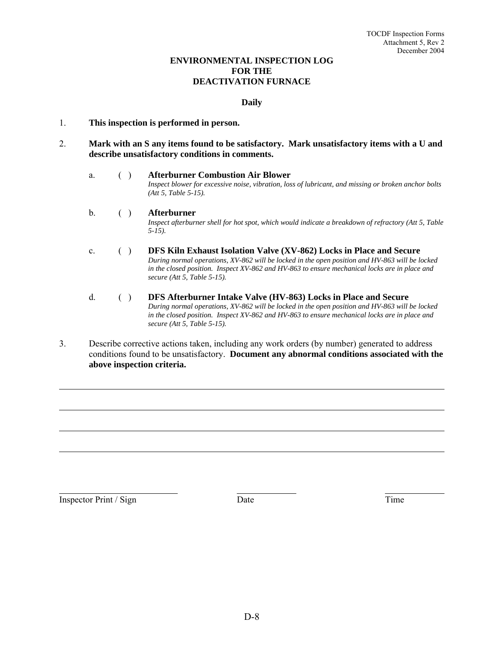#### **ENVIRONMENTAL INSPECTION LOG FOR THE DEACTIVATION FURNACE**

#### **Daily**

#### 1. **This inspection is performed in person.**

2. **Mark with an S any items found to be satisfactory. Mark unsatisfactory items with a U and describe unsatisfactory conditions in comments.**

a. ( ) **Afterburner Combustion Air Blower** *Inspect blower for excessive noise, vibration, loss of lubricant, and missing or broken anchor bolts (Att 5, Table 5-15).* 

#### b. ( ) **Afterburner** *Inspect afterburner shell for hot spot, which would indicate a breakdown of refractory (Att 5, Table 5-15).*

### c. ( ) **DFS Kiln Exhaust Isolation Valve (XV-862) Locks in Place and Secure** *During normal operations, XV-862 will be locked in the open position and HV-863 will be locked in the closed position. Inspect XV-862 and HV-863 to ensure mechanical locks are in place and secure (Att 5, Table 5-15).*

#### d. ( ) **DFS Afterburner Intake Valve (HV-863) Locks in Place and Secure** *During normal operations, XV-862 will be locked in the open position and HV-863 will be locked in the closed position. Inspect XV-862 and HV-863 to ensure mechanical locks are in place and secure (Att 5, Table 5-15).*

3. Describe corrective actions taken, including any work orders (by number) generated to address conditions found to be unsatisfactory. **Document any abnormal conditions associated with the above inspection criteria.**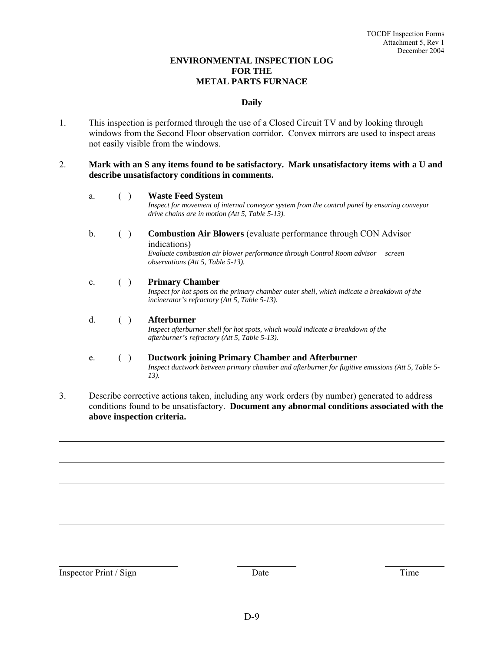#### **ENVIRONMENTAL INSPECTION LOG FOR THE METAL PARTS FURNACE**

#### **Daily**

1. This inspection is performed through the use of a Closed Circuit TV and by looking through windows from the Second Floor observation corridor. Convex mirrors are used to inspect areas not easily visible from the windows.

#### 2. **Mark with an S any items found to be satisfactory. Mark unsatisfactory items with a U and describe unsatisfactory conditions in comments.**

#### a. ( ) **Waste Feed System**

*Inspect for movement of internal conveyor system from the control panel by ensuring conveyor drive chains are in motion (Att 5, Table 5-13).* 

b. ( ) **Combustion Air Blowers** (evaluate performance through CON Advisor indications)

*Evaluate combustion air blower performance through Control Room advisor screen observations (Att 5, Table 5-13).* 

#### c. ( ) **Primary Chamber**

*Inspect for hot spots on the primary chamber outer shell, which indicate a breakdown of the incinerator's refractory (Att 5, Table 5-13).* 

d. ( ) **Afterburner** *Inspect afterburner shell for hot spots, which would indicate a breakdown of the afterburner's refractory (Att 5, Table 5-13).* 

# e. ( ) **Ductwork joining Primary Chamber and Afterburner** *Inspect ductwork between primary chamber and afterburner for fugitive emissions (Att 5, Table 5-*

 *13).* 

3. Describe corrective actions taken, including any work orders (by number) generated to address conditions found to be unsatisfactory. **Document any abnormal conditions associated with the above inspection criteria.**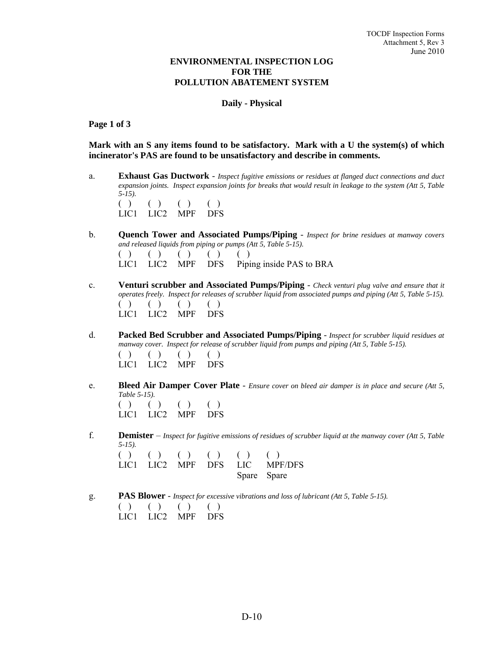#### **ENVIRONMENTAL INSPECTION LOG FOR THE POLLUTION ABATEMENT SYSTEM**

#### **Daily - Physical**

#### **Page 1 of 3**

**Mark with an S any items found to be satisfactory. Mark with a U the system(s) of which incinerator's PAS are found to be unsatisfactory and describe in comments.**

a. **Exhaust Gas Ductwork** - *Inspect fugitive emissions or residues at flanged duct connections and duct expansion joints. Inspect expansion joints for breaks that would result in leakage to the system (Att 5, Table 5-15).*  $( )$   $( )$   $( )$   $( )$   $( )$ <br>LIC1 LIC2 MPF DES

LIC1 LIC2 MPF

b. **Quench Tower and Associated Pumps/Piping** - *Inspect for brine residues at manway covers and released liquids from piping or pumps (Att 5, Table 5-15).*

|  | ( ) ( ) ( ) ( ) ( ) ( ) ( ) |  |                                            |
|--|-----------------------------|--|--------------------------------------------|
|  |                             |  | LIC1 LIC2 MPF DFS Piping inside PAS to BRA |

- c. **Venturi scrubber and Associated Pumps/Piping** *Check venturi plug valve and ensure that it operates freely. Inspect for releases of scrubber liquid from associated pumps and piping (Att 5, Table 5-15).*   $( ) ( ) ( ) ( ) ( ) ( )$ LIC1 LIC2 MPF DFS
- d. **Packed Bed Scrubber and Associated Pumps/Piping** *Inspect for scrubber liquid residues at manway cover. Inspect for release of scrubber liquid from pumps and piping (Att 5, Table 5-15).*  $( ) ( ) ( ) ( ) ( )$ LIC1 LIC2 MPF DFS
- e. **Bleed Air Damper Cover Plate** *Ensure cover on bleed air damper is in place and secure (Att 5, Table 5-15).*  $( ) ( ) ( ) ( ) ( ) ( )$  LIC1 LIC2 MPF DFS
	- f. **Demister** *Inspect for fugitive emissions of residues of scrubber liquid at the manway cover (Att 5, Table 5-15).*   $( ) ( ) ( ) ( ) ( ) ( ) ( ) ( ) ( ) ( )$ LIC1 LIC2 MPF DFS LIC MPF/DFS Spare Spare
	- g. **PAS Blower** *Inspect for excessive vibrations and loss of lubricant (Att 5, Table 5-15).*  $( ) ( ) ( ) ( ) ( )$ LIC1 LIC2 MPF DFS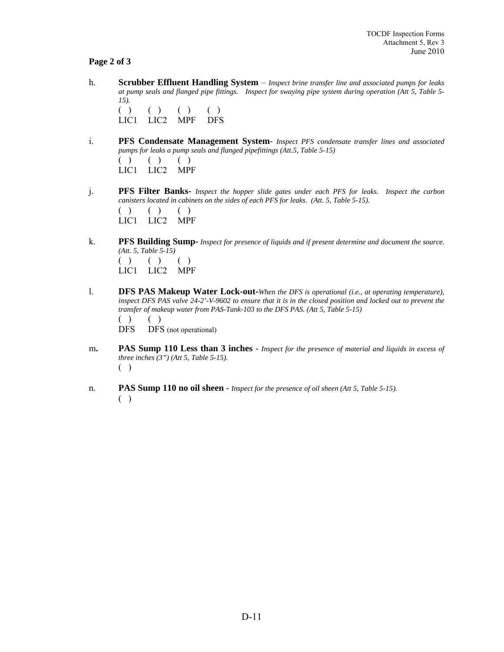#### **Page 2 of 3**

h. **Scrubber Effluent Handling System** – *Inspect brine transfer line and associated pumps for leaks at pump seals and flanged pipe fittings. Inspect for swaying pipe system during operation (Att 5, Table 5- 15).*

 $( ) ( ) ( ) ( ) ( )$ LIC1 LIC2 MPF DFS

i. **PFS Condensate Management System**- *Inspect PFS condensate transfer lines and associated pumps for leaks a pump seals and flanged pipefittings (Att.5, Table 5-15)* 

 $( ) ( ) ( ) ( )$ LIC1 LIC2 MPF

- j. **PFS Filter Banks-** *Inspect the hopper slide gates under each PFS for leaks. Inspect the carbon canisters located in cabinets on the sides of each PFS for leaks. (Att. 5, Table 5-15).*   $( ) ( ) ( ) ( )$ LIC1 LIC2 MPF
- k. **PFS Building Sump-** *Inspect for presence of liquids and if present determine and document the source. (Att. 5, Table 5-15)*   $( ) ( ) ( ) ( )$

LIC1 LIC2 MPF

l. **DFS PAS Makeup Water Lock-out-***When the DFS is operational (i.e., at operating temperature), inspect DFS PAS valve 24-2'-V-9602 to ensure that it is in the closed position and locked out to prevent the transfer of makeup water from PAS-Tank-103 to the DFS PAS. (Att 5, Table 5-15)*   $( ) ( )$ 

DFS DFS (not operational)

- m**. PAS Sump 110 Less than 3 inches** *Inspect for the presence of material and liquids in excess of three inches (3") (Att 5, Table 5-15).*  ( )
- n. **PAS Sump 110 no oil sheen** *Inspect for the presence of oil sheen (Att 5, Table 5-15).* ( )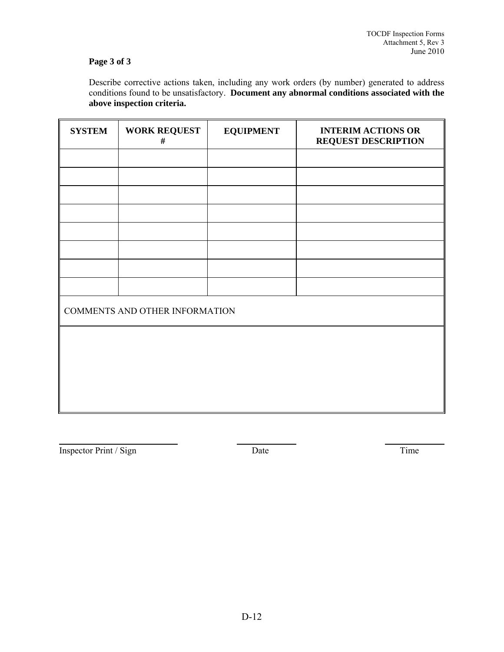### **Page 3 of 3**

 Describe corrective actions taken, including any work orders (by number) generated to address conditions found to be unsatisfactory. **Document any abnormal conditions associated with the above inspection criteria.**

| <b>SYSTEM</b> | <b>WORK REQUEST</b><br>$\#$    | <b>EQUIPMENT</b> | <b>INTERIM ACTIONS OR</b><br><b>REQUEST DESCRIPTION</b> |  |  |
|---------------|--------------------------------|------------------|---------------------------------------------------------|--|--|
|               |                                |                  |                                                         |  |  |
|               |                                |                  |                                                         |  |  |
|               |                                |                  |                                                         |  |  |
|               |                                |                  |                                                         |  |  |
|               |                                |                  |                                                         |  |  |
|               |                                |                  |                                                         |  |  |
|               |                                |                  |                                                         |  |  |
|               |                                |                  |                                                         |  |  |
|               | COMMENTS AND OTHER INFORMATION |                  |                                                         |  |  |
|               |                                |                  |                                                         |  |  |
|               |                                |                  |                                                         |  |  |
|               |                                |                  |                                                         |  |  |
|               |                                |                  |                                                         |  |  |
|               |                                |                  |                                                         |  |  |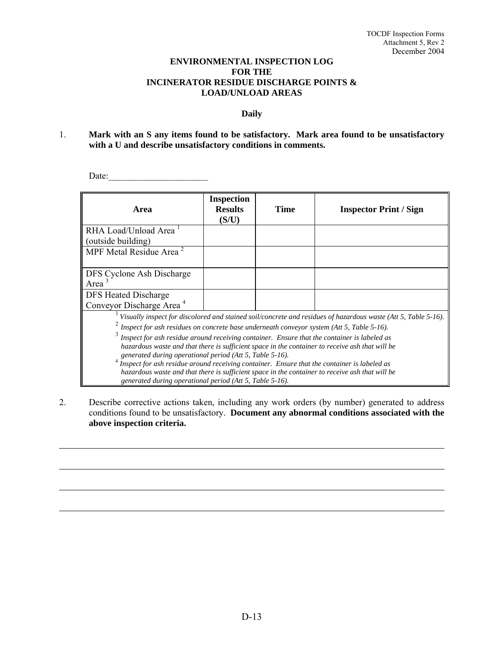#### **ENVIRONMENTAL INSPECTION LOG FOR THE INCINERATOR RESIDUE DISCHARGE POINTS & LOAD/UNLOAD AREAS**

#### **Daily**

1. **Mark with an S any items found to be satisfactory. Mark area found to be unsatisfactory with a U and describe unsatisfactory conditions in comments.** 

Date:\_\_\_\_\_\_\_\_\_\_\_\_\_\_\_\_\_\_\_\_\_\_

| Area                                                                                                                                                                                                                                                                                                                                                                                                                                                                                                                                                                                                                                                                                                                                    | <b>Inspection</b><br><b>Results</b><br>(S/U) | Time | <b>Inspector Print / Sign</b> |
|-----------------------------------------------------------------------------------------------------------------------------------------------------------------------------------------------------------------------------------------------------------------------------------------------------------------------------------------------------------------------------------------------------------------------------------------------------------------------------------------------------------------------------------------------------------------------------------------------------------------------------------------------------------------------------------------------------------------------------------------|----------------------------------------------|------|-------------------------------|
| RHA Load/Unload Area<br>(outside building)                                                                                                                                                                                                                                                                                                                                                                                                                                                                                                                                                                                                                                                                                              |                                              |      |                               |
| MPF Metal Residue Area $\frac{2}{3}$                                                                                                                                                                                                                                                                                                                                                                                                                                                                                                                                                                                                                                                                                                    |                                              |      |                               |
| DFS Cyclone Ash Discharge<br>Area <sup>3</sup>                                                                                                                                                                                                                                                                                                                                                                                                                                                                                                                                                                                                                                                                                          |                                              |      |                               |
| <b>DFS</b> Heated Discharge<br>Conveyor Discharge Area <sup>4</sup>                                                                                                                                                                                                                                                                                                                                                                                                                                                                                                                                                                                                                                                                     |                                              |      |                               |
| Visually inspect for discolored and stained soil/concrete and residues of hazardous waste (Att 5, Table 5-16).<br>Inspect for ash residues on concrete base underneath conveyor system (Att 5, Table 5-16).<br>Inspect for ash residue around receiving container. Ensure that the container is labeled as<br>hazardous waste and that there is sufficient space in the container to receive ash that will be<br>generated during operational period (Att 5, Table 5-16).<br>Inspect for ash residue around receiving container. Ensure that the container is labeled as<br>hazardous waste and that there is sufficient space in the container to receive ash that will be<br>generated during operational period (Att 5, Table 5-16). |                                              |      |                               |

2. Describe corrective actions taken, including any work orders (by number) generated to address conditions found to be unsatisfactory. **Document any abnormal conditions associated with the above inspection criteria.**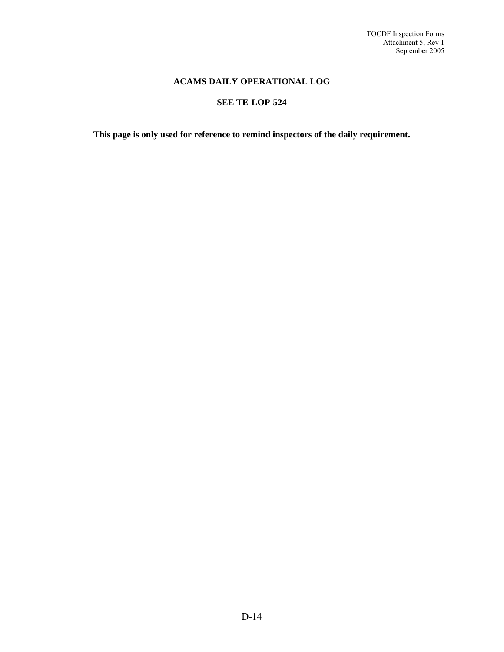#### **ACAMS DAILY OPERATIONAL LOG**

#### **SEE TE-LOP-524**

**This page is only used for reference to remind inspectors of the daily requirement.**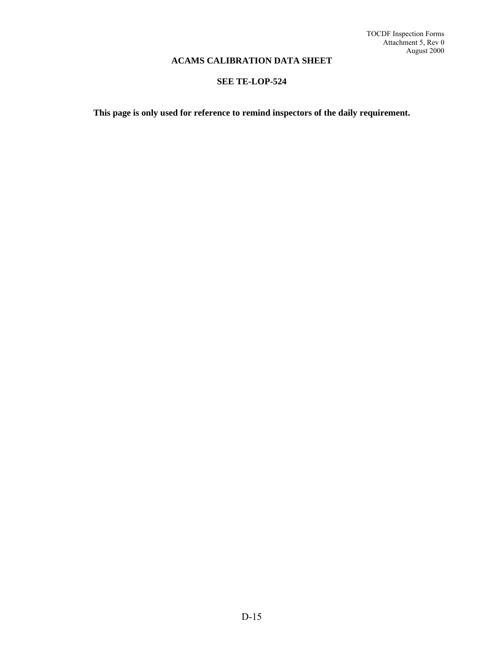#### **ACAMS CALIBRATION DATA SHEET**

#### **SEE TE-LOP-524**

**This page is only used for reference to remind inspectors of the daily requirement.**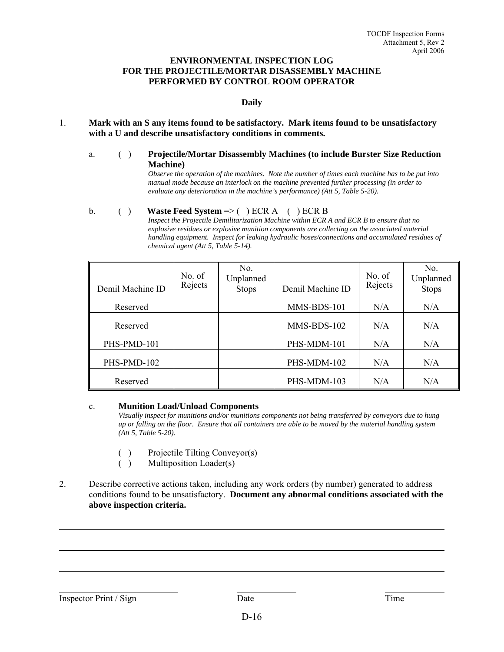#### **ENVIRONMENTAL INSPECTION LOG FOR THE PROJECTILE/MORTAR DISASSEMBLY MACHINE PERFORMED BY CONTROL ROOM OPERATOR**

#### **Daily**

- 1. **Mark with an S any items found to be satisfactory. Mark items found to be unsatisfactory with a U and describe unsatisfactory conditions in comments.**
	- a. ( ) **Projectile/Mortar Disassembly Machines (to include Burster Size Reduction Machine)**

*Observe the operation of the machines. Note the number of times each machine has to be put into manual mode because an interlock on the machine prevented further processing (in order to evaluate any deterioration in the machine's performance) (Att 5, Table 5-20).*

#### b. ( ) **Waste Feed System** => ( ) ECR A ( ) ECR B

*Inspect the Projectile Demilitarization Machine within ECR A and ECR B to ensure that no explosive residues or explosive munition components are collecting on the associated material handling equipment. Inspect for leaking hydraulic hoses/connections and accumulated residues of chemical agent (Att 5, Table 5-14).*

| Demil Machine ID | No. of<br>Rejects | No.<br>Unplanned<br><b>Stops</b> | Demil Machine ID | No. of<br>Rejects | No.<br>Unplanned<br><b>Stops</b> |
|------------------|-------------------|----------------------------------|------------------|-------------------|----------------------------------|
| Reserved         |                   |                                  | MMS-BDS-101      | N/A               | N/A                              |
| Reserved         |                   |                                  | MMS-BDS-102      | N/A               | N/A                              |
| PHS-PMD-101      |                   |                                  | PHS-MDM-101      | N/A               | N/A                              |
| PHS-PMD-102      |                   |                                  | PHS-MDM-102      | N/A               | N/A                              |
| Reserved         |                   |                                  | PHS-MDM-103      | N/A               | N/A                              |

#### c. **Munition Load/Unload Components**

*Visually inspect for munitions and/or munitions components not being transferred by conveyors due to hung up or falling on the floor. Ensure that all containers are able to be moved by the material handling system (Att 5, Table 5-20).* 

- ( ) Projectile Tilting Conveyor(s)
- ( ) Multiposition Loader(s)
- 2. Describe corrective actions taken, including any work orders (by number) generated to address conditions found to be unsatisfactory. **Document any abnormal conditions associated with the above inspection criteria.**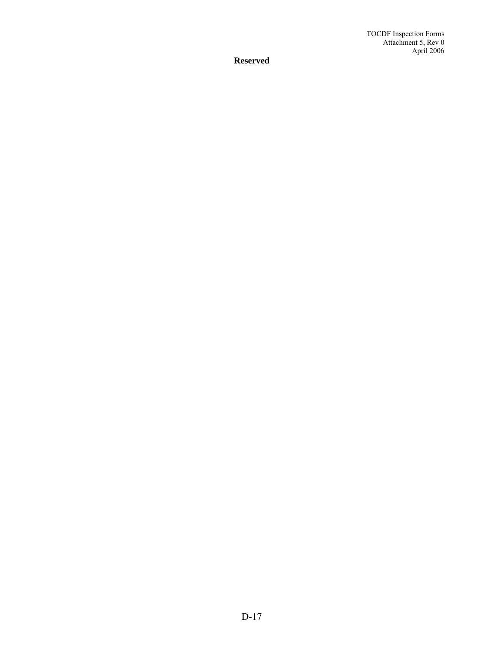**Reserved**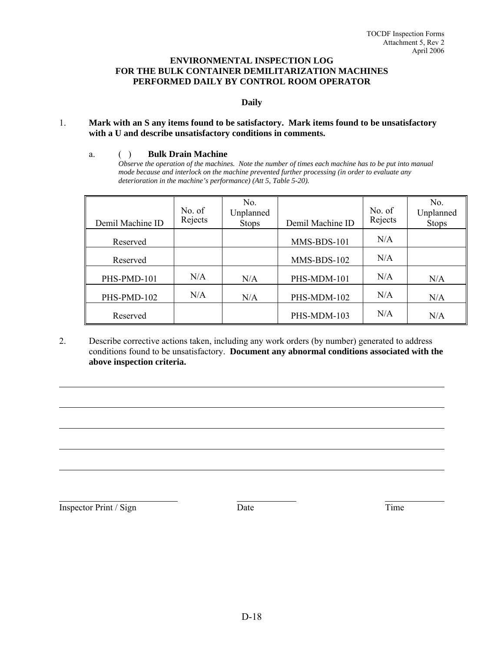#### **ENVIRONMENTAL INSPECTION LOG FOR THE BULK CONTAINER DEMILITARIZATION MACHINES PERFORMED DAILY BY CONTROL ROOM OPERATOR**

#### **Daily**

#### 1. **Mark with an S any items found to be satisfactory. Mark items found to be unsatisfactory with a U and describe unsatisfactory conditions in comments.**

#### a. ( ) **Bulk Drain Machine**

*Observe the operation of the machines. Note the number of times each machine has to be put into manual mode because and interlock on the machine prevented further processing (in order to evaluate any deterioration in the machine's performance) (Att 5, Table 5-20).*

| Demil Machine ID | No. of<br>Rejects | No.<br>Unplanned<br><b>Stops</b> | Demil Machine ID | No. of<br>Rejects | No.<br>Unplanned<br><b>Stops</b> |
|------------------|-------------------|----------------------------------|------------------|-------------------|----------------------------------|
| Reserved         |                   |                                  | MMS-BDS-101      | N/A               |                                  |
| Reserved         |                   |                                  | MMS-BDS-102      | N/A               |                                  |
| PHS-PMD-101      | N/A               | N/A                              | PHS-MDM-101      | N/A               | N/A                              |
| PHS-PMD-102      | N/A               | N/A                              | PHS-MDM-102      | N/A               | N/A                              |
| Reserved         |                   |                                  | PHS-MDM-103      | N/A               | N/A                              |

2. Describe corrective actions taken, including any work orders (by number) generated to address conditions found to be unsatisfactory. **Document any abnormal conditions associated with the above inspection criteria.**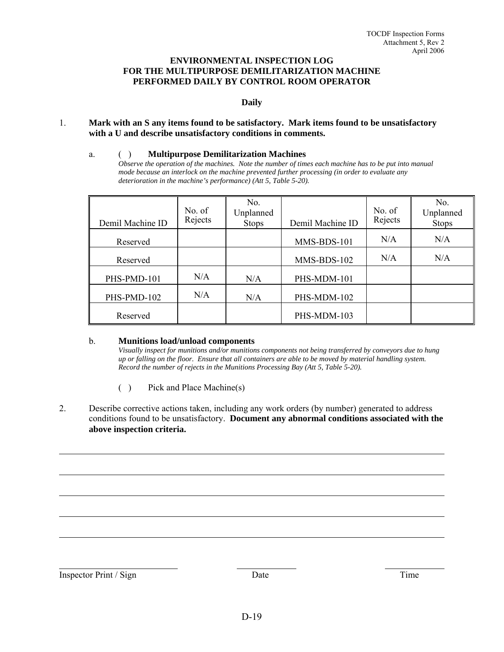#### **ENVIRONMENTAL INSPECTION LOG FOR THE MULTIPURPOSE DEMILITARIZATION MACHINE PERFORMED DAILY BY CONTROL ROOM OPERATOR**

#### **Daily**

#### 1. **Mark with an S any items found to be satisfactory. Mark items found to be unsatisfactory with a U and describe unsatisfactory conditions in comments.**

#### a. ( ) **Multipurpose Demilitarization Machines**

*Observe the operation of the machines. Note the number of times each machine has to be put into manual mode because an interlock on the machine prevented further processing (in order to evaluate any deterioration in the machine's performance) (Att 5, Table 5-20).* 

| Demil Machine ID | No. of<br>Rejects | No.<br>Unplanned<br><b>Stops</b> | Demil Machine ID | No. of<br>Rejects | No.<br>Unplanned<br><b>Stops</b> |
|------------------|-------------------|----------------------------------|------------------|-------------------|----------------------------------|
| Reserved         |                   |                                  | MMS-BDS-101      | N/A               | N/A                              |
| Reserved         |                   |                                  | MMS-BDS-102      | N/A               | N/A                              |
| PHS-PMD-101      | N/A               | N/A                              | PHS-MDM-101      |                   |                                  |
| PHS-PMD-102      | N/A               | N/A                              | PHS-MDM-102      |                   |                                  |
| Reserved         |                   |                                  | PHS-MDM-103      |                   |                                  |

#### b. **Munitions load/unload components**

*Visually inspect for munitions and/or munitions components not being transferred by conveyors due to hung up or falling on the floor. Ensure that all containers are able to be moved by material handling system. Record the number of rejects in the Munitions Processing Bay (Att 5, Table 5-20).* 

- ( ) Pick and Place Machine(s)
- 2. Describe corrective actions taken, including any work orders (by number) generated to address conditions found to be unsatisfactory. **Document any abnormal conditions associated with the above inspection criteria.**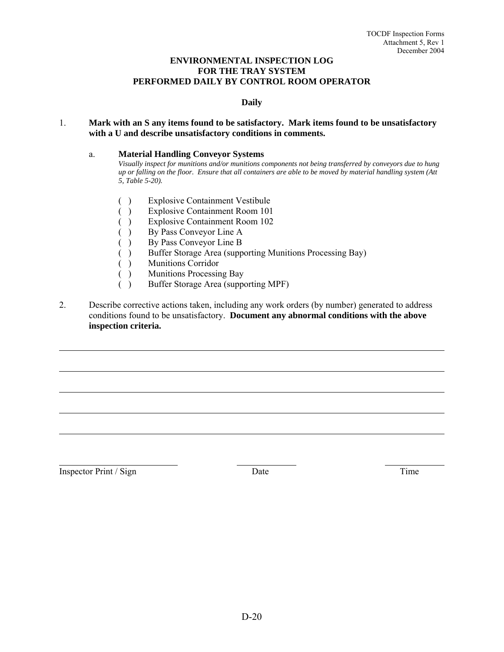#### **ENVIRONMENTAL INSPECTION LOG FOR THE TRAY SYSTEM PERFORMED DAILY BY CONTROL ROOM OPERATOR**

#### **Daily**

#### 1. **Mark with an S any items found to be satisfactory. Mark items found to be unsatisfactory with a U and describe unsatisfactory conditions in comments.**

#### a. **Material Handling Conveyor Systems**

*Visually inspect for munitions and/or munitions components not being transferred by conveyors due to hung up or falling on the floor. Ensure that all containers are able to be moved by material handling system (Att 5, Table 5-20).* 

- ( ) Explosive Containment Vestibule
- ( ) Explosive Containment Room 101
- ( ) Explosive Containment Room 102
- ( ) By Pass Conveyor Line A
- ( ) By Pass Conveyor Line B
- ( ) Buffer Storage Area (supporting Munitions Processing Bay)
- ( ) Munitions Corridor
- ( ) Munitions Processing Bay
- ( ) Buffer Storage Area (supporting MPF)
- 2. Describe corrective actions taken, including any work orders (by number) generated to address conditions found to be unsatisfactory. **Document any abnormal conditions with the above inspection criteria.**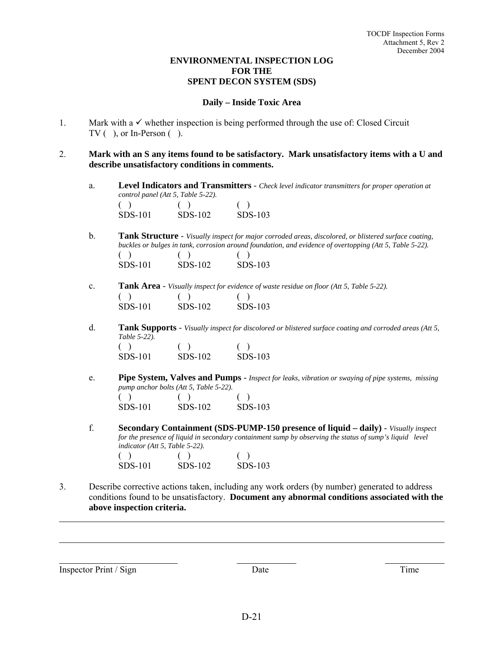#### **ENVIRONMENTAL INSPECTION LOG FOR THE SPENT DECON SYSTEM (SDS)**

#### **Daily – Inside Toxic Area**

- 1. Mark with a  $\checkmark$  whether inspection is being performed through the use of: Closed Circuit  $TV($  ), or In-Person  $($ ).
- 2. **Mark with an S any items found to be satisfactory. Mark unsatisfactory items with a U and describe unsatisfactory conditions in comments.**
	- a. **Level Indicators and Transmitters** *Check level indicator transmitters for proper operation at control panel (Att 5, Table 5-22).*

| SDS-101 | SDS-102 | $SDS-103$ |
|---------|---------|-----------|

SDS-101 SDS-102 SDS-103

- b. **Tank Structure** *Visually inspect for major corroded areas, discolored, or blistered surface coating, buckles or bulges in tank, corrosion around foundation, and evidence of overtopping (Att 5, Table 5-22).*   $( )$  ( ) ( ) SDS-101 SDS-102 SDS-103
- c. **Tank Area** *Visually inspect for evidence of waste residue on floor (Att 5, Table 5-22).*  $( )$  ( ) ( ) SDS-101 SDS-102 SDS-103
- d. **Tank Supports** *Visually inspect for discolored or blistered surface coating and corroded areas (Att 5, Table 5-22).*   $( )$  ( ) ( )
- e. **Pipe System, Valves and Pumps**  *Inspect for leaks, vibration or swaying of pipe systems, missing pump anchor bolts (Att 5, Table 5-22).*  $( )$  ( ) ( ) SDS-101 SDS-102 SDS-103
- f. **Secondary Containment (SDS-PUMP-150 presence of liquid daily)** *Visually inspect for the presence of liquid in secondary containment sump by observing the status of sump's liquid level indicator (Att 5, Table 5-22).*   $( )$  ( ) ( ) SDS-101 SDS-102 SDS-103
- 3. Describe corrective actions taken, including any work orders (by number) generated to address conditions found to be unsatisfactory. **Document any abnormal conditions associated with the above inspection criteria.**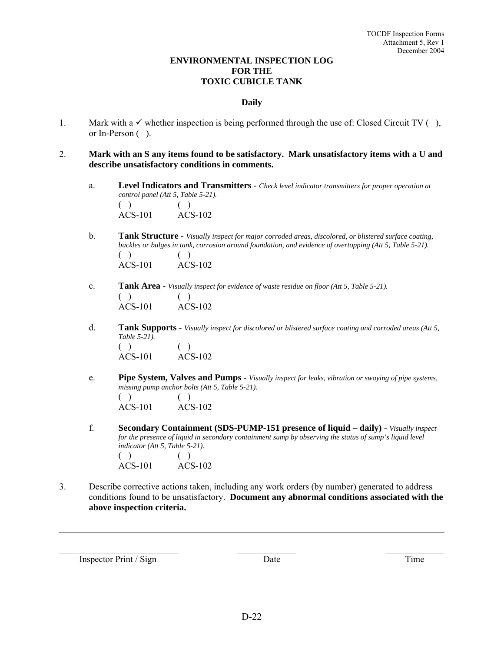#### **ENVIRONMENTAL INSPECTION LOG FOR THE TOXIC CUBICLE TANK**

#### **Daily**

- 1. Mark with a  $\checkmark$  whether inspection is being performed through the use of: Closed Circuit TV (), or In-Person ( ).
- 2. **Mark with an S any items found to be satisfactory. Mark unsatisfactory items with a U and describe unsatisfactory conditions in comments.**
	- a. **Level Indicators and Transmitters** *Check level indicator transmitters for proper operation at control panel (Att 5, Table 5-21).*   $( )$  ( )

ACS-101 ACS-102

- b. **Tank Structure** *Visually inspect for major corroded areas, discolored, or blistered surface coating, buckles or bulges in tank, corrosion around foundation, and evidence of overtopping (Att 5, Table 5-21).*   $( )$  ( ) ACS-101 ACS-102
- c. **Tank Area** *Visually inspect for evidence of waste residue on floor (Att 5, Table 5-21).*  $( )$  ( ) ACS-101 ACS-102
- d. **Tank Supports** *Visually inspect for discolored or blistered surface coating and corroded areas (Att 5, Table 5-21).*   $( )$  ( ) ACS-101 ACS-102
- e. **Pipe System, Valves and Pumps** *Visually inspect for leaks, vibration or swaying of pipe systems, missing pump anchor bolts (Att 5, Table 5-21).*  $( )$  ( ) ACS-101 ACS-102
- f. **Secondary Containment (SDS-PUMP-151 presence of liquid daily)** *Visually inspect for the presence of liquid in secondary containment sump by observing the status of sump's liquid level indicator (Att 5, Table 5-21).*   $( )$  ( ) ACS-101 ACS-102
- 3. Describe corrective actions taken, including any work orders (by number) generated to address conditions found to be unsatisfactory. **Document any abnormal conditions associated with the above inspection criteria.**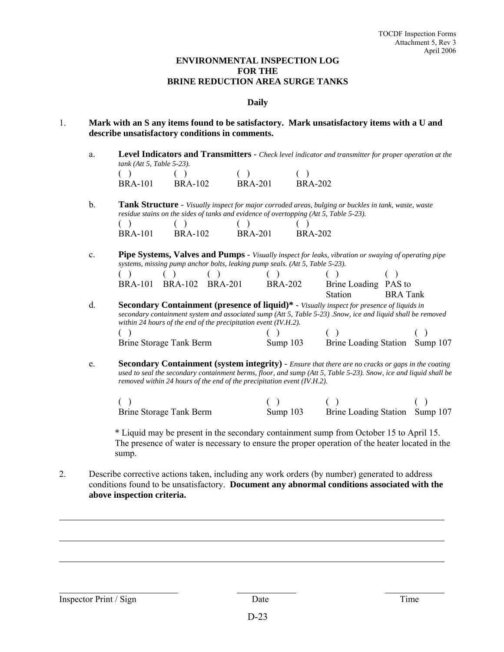#### **ENVIRONMENTAL INSPECTION LOG FOR THE BRINE REDUCTION AREA SURGE TANKS**

#### **Daily**

- 1. **Mark with an S any items found to be satisfactory. Mark unsatisfactory items with a U and describe unsatisfactory conditions in comments.**
	- a. **Level Indicators and Transmitters** *Check level indicator and transmitter for proper operation at the tank (Att 5, Table 5-23).*

| $(\ )$         | $\left( \begin{array}{c} \end{array} \right)$ | ( )            |                |
|----------------|-----------------------------------------------|----------------|----------------|
| <b>BRA-101</b> | BRA-102                                       | <b>BRA-201</b> | <b>BRA-202</b> |

b. **Tank Structure** - *Visually inspect for major corroded areas, bulging or buckles in tank, waste, waste residue stains on the sides of tanks and evidence of overtopping (Att 5, Table 5-23).* 

| ( )            |                |                |                |
|----------------|----------------|----------------|----------------|
| <b>BRA-101</b> | <b>BRA-102</b> | <b>BRA-201</b> | <b>BRA-202</b> |

c. **Pipe Systems, Valves and Pumps** - *Visually inspect for leaks, vibration or swaying of operating pipe systems, missing pump anchor bolts, leaking pump seals. (Att 5, Table 5-23).* 

|    | <b>BRA-102</b><br><b>BRA-101</b>                                                                                                                                                                                                                                                      | <b>BRA-201</b> | <b>BRA-202</b> | Brine Loading PAS to |                                |
|----|---------------------------------------------------------------------------------------------------------------------------------------------------------------------------------------------------------------------------------------------------------------------------------------|----------------|----------------|----------------------|--------------------------------|
|    |                                                                                                                                                                                                                                                                                       |                |                | <b>Station</b>       | <b>BRA</b> Tank                |
| d. | <b>Secondary Containment (presence of liquid)*</b> - Visually inspect for presence of liquids in<br>secondary containment system and associated sump (Att 5, Table 5-23). Snow, ice and liquid shall be removed<br>within 24 hours of the end of the precipitation event $(IV.H.2)$ . |                |                |                      |                                |
|    |                                                                                                                                                                                                                                                                                       |                |                |                      |                                |
|    | Brine Storage Tank Berm                                                                                                                                                                                                                                                               |                | Sump $103$     |                      | Brine Loading Station Sump 107 |

e. **Secondary Containment (system integrity)** - *Ensure that there are no cracks or gaps in the coating used to seal the secondary containment berms, floor, and sump (Att 5, Table 5-23). Snow, ice and liquid shall be removed within 24 hours of the end of the precipitation event (IV.H.2).*

| Brine Storage Tank Berm | Sump $103$ | Brine Loading Station Sump 107 |  |
|-------------------------|------------|--------------------------------|--|

 \* Liquid may be present in the secondary containment sump from October 15 to April 15. The presence of water is necessary to ensure the proper operation of the heater located in the sump.

2. Describe corrective actions taken, including any work orders (by number) generated to address conditions found to be unsatisfactory. **Document any abnormal conditions associated with the above inspection criteria.**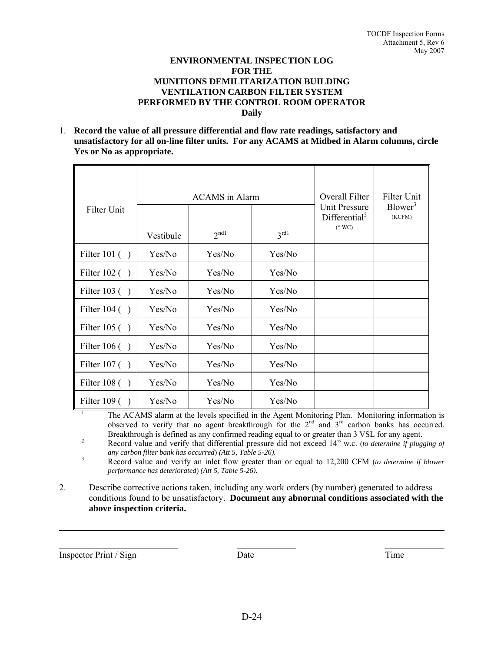#### **ENVIRONMENTAL INSPECTION LOG FOR THE MUNITIONS DEMILITARIZATION BUILDING VENTILATION CARBON FILTER SYSTEM PERFORMED BY THE CONTROL ROOM OPERATOR Daily**

1. **Record the value of all pressure differential and flow rate readings, satisfactory and unsatisfactory for all on-line filter units. For any ACAMS at Midbed in Alarm columns, circle Yes or No as appropriate.**

|                    | ACAMS in Alarm |                  |                  | Overall Filter                                                 | Filter Unit                   |
|--------------------|----------------|------------------|------------------|----------------------------------------------------------------|-------------------------------|
| <b>Filter Unit</b> | Vestibule      | 2 <sup>nd1</sup> | $3^{\text{rd1}}$ | <b>Unit Pressure</b><br>Differential <sup>2</sup><br>$($ " WC) | Blower <sup>3</sup><br>(KCFM) |
| Filter 101 $( )$   | Yes/No         | Yes/No           | Yes/No           |                                                                |                               |
| Filter $102$ ()    | Yes/No         | Yes/No           | Yes/No           |                                                                |                               |
| Filter $103()$     | Yes/No         | Yes/No           | Yes/No           |                                                                |                               |
| Filter $104$ ()    | Yes/No         | Yes/No           | Yes/No           |                                                                |                               |
| Filter $105( )$    | Yes/No         | Yes/No           | Yes/No           |                                                                |                               |
| Filter $106()$     | Yes/No         | Yes/No           | Yes/No           |                                                                |                               |
| Filter $107( )$    | Yes/No         | Yes/No           | Yes/No           |                                                                |                               |
| Filter $108( )$    | Yes/No         | Yes/No           | Yes/No           |                                                                |                               |
| Filter $109( )$    | Yes/No         | Yes/No           | Yes/No           |                                                                |                               |

<sup>1</sup> The ACAMS alarm at the levels specified in the Agent Monitoring Plan. Monitoring information is observed to verify that no agent breakthrough for the  $2<sup>nd</sup>$  and  $3<sup>rd</sup>$  carbon banks has occurred. Breakthrough is defined as any confirmed reading equal to or greater than 3 VSL for any agent.

 Record value and verify that differential pressure did not exceed 14" w.c. (*to determine if plugging of any carbon filter bank has occurred*) *(Att 5, Table 5-26).* 3

 Record value and verify an inlet flow greater than or equal to 12,200 CFM (*to determine if blower performance has deteriorated*) *(Att 5, Table 5-26).*

2. Describe corrective actions taken, including any work orders (by number) generated to address conditions found to be unsatisfactory. **Document any abnormal conditions associated with the above inspection criteria.**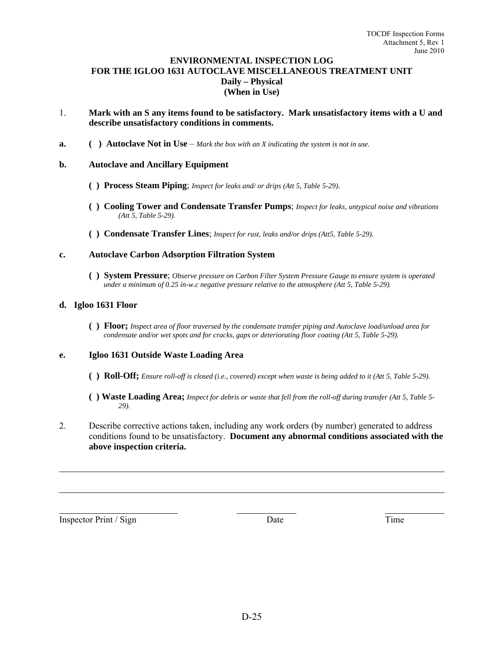#### **ENVIRONMENTAL INSPECTION LOG FOR THE IGLOO 1631 AUTOCLAVE MISCELLANEOUS TREATMENT UNIT Daily – Physical (When in Use)**

- 1. **Mark with an S any items found to be satisfactory. Mark unsatisfactory items with a U and describe unsatisfactory conditions in comments.**
- **a.** ( ) **Autoclave Not in Use** *Mark the box with an X indicating the system is not in use.*

#### **b. Autoclave and Ancillary Equipment**

- **( ) Process Steam Piping**; *Inspect for leaks and/ or drips (Att 5, Table 5-29).*
- **( ) Cooling Tower and Condensate Transfer Pumps**; *Inspect for leaks, untypical noise and vibrations (Att 5, Table 5-29).*
- **( ) Condensate Transfer Lines**; *Inspect for rust, leaks and/or drips (Att5, Table 5-29).*

#### **c. Autoclave Carbon Adsorption Filtration System**

**( ) System Pressure**; *Observe pressure on Carbon Filter System Pressure Gauge to ensure system is operated under a minimum of 0.25 in-w.c negative pressure relative to the atmosphere (Att 5, Table 5-29).*

#### **d. Igloo 1631 Floor**

**( ) Floor;** *Inspect area of floor traversed by the condensate transfer piping and Autoclave load/unload area for condensate and/or wet spots and for cracks, gaps or deteriorating floor coating (Att 5, Table 5-29).*

#### **e. Igloo 1631 Outside Waste Loading Area**

- **( ) Roll-Off;** *Ensure roll-off is closed (i.e., covered) except when waste is being added to it (Att 5, Table 5-29).*
- **( ) Waste Loading Area;** *Inspect for debris or waste that fell from the roll-off during transfer (Att 5, Table 5- 29).*
- 2. Describe corrective actions taken, including any work orders (by number) generated to address conditions found to be unsatisfactory. **Document any abnormal conditions associated with the above inspection criteria.**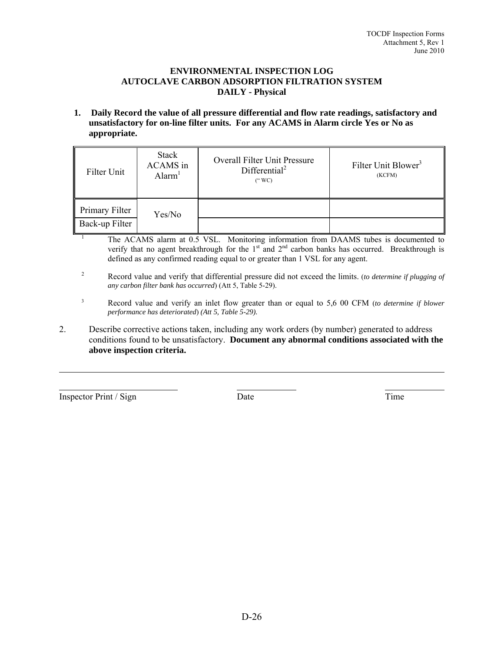#### **ENVIRONMENTAL INSPECTION LOG AUTOCLAVE CARBON ADSORPTION FILTRATION SYSTEM DAILY - Physical**

**1. Daily Record the value of all pressure differential and flow rate readings, satisfactory and unsatisfactory for on-line filter units. For any ACAMS in Alarm circle Yes or No as appropriate.**

| Filter Unit                      | <b>Stack</b><br>ACAMS in<br>$\text{Alarm}^1$ | <b>Overall Filter Unit Pressure</b><br>Differential <sup>2</sup><br>(" WC) | Filter Unit Blower <sup>3</sup><br>(KCFM) |
|----------------------------------|----------------------------------------------|----------------------------------------------------------------------------|-------------------------------------------|
| Primary Filter<br>Back-up Filter | Yes/No                                       |                                                                            |                                           |

- The ACAMS alarm at 0.5 VSL. Monitoring information from DAAMS tubes is documented to verify that no agent breakthrough for the  $1<sup>st</sup>$  and  $2<sup>nd</sup>$  carbon banks has occurred. Breakthrough is defined as any confirmed reading equal to or greater than 1 VSL for any agent.
- 2 Record value and verify that differential pressure did not exceed the limits. (*to determine if plugging of any carbon filter bank has occurred*) (Att 5, Table 5-29).
- 3 Record value and verify an inlet flow greater than or equal to 5,6 00 CFM (*to determine if blower performance has deteriorated*) *(Att 5, Table 5-29).*
- 2. Describe corrective actions taken, including any work orders (by number) generated to address conditions found to be unsatisfactory. **Document any abnormal conditions associated with the above inspection criteria.**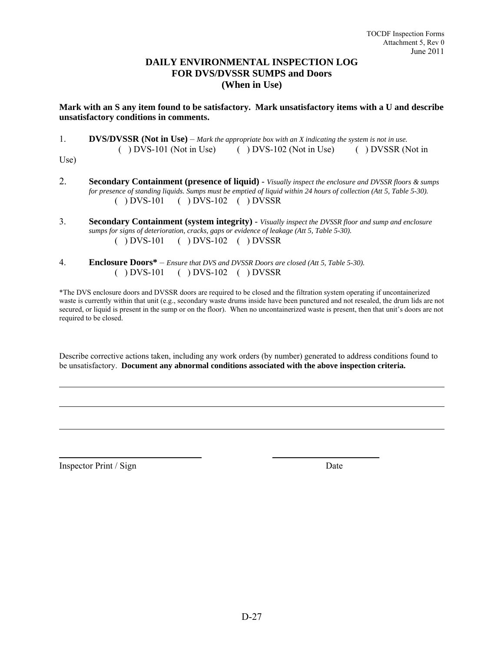#### **DAILY ENVIRONMENTAL INSPECTION LOG FOR DVS/DVSSR SUMPS and Doors (When in Use)**

#### **Mark with an S any item found to be satisfactory. Mark unsatisfactory items with a U and describe unsatisfactory conditions in comments.**

1. **DVS/DVSSR (Not in Use)** – *Mark the appropriate box with an X indicating the system is not in use.* ( ) DVS-101 (Not in Use) ( ) DVS-102 (Not in Use) ( ) DVSSR (Not in

Use)

l

l

 $\overline{a}$ 

- 2. **Secondary Containment (presence of liquid)** *Visually inspect the enclosure and DVSSR floors & sumps for presence of standing liquids. Sumps must be emptied of liquid within 24 hours of collection (Att 5, Table 5-30).* ( ) DVS-101 ( ) DVS-102 ( ) DVSSR
- 3. **Secondary Containment (system integrity)** *Visually inspect the DVSSR floor and sump and enclosure sumps for signs of deterioration, cracks, gaps or evidence of leakage (Att 5, Table 5-30).* ( ) DVS-101 ( ) DVS-102 ( ) DVSSR
- 4. **Enclosure Doors\*** *Ensure that DVS and DVSSR Doors are closed (Att 5, Table 5-30).*  ( ) DVS-101 ( ) DVS-102 ( ) DVSSR

\*The DVS enclosure doors and DVSSR doors are required to be closed and the filtration system operating if uncontainerized waste is currently within that unit (e.g., secondary waste drums inside have been punctured and not resealed, the drum lids are not secured, or liquid is present in the sump or on the floor). When no uncontainerized waste is present, then that unit's doors are not required to be closed.

Describe corrective actions taken, including any work orders (by number) generated to address conditions found to be unsatisfactory. **Document any abnormal conditions associated with the above inspection criteria.**

Inspector Print / Sign Date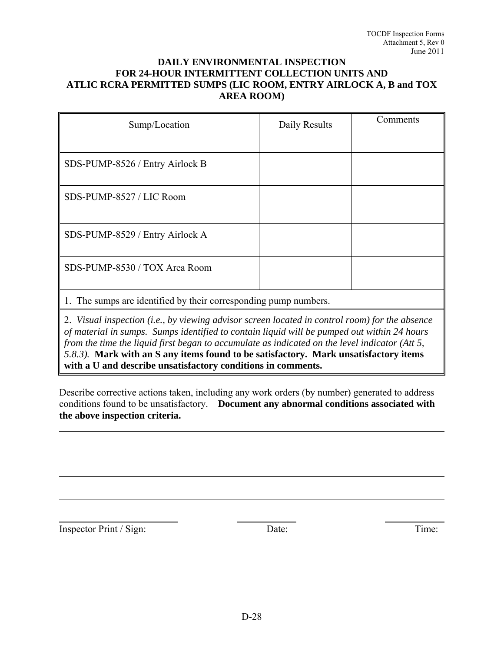#### **DAILY ENVIRONMENTAL INSPECTION FOR 24-HOUR INTERMITTENT COLLECTION UNITS AND ATLIC RCRA PERMITTED SUMPS (LIC ROOM, ENTRY AIRLOCK A, B and TOX AREA ROOM)**

| Sump/Location                                                    | Daily Results | Comments |  |  |
|------------------------------------------------------------------|---------------|----------|--|--|
|                                                                  |               |          |  |  |
| SDS-PUMP-8526 / Entry Airlock B                                  |               |          |  |  |
| SDS-PUMP-8527 / LIC Room                                         |               |          |  |  |
| SDS-PUMP-8529 / Entry Airlock A                                  |               |          |  |  |
| SDS-PUMP-8530 / TOX Area Room                                    |               |          |  |  |
| 1. The sumps are identified by their corresponding pump numbers. |               |          |  |  |

2. *Visual inspection (i.e., by viewing advisor screen located in control room) for the absence of material in sumps. Sumps identified to contain liquid will be pumped out within 24 hours from the time the liquid first began to accumulate as indicated on the level indicator (Att 5, 5.8.3).* **Mark with an S any items found to be satisfactory. Mark unsatisfactory items with a U and describe unsatisfactory conditions in comments.**

Describe corrective actions taken, including any work orders (by number) generated to address conditions found to be unsatisfactory. **Document any abnormal conditions associated with the above inspection criteria.**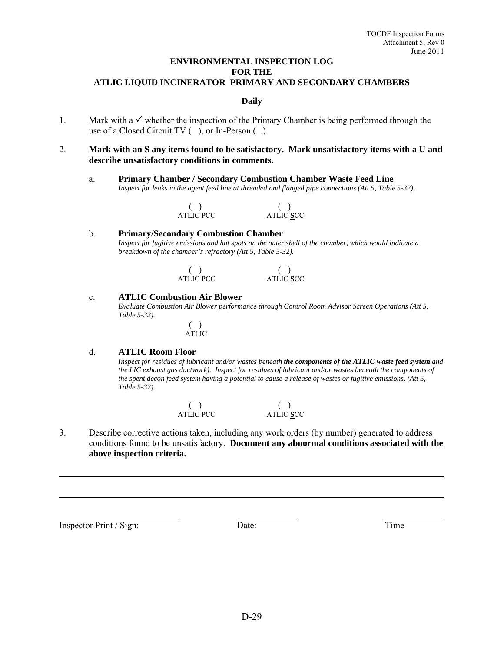#### **ENVIRONMENTAL INSPECTION LOG FOR THE ATLIC LIQUID INCINERATOR PRIMARY AND SECONDARY CHAMBERS**

#### **Daily**

- 1. Mark with a  $\checkmark$  whether the inspection of the Primary Chamber is being performed through the use of a Closed Circuit TV ( ), or In-Person ( ).
- 2. **Mark with an S any items found to be satisfactory. Mark unsatisfactory items with a U and describe unsatisfactory conditions in comments.**
	- a. **Primary Chamber / Secondary Combustion Chamber Waste Feed Line**  *Inspect for leaks in the agent feed line at threaded and flanged pipe connections (Att 5, Table 5-32).*

| ATLIC PCC | ATLIC SCC |
|-----------|-----------|

#### b. **Primary/Secondary Combustion Chamber**  *Inspect for fugitive emissions and hot spots on the outer shell of the chamber, which would indicate a breakdown of the chamber's refractory (Att 5, Table 5-32).*

| ATLIC PCC | ATLIC SCC |
|-----------|-----------|

#### c. **ATLIC Combustion Air Blower**

 *Evaluate Combustion Air Blower performance through Control Room Advisor Screen Operations (Att 5, Table 5-32).* 

> ( ) ATLIC

#### d. **ATLIC Room Floor**

 *Inspect for residues of lubricant and/or wastes beneath the components of the ATLIC waste feed system and the LIC exhaust gas ductwork). Inspect for residues of lubricant and/or wastes beneath the components of the spent decon feed system having a potential to cause a release of wastes or fugitive emissions. (Att 5, Table 5-32).* 

> $($  )<br>ATLIC PCC ATLIC PCC ATLIC **S**CC

3. Describe corrective actions taken, including any work orders (by number) generated to address conditions found to be unsatisfactory. **Document any abnormal conditions associated with the above inspection criteria.**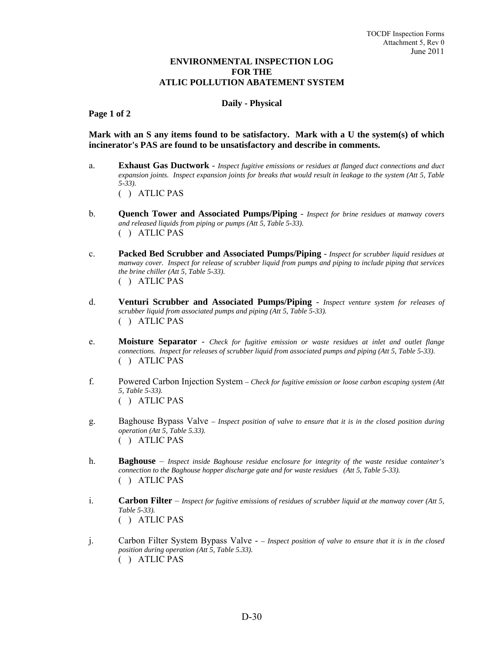#### **ENVIRONMENTAL INSPECTION LOG FOR THE ATLIC POLLUTION ABATEMENT SYSTEM**

#### **Daily - Physical**

 **Page 1 of 2**

**Mark with an S any items found to be satisfactory. Mark with a U the system(s) of which incinerator's PAS are found to be unsatisfactory and describe in comments.**

- a. **Exhaust Gas Ductwork** *Inspect fugitive emissions or residues at flanged duct connections and duct expansion joints. Inspect expansion joints for breaks that would result in leakage to the system (Att 5, Table 5-33).* ( ) ATLIC PAS
- b. **Quench Tower and Associated Pumps/Piping** *Inspect for brine residues at manway covers and released liquids from piping or pumps (Att 5, Table 5-33).* ( ) ATLIC PAS
- c. **Packed Bed Scrubber and Associated Pumps/Piping** *Inspect for scrubber liquid residues at manway cover. Inspect for release of scrubber liquid from pumps and piping to include piping that services the brine chiller (Att 5, Table 5-33).* ( ) ATLIC PAS
- d. **Venturi Scrubber and Associated Pumps/Piping** *Inspect venture system for releases of scrubber liquid from associated pumps and piping (Att 5, Table 5-33).*  ( ) ATLIC PAS
- e. **Moisture Separator** *Check for fugitive emission or waste residues at inlet and outlet flange connections. Inspect for releases of scrubber liquid from associated pumps and piping (Att 5, Table 5-33).*  ( ) ATLIC PAS
- f. Powered Carbon Injection System  *Check for fugitive emission or loose carbon escaping system (Att 5, Table 5-33).*  ( ) ATLIC PAS
- g. Baghouse Bypass Valve  *Inspect position of valve to ensure that it is in the closed position during operation (Att 5, Table 5.33).* ( ) ATLIC PAS
- h. **Baghouse** *Inspect inside Baghouse residue enclosure for integrity of the waste residue container's connection to the Baghouse hopper discharge gate and for waste residues (Att 5, Table 5-33).*  ( ) ATLIC PAS
- i. **Carbon Filter** *Inspect for fugitive emissions of residues of scrubber liquid at the manway cover (Att 5, Table 5-33).*  ( ) ATLIC PAS
- j. Carbon Filter System Bypass Valve  *Inspect position of valve to ensure that it is in the closed position during operation (Att 5, Table 5.33).* ( ) ATLIC PAS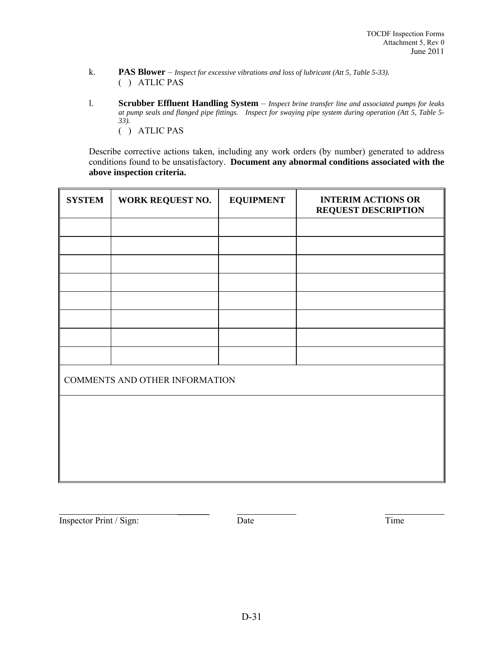- k. **PAS Blower** *Inspect for excessive vibrations and loss of lubricant (Att 5, Table 5-33).* ( ) ATLIC PAS
- l. **Scrubber Effluent Handling System** *Inspect brine transfer line and associated pumps for leaks at pump seals and flanged pipe fittings. Inspect for swaying pipe system during operation (Att 5, Table 5- 33).*  ( ) ATLIC PAS

 Describe corrective actions taken, including any work orders (by number) generated to address conditions found to be unsatisfactory. **Document any abnormal conditions associated with the above inspection criteria.**

| <b>SYSTEM</b> | WORK REQUEST NO.               | <b>EQUIPMENT</b> | <b>INTERIM ACTIONS OR</b><br><b>REQUEST DESCRIPTION</b> |  |  |  |
|---------------|--------------------------------|------------------|---------------------------------------------------------|--|--|--|
|               |                                |                  |                                                         |  |  |  |
|               |                                |                  |                                                         |  |  |  |
|               |                                |                  |                                                         |  |  |  |
|               |                                |                  |                                                         |  |  |  |
|               |                                |                  |                                                         |  |  |  |
|               |                                |                  |                                                         |  |  |  |
|               |                                |                  |                                                         |  |  |  |
|               |                                |                  |                                                         |  |  |  |
|               | COMMENTS AND OTHER INFORMATION |                  |                                                         |  |  |  |
|               |                                |                  |                                                         |  |  |  |
|               |                                |                  |                                                         |  |  |  |
|               |                                |                  |                                                         |  |  |  |
|               |                                |                  |                                                         |  |  |  |
|               |                                |                  |                                                         |  |  |  |

Inspector Print / Sign: Date Date Date Time

 $\overline{\phantom{a}}$  , which is a set of the set of the set of the set of the set of the set of the set of the set of the set of the set of the set of the set of the set of the set of the set of the set of the set of the set of th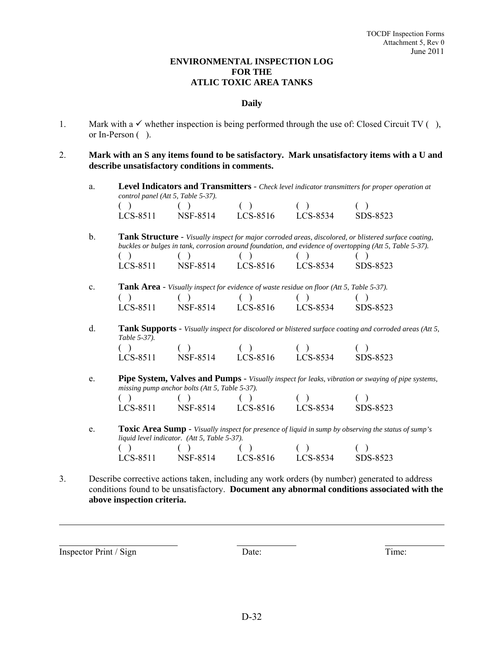#### **ENVIRONMENTAL INSPECTION LOG FOR THE ATLIC TOXIC AREA TANKS**

#### **Daily**

- 1. Mark with a  $\checkmark$  whether inspection is being performed through the use of: Closed Circuit TV (), or In-Person ( ).
- 2. **Mark with an S any items found to be satisfactory. Mark unsatisfactory items with a U and describe unsatisfactory conditions in comments.**
	- a. **Level Indicators and Transmitters** *Check level indicator transmitters for proper operation at control panel (Att 5, Table 5-37).*

| LCS-8511 | NSF-8514 | LCS-8516 | LCS-8534 | SDS-8523 |
|----------|----------|----------|----------|----------|

b. **Tank Structure** - *Visually inspect for major corroded areas, discolored, or blistered surface coating, buckles or bulges in tank, corrosion around foundation, and evidence of overtopping (Att 5, Table 5-37).*   $( \ )$   $( \ )$   $( \ )$   $( \ )$   $( \ )$   $( \ )$ 

| LCS-8511 | NSF-8514 | LCS-8516 | LCS-8534 | SDS-8523 |
|----------|----------|----------|----------|----------|

| c. |                                               | <b>Tank Area - Visually inspect for evidence of waste residue on floor (Att 5, Table 5-37).</b> |                            |                                               |          |
|----|-----------------------------------------------|-------------------------------------------------------------------------------------------------|----------------------------|-----------------------------------------------|----------|
|    | $\left( \begin{array}{c} \end{array} \right)$ | $\begin{pmatrix} 1 & 1 \\ 1 & 1 \end{pmatrix}$                                                  | $\overline{(\phantom{a})}$ | $\left( \begin{array}{c} \end{array} \right)$ |          |
|    | LCS-8511                                      | NSF-8514                                                                                        | LCS-8516                   | LCS-8534                                      | SDS-8523 |

d. **Tank Supports** - *Visually inspect for discolored or blistered surface coating and corroded areas (Att 5, Table 5-37).*   $( \ )$  ( ) ( ) ( ) ( )

LCS-8511 NSF-8514 LCS-8516 LCS-8534 SDS-8523

e. **Pipe System, Valves and Pumps** - *Visually inspect for leaks, vibration or swaying of pipe systems, missing pump anchor bolts (Att 5, Table 5-37).*  $( \ )$   $( \ )$   $( \ )$   $( \ )$   $( \ )$   $( \ )$ 

 LCS-8511 NSF-8514 LCS-8516 LCS-8534 SDS-8523 e. **Toxic Area Sump** - *Visually inspect for presence of liquid in sump by observing the status of sump's* 

|                                               | liquid level indicator. (Att 5, Table 5-37).  |          |          |          |
|-----------------------------------------------|-----------------------------------------------|----------|----------|----------|
| $\left( \begin{array}{c} \end{array} \right)$ | $\left( \begin{array}{c} \end{array} \right)$ |          |          |          |
| LCS-8511                                      | NSF-8514                                      | LCS-8516 | LCS-8534 | SDS-8523 |

3. Describe corrective actions taken, including any work orders (by number) generated to address conditions found to be unsatisfactory. **Document any abnormal conditions associated with the above inspection criteria.**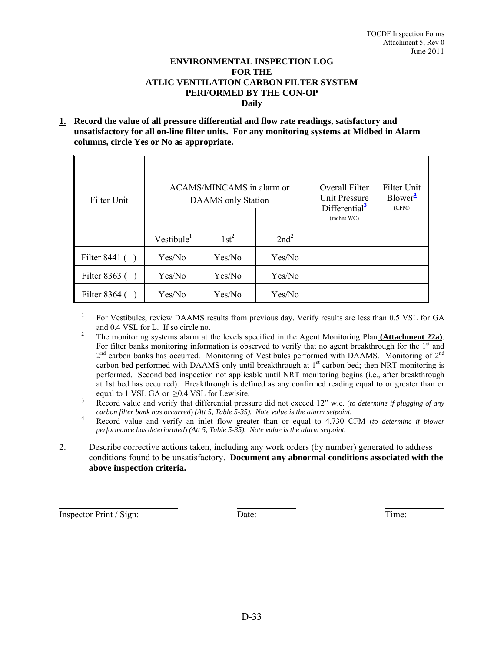#### **ENVIRONMENTAL INSPECTION LOG FOR THE ATLIC VENTILATION CARBON FILTER SYSTEM PERFORMED BY THE CON-OP Daily**

**1. Record the value of all pressure differential and flow rate readings, satisfactory and unsatisfactory for all on-line filter units. For any monitoring systems at Midbed in Alarm columns, circle Yes or No as appropriate.**

| Filter Unit       | ACAMS/MINCAMS in alarm or<br>DAAMS only Station |         |                  | Overall Filter<br><b>Unit Pressure</b><br>Differential <sup>3</sup> | Filter Unit<br>$Blower^4$<br>(CFM) |
|-------------------|-------------------------------------------------|---------|------------------|---------------------------------------------------------------------|------------------------------------|
|                   |                                                 |         |                  | (inches WC)                                                         |                                    |
|                   | $V$ estibule <sup>1</sup>                       | $1st^2$ | 2nd <sup>2</sup> |                                                                     |                                    |
| Filter 8441 $( )$ | Yes/No                                          | Yes/No  | Yes/No           |                                                                     |                                    |
| Filter $8363$ ()  | Yes/No                                          | Yes/No  | Yes/No           |                                                                     |                                    |
| Filter $8364$ ()  | Yes/No                                          | Yes/No  | Yes/No           |                                                                     |                                    |

1 For Vestibules, review DAAMS results from previous day. Verify results are less than 0.5 VSL for GA and 0.4 VSL for L. If so circle no. 2 The monitoring systems alarm at the levels specified in the Agent Monitoring Plan **(Attachment 22a)**.

- For filter banks monitoring information is observed to verify that no agent breakthrough for the  $1<sup>st</sup>$  and  $2<sup>nd</sup>$  carbon banks has occurred. Monitoring of Vestibules performed with DAAMS. Monitoring of  $2<sup>nd</sup>$ carbon bed performed with DAAMS only until breakthrough at 1<sup>st</sup> carbon bed; then NRT monitoring is performed. Second bed inspection not applicable until NRT monitoring begins (i.e., after breakthrough at 1st bed has occurred). Breakthrough is defined as any confirmed reading equal to or greater than or equal to 1 VSL GA or  $\geq 0.4$  VSL for Lewisite.
- Record value and verify that differential pressure did not exceed 12" w.c. (*to determine if plugging of any carbon filter bank has occurred*) *(Att 5, Table 5-35). Note value is the alarm setpoint.*
- 4 Record value and verify an inlet flow greater than or equal to 4,730 CFM (*to determine if blower performance has deteriorated*) *(Att 5, Table 5-35). Note value is the alarm setpoint.*
- 2. Describe corrective actions taken, including any work orders (by number) generated to address conditions found to be unsatisfactory. **Document any abnormal conditions associated with the above inspection criteria.**

Inspector Print / Sign: Date: Date: Time: Time: Time: Time: Time: Time: Time: Time: Time: Time: Time: Time: Time: Time: Time: Time: Time: Time: Time: Time: Time: Time: Time: Time: Time: Time: Time: Time: Time: Time: Time: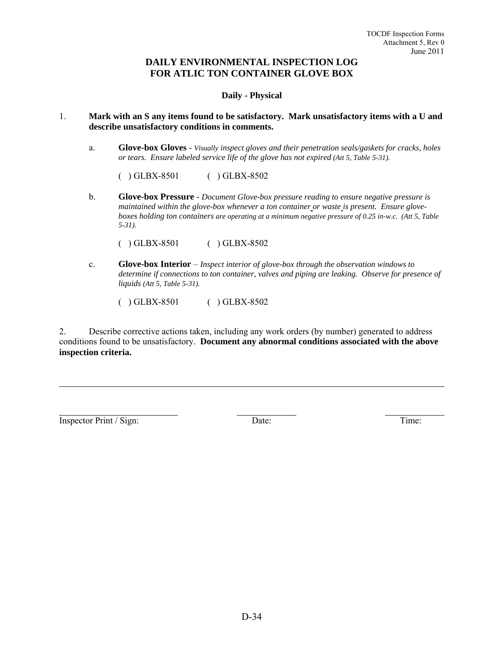#### **DAILY ENVIRONMENTAL INSPECTION LOG FOR ATLIC TON CONTAINER GLOVE BOX**

#### **Daily - Physical**

#### 1. **Mark with an S any items found to be satisfactory. Mark unsatisfactory items with a U and describe unsatisfactory conditions in comments.**

a. **Glove-box Gloves** - *Visually inspect gloves and their penetration seals/gaskets for cracks, holes or tears. Ensure labeled service life of the glove has not expired (Att 5, Table 5-31).* 

( ) GLBX-8501 ( ) GLBX-8502

b. **Glove-box Pressure** - *Document Glove-box pressure reading to ensure negative pressure is maintained within the glove-box whenever a ton container or waste is present. Ensure gloveboxes holding ton containers are operating at a minimum negative pressure of 0.25 in-w.c. (Att 5, Table 5-31).* 

( ) GLBX-8501 ( ) GLBX-8502

- c. **Glove-box Interior**  *Inspect interior of glove-box through the observation windows to determine if connections to ton container, valves and piping are leaking. Observe for presence of liquids (Att 5, Table 5-31).* 
	- ( ) GLBX-8501 ( ) GLBX-8502

2. Describe corrective actions taken, including any work orders (by number) generated to address conditions found to be unsatisfactory. **Document any abnormal conditions associated with the above inspection criteria.**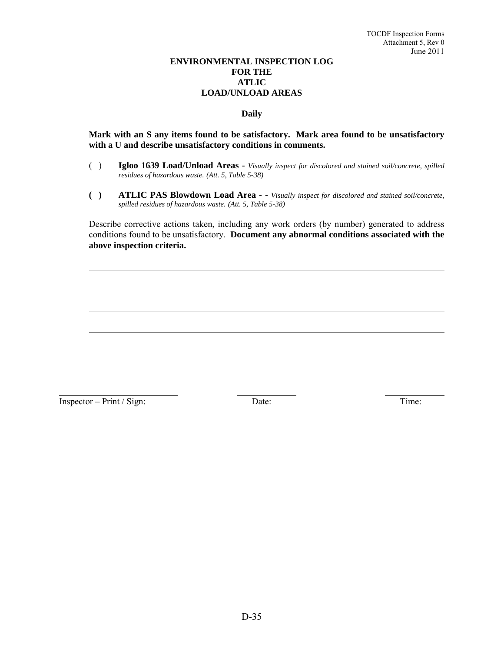#### **ENVIRONMENTAL INSPECTION LOG FOR THE ATLIC LOAD/UNLOAD AREAS**

#### **Daily**

#### **Mark with an S any items found to be satisfactory. Mark area found to be unsatisfactory with a U and describe unsatisfactory conditions in comments.**

- ( ) **Igloo 1639 Load/Unload Areas** *Visually inspect for discolored and stained soil/concrete, spilled residues of hazardous waste. (Att. 5, Table 5-38)*
- **( ) ATLIC PAS Blowdown Load Area -** *Visually inspect for discolored and stained soil/concrete, spilled residues of hazardous waste. (Att. 5, Table 5-38)*

 Describe corrective actions taken, including any work orders (by number) generated to address conditions found to be unsatisfactory. **Document any abnormal conditions associated with the above inspection criteria.**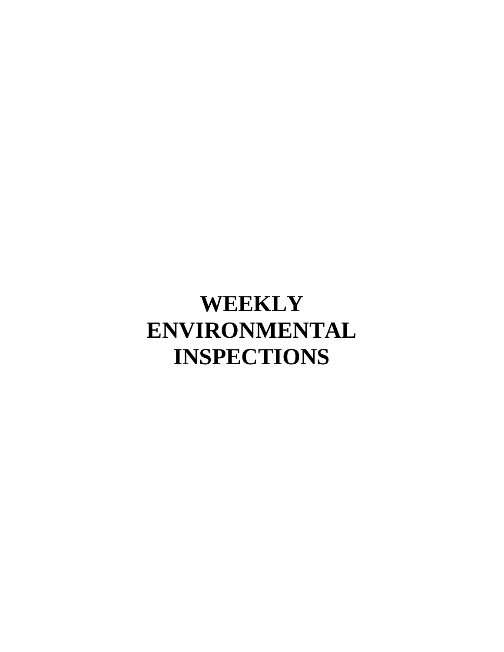# **WEEKLY ENVIRONMENTAL INSPECTIONS**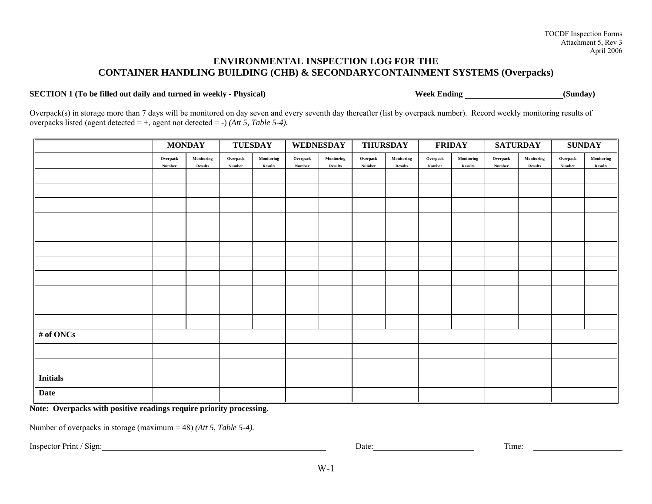# **ENVIRONMENTAL INSPECTION LOG FOR THE CONTAINER HANDLING BUILDING (CHB) & SECONDARYCONTAINMENT SYSTEMS (Overpacks)**

#### **SECTION 1** (To be filled out daily and turned in weekly - Physical) Week Ending Week Ending (Sunday)

Overpack(s) in storage more than 7 days will be monitored on day seven and every seventh day thereafter (list by overpack number). Record weekly monitoring results of overpacks listed (agent detected = +, agent not detected = -) *(Att 5, Table 5-4).*

|                 | <b>TUESDAY</b><br><b>MONDAY</b> |                              | WEDNESDAY<br><b>THURSDAY</b> |                              | <b>FRIDAY</b>      |                              | <b>SATURDAY</b>    |                              | <b>SUNDAY</b>      |                              |                    |                              |                    |                              |
|-----------------|---------------------------------|------------------------------|------------------------------|------------------------------|--------------------|------------------------------|--------------------|------------------------------|--------------------|------------------------------|--------------------|------------------------------|--------------------|------------------------------|
|                 | Overpack<br>Number              | Monitoring<br><b>Results</b> | Overpack<br>Number           | Monitoring<br><b>Results</b> | Overpack<br>Number | Monitoring<br><b>Results</b> | Overpack<br>Number | Monitoring<br><b>Results</b> | Overpack<br>Number | Monitoring<br><b>Results</b> | Overpack<br>Number | Monitoring<br><b>Results</b> | Overpack<br>Number | Monitoring<br><b>Results</b> |
|                 |                                 |                              |                              |                              |                    |                              |                    |                              |                    |                              |                    |                              |                    |                              |
|                 |                                 |                              |                              |                              |                    |                              |                    |                              |                    |                              |                    |                              |                    |                              |
|                 |                                 |                              |                              |                              |                    |                              |                    |                              |                    |                              |                    |                              |                    |                              |
|                 |                                 |                              |                              |                              |                    |                              |                    |                              |                    |                              |                    |                              |                    |                              |
|                 |                                 |                              |                              |                              |                    |                              |                    |                              |                    |                              |                    |                              |                    |                              |
|                 |                                 |                              |                              |                              |                    |                              |                    |                              |                    |                              |                    |                              |                    |                              |
|                 |                                 |                              |                              |                              |                    |                              |                    |                              |                    |                              |                    |                              |                    |                              |
|                 |                                 |                              |                              |                              |                    |                              |                    |                              |                    |                              |                    |                              |                    |                              |
|                 |                                 |                              |                              |                              |                    |                              |                    |                              |                    |                              |                    |                              |                    |                              |
|                 |                                 |                              |                              |                              |                    |                              |                    |                              |                    |                              |                    |                              |                    |                              |
|                 |                                 |                              |                              |                              |                    |                              |                    |                              |                    |                              |                    |                              |                    |                              |
| $#$ of ONCs     |                                 |                              |                              |                              |                    |                              |                    |                              |                    |                              |                    |                              |                    |                              |
|                 |                                 |                              |                              |                              |                    |                              |                    |                              |                    |                              |                    |                              |                    |                              |
|                 |                                 |                              |                              |                              |                    |                              |                    |                              |                    |                              |                    |                              |                    |                              |
| <b>Initials</b> |                                 |                              |                              |                              |                    |                              |                    |                              |                    |                              |                    |                              |                    |                              |
| <b>Date</b>     |                                 |                              |                              |                              |                    |                              |                    |                              |                    |                              |                    |                              |                    |                              |

**Note: Overpacks with positive readings require priority processing.** 

Number of overpacks in storage (maximum = 48) *(Att 5, Table 5-4).*

Inspector Print / Sign: Date: Time: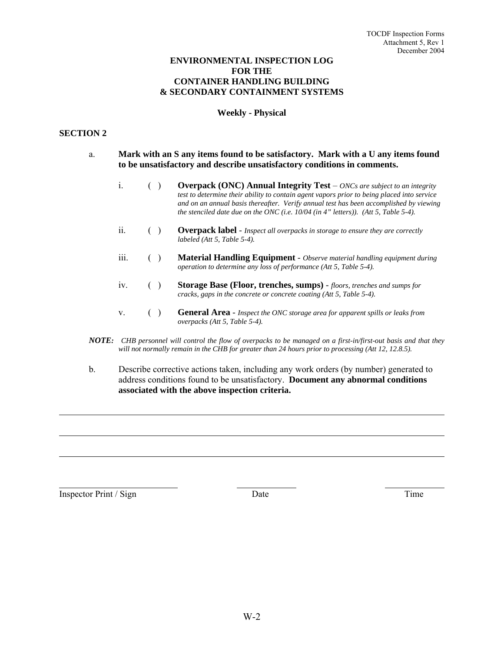#### **ENVIRONMENTAL INSPECTION LOG FOR THE CONTAINER HANDLING BUILDING & SECONDARY CONTAINMENT SYSTEMS**

#### **Weekly - Physical**

#### **SECTION 2**

- a. **Mark with an S any items found to be satisfactory. Mark with a U any items found to be unsatisfactory and describe unsatisfactory conditions in comments.**
	- i. **( ) Overpack (ONC) Annual Integrity Test** *ONCs are subject to an integrity test to determine their ability to contain agent vapors prior to being placed into service and on an annual basis thereafter. Verify annual test has been accomplished by viewing the stenciled date due on the ONC (i.e. 10/04 (in 4" letters)). (Att 5, Table 5-4).*
	- ii. ( ) **Overpack label** *Inspect all overpacks in storage to ensure they are correctly labeled (Att 5, Table 5-4).*
	- iii. ( ) **Material Handling Equipment** *Observe material handling equipment during operation to determine any loss of performance (Att 5, Table 5-4).*
	- iv. ( ) **Storage Base (Floor, trenches, sumps)** *floors, trenches and sumps for cracks, gaps in the concrete or concrete coating (Att 5, Table 5-4).*
	- v. ( ) **General Area** *Inspect the ONC storage area for apparent spills or leaks from overpacks (Att 5, Table 5-4).*
- *NOTE: CHB personnel will control the flow of overpacks to be managed on a first-in/first-out basis and that they will not normally remain in the CHB for greater than 24 hours prior to processing (Att 12, 12.8.5).*
- b. Describe corrective actions taken, including any work orders (by number) generated to address conditions found to be unsatisfactory. **Document any abnormal conditions associated with the above inspection criteria.**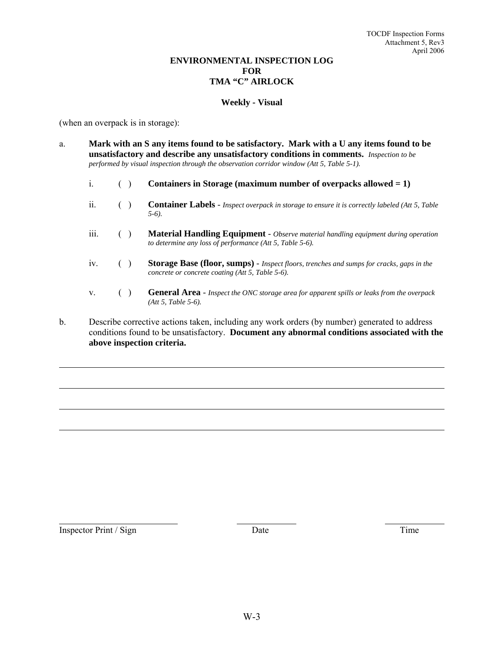#### **ENVIRONMENTAL INSPECTION LOG FOR TMA "C" AIRLOCK**

#### **Weekly - Visual**

(when an overpack is in storage):

- a. **Mark with an S any items found to be satisfactory. Mark with a U any items found to be unsatisfactory and describe any unsatisfactory conditions in comments.** *Inspection to be performed by visual inspection through the observation corridor window (Att 5, Table 5-1).*
	- i. ( ) **Containers in Storage (maximum number of overpacks allowed = 1)**
	- ii. ( ) **Container Labels** *Inspect overpack in storage to ensure it is correctly labeled (Att 5, Table 5-6).*
	- iii. ( ) **Material Handling Equipment** *Observe material handling equipment during operation to determine any loss of performance (Att 5, Table 5-6).*
	- iv. ( ) **Storage Base (floor, sumps)** *Inspect floors, trenches and sumps for cracks, gaps in the concrete or concrete coating (Att 5, Table 5-6).*
	- v. ( ) **General Area** *Inspect the ONC storage area for apparent spills or leaks from the overpack (Att 5, Table 5-6).*
- b. Describe corrective actions taken, including any work orders (by number) generated to address conditions found to be unsatisfactory. **Document any abnormal conditions associated with the above inspection criteria.**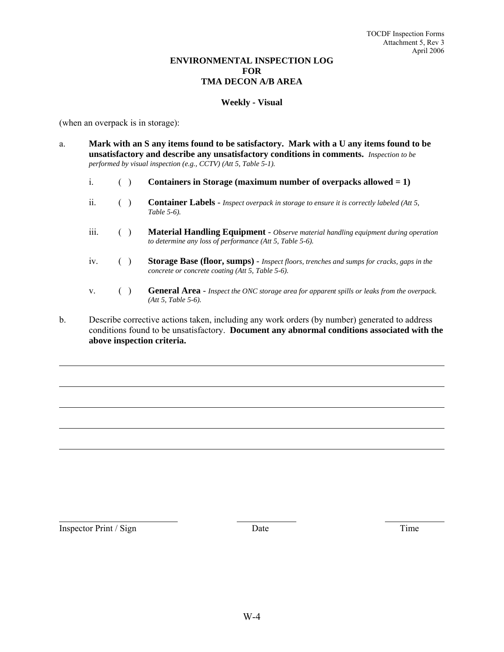#### **ENVIRONMENTAL INSPECTION LOG FOR TMA DECON A/B AREA**

#### **Weekly - Visual**

(when an overpack is in storage):

- a. **Mark with an S any items found to be satisfactory. Mark with a U any items found to be unsatisfactory and describe any unsatisfactory conditions in comments.** *Inspection to be performed by visual inspection (e.g., CCTV) (Att 5, Table 5-1).*
	- i. ( ) **Containers in Storage (maximum number of overpacks allowed = 1)**
	- ii. ( ) **Container Labels** *Inspect overpack in storage to ensure it is correctly labeled (Att 5, Table 5-6).*
	- iii. ( ) **Material Handling Equipment** *Observe material handling equipment during operation to determine any loss of performance (Att 5, Table 5-6).*
	- iv. ( ) **Storage Base (floor, sumps)** *Inspect floors, trenches and sumps for cracks, gaps in the concrete or concrete coating (Att 5, Table 5-6).*
	- v. ( ) **General Area** *Inspect the ONC storage area for apparent spills or leaks from the overpack. (Att 5, Table 5-6).*
- b. Describe corrective actions taken, including any work orders (by number) generated to address conditions found to be unsatisfactory. **Document any abnormal conditions associated with the above inspection criteria.**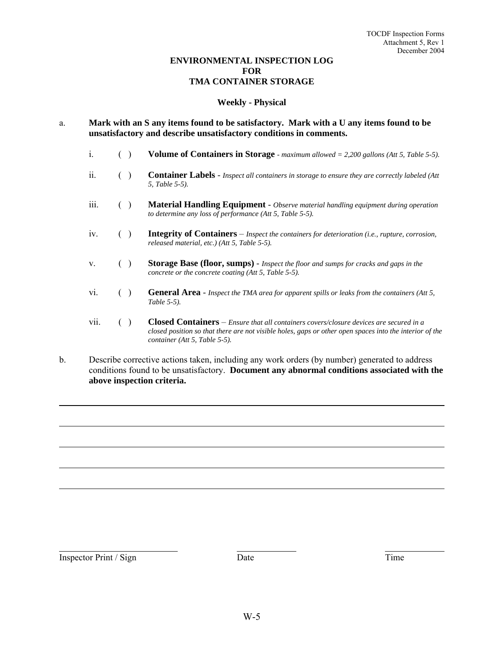#### **ENVIRONMENTAL INSPECTION LOG FOR TMA CONTAINER STORAGE**

#### **Weekly - Physical**

- a. **Mark with an S any items found to be satisfactory. Mark with a U any items found to be unsatisfactory and describe unsatisfactory conditions in comments.**
	- i. ( ) **Volume of Containers in Storage**  *maximum allowed = 2,200 gallons (Att 5, Table 5-5).*
	- ii. ( ) **Container Labels** *Inspect all containers in storage to ensure they are correctly labeled (Att 5, Table 5-5).*
	- iii. ( ) **Material Handling Equipment** *Observe material handling equipment during operation to determine any loss of performance (Att 5, Table 5-5).*
	- iv. ( ) **Integrity of Containers** *Inspect the containers for deterioration (i.e., rupture, corrosion, released material, etc.) (Att 5, Table 5-5).*
	- v. ( ) **Storage Base (floor, sumps)** *Inspect the floor and sumps for cracks and gaps in the concrete or the concrete coating (Att 5, Table 5-5).*
	- vi. ( ) **General Area** *Inspect the TMA area for apparent spills or leaks from the containers (Att 5, Table 5-5).*
	- vii. ( ) **Closed Containers** *Ensure that all containers covers/closure devices are secured in a closed position so that there are not visible holes, gaps or other open spaces into the interior of the container (Att 5, Table 5-5).*
- b. Describe corrective actions taken, including any work orders (by number) generated to address conditions found to be unsatisfactory. **Document any abnormal conditions associated with the above inspection criteria.**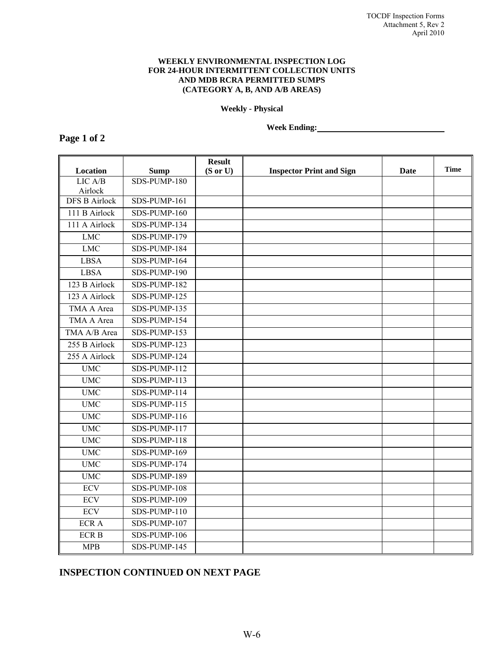#### **WEEKLY ENVIRONMENTAL INSPECTION LOG FOR 24-HOUR INTERMITTENT COLLECTION UNITS AND MDB RCRA PERMITTED SUMPS (CATEGORY A, B, AND A/B AREAS)**

**Weekly - Physical** 

**Week Ending:** 

#### **Page 1 of 2**

**Location Sump Result (S or U) Inspector Print and Sign Date Time**  LIC A/B Airlock SDS-PUMP-180 DFS B Airlock SDS-PUMP-161 111 B Airlock SDS-PUMP-160 111 A Airlock SDS-PUMP-134 LMC SDS-PUMP-179 LMC SDS-PUMP-184 LBSA SDS-PUMP-164 LBSA SDS-PUMP-190 123 B Airlock SDS-PUMP-182 123 A Airlock SDS-PUMP-125 TMA A Area SDS-PUMP-135 TMA A Area SDS-PUMP-154 TMA  $A/B$  Area SDS-PUMP-153 255 B Airlock SDS-PUMP-123 255 A Airlock SDS-PUMP-124 UMC SDS-PUMP-112 UMC SDS-PUMP-113 UMC SDS-PUMP-114 UMC SDS-PUMP-115 UMC SDS-PUMP-116 UMC SDS-PUMP-117 UMC SDS-PUMP-118 UMC SDS-PUMP-169 UMC SDS-PUMP-174 UMC SDS-PUMP-189 ECV SDS-PUMP-108 ECV SDS-PUMP-109 ECV SDS-PUMP-110 ECR A SDS-PUMP-107 ECR B SDS-PUMP-106 MPB SDS-PUMP-145

# **INSPECTION CONTINUED ON NEXT PAGE**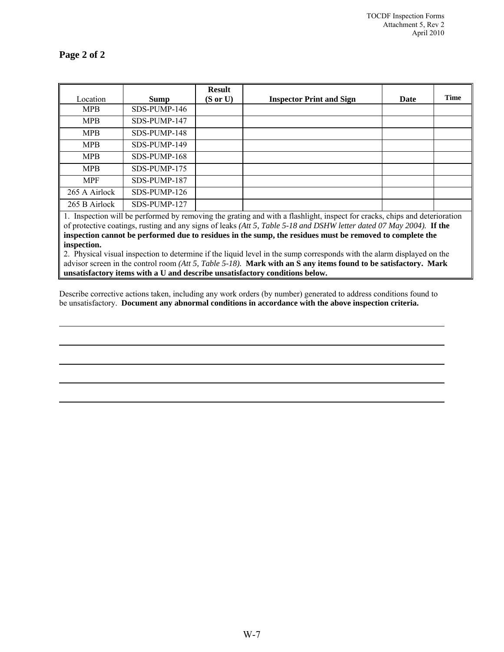| Location      | <b>Sump</b>  | <b>Result</b><br>$(S \text{ or } U)$ | <b>Inspector Print and Sign</b> | Date | <b>Time</b> |
|---------------|--------------|--------------------------------------|---------------------------------|------|-------------|
| <b>MPB</b>    | SDS-PUMP-146 |                                      |                                 |      |             |
| <b>MPB</b>    | SDS-PUMP-147 |                                      |                                 |      |             |
| <b>MPB</b>    | SDS-PUMP-148 |                                      |                                 |      |             |
| <b>MPB</b>    | SDS-PUMP-149 |                                      |                                 |      |             |
| <b>MPB</b>    | SDS-PUMP-168 |                                      |                                 |      |             |
| <b>MPB</b>    | SDS-PUMP-175 |                                      |                                 |      |             |
| <b>MPF</b>    | SDS-PUMP-187 |                                      |                                 |      |             |
| 265 A Airlock | SDS-PUMP-126 |                                      |                                 |      |             |
| 265 B Airlock | SDS-PUMP-127 |                                      |                                 |      |             |

1. Inspection will be performed by removing the grating and with a flashlight, inspect for cracks, chips and deterioration of protective coatings, rusting and any signs of leaks *(Att 5, Table 5-18 and DSHW letter dated 07 May 2004).* **If the inspection cannot be performed due to residues in the sump, the residues must be removed to complete the inspection.** 

2. Physical visual inspection to determine if the liquid level in the sump corresponds with the alarm displayed on the advisor screen in the control room *(Att 5, Table 5-18).* **Mark with an S any items found to be satisfactory. Mark unsatisfactory items with a U and describe unsatisfactory conditions below.** 

Describe corrective actions taken, including any work orders (by number) generated to address conditions found to be unsatisfactory. **Document any abnormal conditions in accordance with the above inspection criteria.**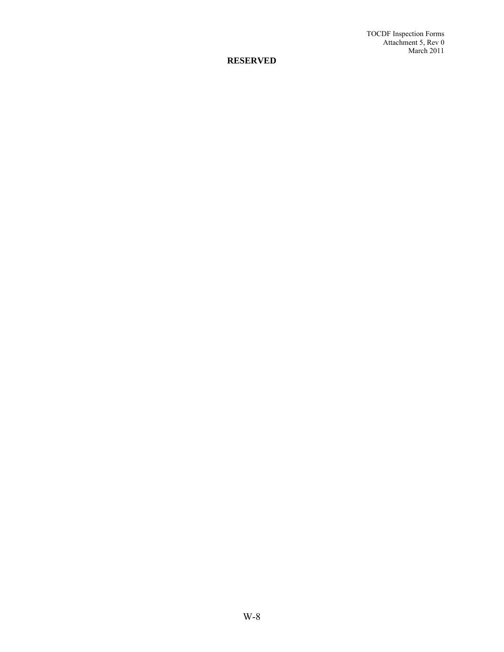TOCDF Inspection Forms Attachment 5, Rev 0 March 2011

# **RESERVED**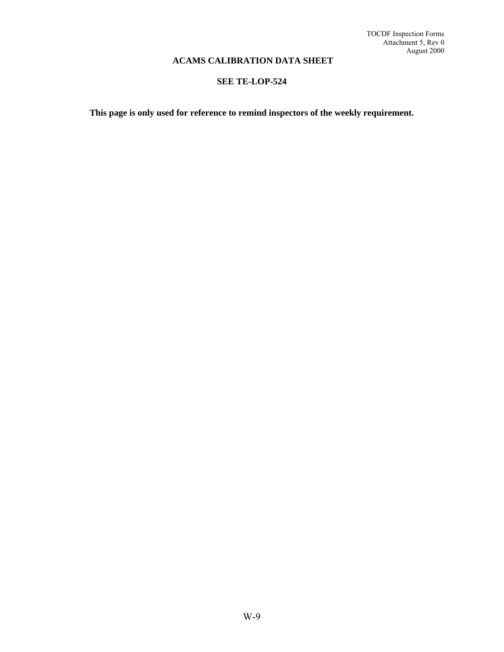# **ACAMS CALIBRATION DATA SHEET**

# **SEE TE-LOP-524**

**This page is only used for reference to remind inspectors of the weekly requirement.**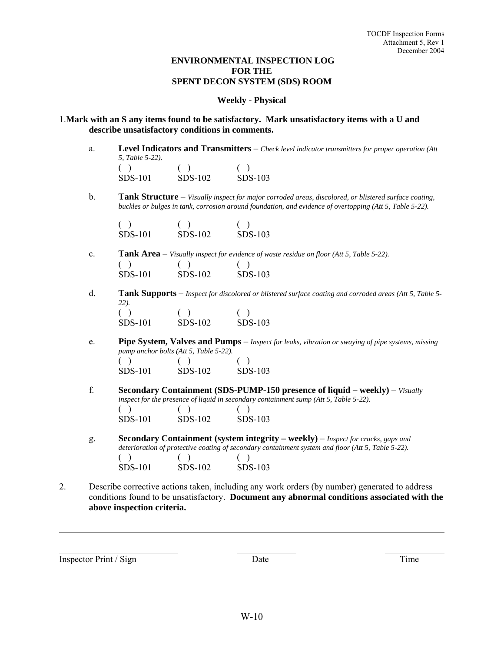#### **ENVIRONMENTAL INSPECTION LOG FOR THE SPENT DECON SYSTEM (SDS) ROOM**

#### **Weekly - Physical**

#### 1.**Mark with an S any items found to be satisfactory. Mark unsatisfactory items with a U and describe unsatisfactory conditions in comments.**

a. **Level Indicators and Transmitters** – *Check level indicator transmitters for proper operation (Att 5, Table 5-22).*   $( )$  ( ) ( )

| SDS-101 | SDS-102 | SDS-103 |
|---------|---------|---------|
|         |         |         |

b. **Tank Structure** – *Visually inspect for major corroded areas, discolored, or blistered surface coating, buckles or bulges in tank, corrosion around foundation, and evidence of overtopping (Att 5, Table 5-22).* 

| SDS-101 | SDS-102 | $SDS-103$ |
|---------|---------|-----------|

- c. **Tank Area** *Visually inspect for evidence of waste residue on floor (Att 5, Table 5-22).*  $( )$  ( ) ( ) SDS-101 SDS-102 SDS-103
- d. **Tank Supports** *Inspect for discolored or blistered surface coating and corroded areas (Att 5, Table 5- 22).*   $( )$  ( ) ( )

| SDS-101 | SDS-102 | $SDS-103$ |
|---------|---------|-----------|
|         |         |           |

- e. **Pipe System, Valves and Pumps** *Inspect for leaks, vibration or swaying of pipe systems, missing pump anchor bolts (Att 5, Table 5-22).*   $( )$  ( ) ( ) SDS-101 SDS-102 SDS-103
- f. **Secondary Containment (SDS-PUMP-150 presence of liquid weekly)**  *Visually inspect for the presence of liquid in secondary containment sump (Att 5, Table 5-22).*   $( )$  ( ) ( ) SDS-101 SDS-102 SDS-103
- g. **Secondary Containment (system integrity weekly)** *Inspect for cracks, gaps and deterioration of protective coating of secondary containment system and floor (Att 5, Table 5-22).*   $( )$  ( ) ( ) SDS-101 SDS-102 SDS-103
- 2. Describe corrective actions taken, including any work orders (by number) generated to address conditions found to be unsatisfactory. **Document any abnormal conditions associated with the above inspection criteria.**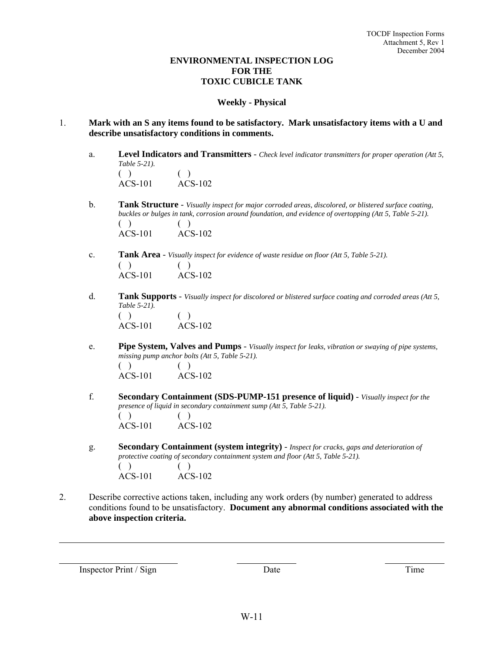## **ENVIRONMENTAL INSPECTION LOG FOR THE TOXIC CUBICLE TANK**

#### **Weekly - Physical**

- 1. **Mark with an S any items found to be satisfactory. Mark unsatisfactory items with a U and describe unsatisfactory conditions in comments.**
	- a. **Level Indicators and Transmitters** *Check level indicator transmitters for proper operation (Att 5, Table 5-21).*   $( )$  ( ) ACS-101 ACS-102
	- b. **Tank Structure** *Visually inspect for major corroded areas, discolored, or blistered surface coating, buckles or bulges in tank, corrosion around foundation, and evidence of overtopping (Att 5, Table 5-21).*   $( )$  ( ) ACS-101 ACS-102
	- c. **Tank Area** *Visually inspect for evidence of waste residue on floor (Att 5, Table 5-21).*   $( )$  ( ) ACS-101 ACS-102
	- d. **Tank Supports** *Visually inspect for discolored or blistered surface coating and corroded areas (Att 5, Table 5-21).*  $( )$  ( ) ACS-101 ACS-102
	- e. **Pipe System, Valves and Pumps** *Visually inspect for leaks, vibration or swaying of pipe systems, missing pump anchor bolts (Att 5, Table 5-21).*   $( )$  ( ) ACS-101 ACS-102
	- f. **Secondary Containment (SDS-PUMP-151 presence of liquid)** *Visually inspect for the presence of liquid in secondary containment sump (Att 5, Table 5-21).*   $( )$  ( ) ACS-101 ACS-102
	- g. **Secondary Containment (system integrity)** *Inspect for cracks, gaps and deterioration of protective coating of secondary containment system and floor (Att 5, Table 5-21).*  $( )$  ( ) ACS-101 ACS-102
- 2. Describe corrective actions taken, including any work orders (by number) generated to address conditions found to be unsatisfactory. **Document any abnormal conditions associated with the above inspection criteria.**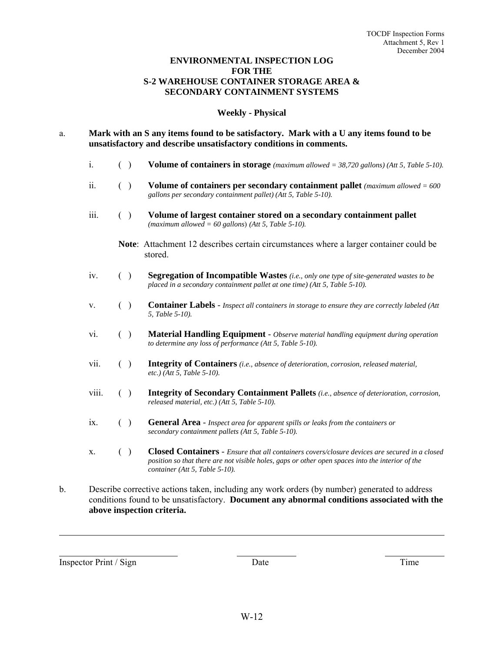#### **ENVIRONMENTAL INSPECTION LOG FOR THE S-2 WAREHOUSE CONTAINER STORAGE AREA & SECONDARY CONTAINMENT SYSTEMS**

#### **Weekly - Physical**

- a. **Mark with an S any items found to be satisfactory. Mark with a U any items found to be unsatisfactory and describe unsatisfactory conditions in comments.**
	- i. ( ) **Volume of containers in storage** *(maximum allowed = 38,720 gallons) (Att 5, Table 5-10).*
	- ii. ( ) **Volume of containers per secondary containment pallet** *(maximum allowed = 600 gallons per secondary containment pallet) (Att 5, Table 5-10).*
	- iii. ( ) **Volume of largest container stored on a secondary containment pallet** *(maximum allowed = 60 gallons*) *(Att 5, Table 5-10).* 
		- **Note**: Attachment 12 describes certain circumstances where a larger container could be stored.
	- iv. ( ) **Segregation of Incompatible Wastes** *(i.e., only one type of site-generated wastes to be placed in a secondary containment pallet at one time) (Att 5, Table 5-10).*
	- v. ( ) **Container Labels** *Inspect all containers in storage to ensure they are correctly labeled (Att 5, Table 5-10).*
	- vi. ( ) **Material Handling Equipment** *Observe material handling equipment during operation to determine any loss of performance (Att 5, Table 5-10).*
	- vii. ( ) **Integrity of Containers** *(i.e., absence of deterioration, corrosion, released material, etc.) (Att 5, Table 5-10).*
	- viii. ( ) **Integrity of Secondary Containment Pallets** *(i.e., absence of deterioration, corrosion, released material, etc.) (Att 5, Table 5-10).*
	- ix. ( ) **General Area** *Inspect area for apparent spills or leaks from the containers or secondary containment pallets (Att 5, Table 5-10).*
	- x. ( ) **Closed Containers** *Ensure that all containers covers/closure devices are secured in a closed position so that there are not visible holes, gaps or other open spaces into the interior of the container (Att 5, Table 5-10).*
- b. Describe corrective actions taken, including any work orders (by number) generated to address conditions found to be unsatisfactory. **Document any abnormal conditions associated with the above inspection criteria.**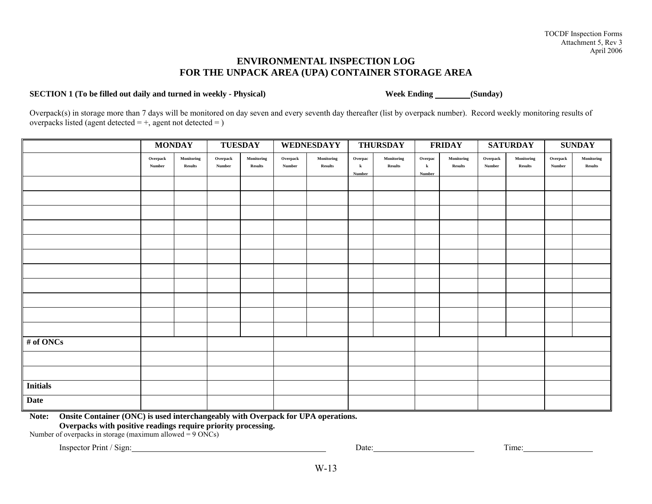# **ENVIRONMENTAL INSPECTION LOG FOR THE UNPACK AREA (UPA) CONTAINER STORAGE AREA**

#### **SECTION 1** (To be filled out daily and turned in weekly - Physical) Week Ending (Sunday)

Overpack(s) in storage more than 7 days will be monitored on day seven and every seventh day thereafter (list by overpack number). Record weekly monitoring results of overpacks listed (agent detected  $= +$ , agent not detected  $=$  )

|                 | <b>MONDAY</b>              |                              | <b>TUESDAY</b>             |                              |                    | WEDNESDAYY                   |                              | <b>THURSDAY</b>              |                              | <b>FRIDAY</b>                |                    | <b>SATURDAY</b>              |                            | <b>SUNDAY</b>                |
|-----------------|----------------------------|------------------------------|----------------------------|------------------------------|--------------------|------------------------------|------------------------------|------------------------------|------------------------------|------------------------------|--------------------|------------------------------|----------------------------|------------------------------|
|                 | ${\bf Overpack}$<br>Number | Monitoring<br><b>Results</b> | ${\bf Overpack}$<br>Number | Monitoring<br><b>Results</b> | Overpack<br>Number | Monitoring<br><b>Results</b> | Overpac<br>$\bf k$<br>Number | Monitoring<br><b>Results</b> | Overpac<br>$\bf k$<br>Number | Monitoring<br><b>Results</b> | Overpack<br>Number | Monitoring<br><b>Results</b> | ${\bf Overpack}$<br>Number | Monitoring<br><b>Results</b> |
|                 |                            |                              |                            |                              |                    |                              |                              |                              |                              |                              |                    |                              |                            |                              |
|                 |                            |                              |                            |                              |                    |                              |                              |                              |                              |                              |                    |                              |                            |                              |
|                 |                            |                              |                            |                              |                    |                              |                              |                              |                              |                              |                    |                              |                            |                              |
|                 |                            |                              |                            |                              |                    |                              |                              |                              |                              |                              |                    |                              |                            |                              |
|                 |                            |                              |                            |                              |                    |                              |                              |                              |                              |                              |                    |                              |                            |                              |
|                 |                            |                              |                            |                              |                    |                              |                              |                              |                              |                              |                    |                              |                            |                              |
|                 |                            |                              |                            |                              |                    |                              |                              |                              |                              |                              |                    |                              |                            |                              |
|                 |                            |                              |                            |                              |                    |                              |                              |                              |                              |                              |                    |                              |                            |                              |
|                 |                            |                              |                            |                              |                    |                              |                              |                              |                              |                              |                    |                              |                            |                              |
|                 |                            |                              |                            |                              |                    |                              |                              |                              |                              |                              |                    |                              |                            |                              |
|                 |                            |                              |                            |                              |                    |                              |                              |                              |                              |                              |                    |                              |                            |                              |
| # of ONCs       |                            |                              |                            |                              |                    |                              |                              |                              |                              |                              |                    |                              |                            |                              |
|                 |                            |                              |                            |                              |                    |                              |                              |                              |                              |                              |                    |                              |                            |                              |
|                 |                            |                              |                            |                              |                    |                              |                              |                              |                              |                              |                    |                              |                            |                              |
| <b>Initials</b> |                            |                              |                            |                              |                    |                              |                              |                              |                              |                              |                    |                              |                            |                              |
| <b>Date</b>     |                            |                              |                            |                              |                    |                              |                              |                              |                              |                              |                    |                              |                            |                              |

**Note: Onsite Container (ONC) is used interchangeably with Overpack for UPA operations.** 

**Overpacks with positive readings require priority processing.** 

Number of overpacks in storage (maximum allowed  $= 9$  ONCs)

Inspector Print / Sign: Time: Time: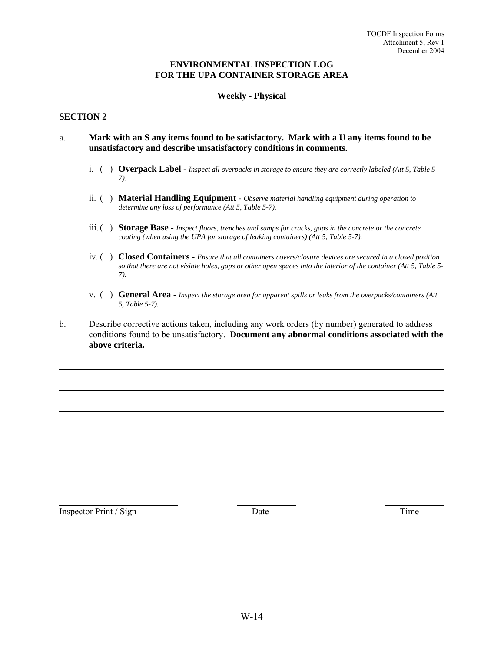#### **ENVIRONMENTAL INSPECTION LOG FOR THE UPA CONTAINER STORAGE AREA**

#### **Weekly - Physical**

#### **SECTION 2**

- a. **Mark with an S any items found to be satisfactory. Mark with a U any items found to be unsatisfactory and describe unsatisfactory conditions in comments.** 
	- i. ( ) **Overpack Label** *Inspect all overpacks in storage to ensure they are correctly labeled (Att 5, Table 5- 7).*
	- ii. ( ) **Material Handling Equipment** *Observe material handling equipment during operation to determine any loss of performance (Att 5, Table 5-7).*
	- iii. ( ) **Storage Base** *Inspect floors, trenches and sumps for cracks, gaps in the concrete or the concrete coating (when using the UPA for storage of leaking containers) (Att 5, Table 5-7).*
	- iv. ( ) **Closed Containers** *Ensure that all containers covers/closure devices are secured in a closed position so that there are not visible holes, gaps or other open spaces into the interior of the container (Att 5, Table 5- 7).*
	- v. ( ) **General Area** *Inspect the storage area for apparent spills or leaks from the overpacks/containers (Att 5, Table 5-7).*
- b. Describe corrective actions taken, including any work orders (by number) generated to address conditions found to be unsatisfactory. **Document any abnormal conditions associated with the above criteria.**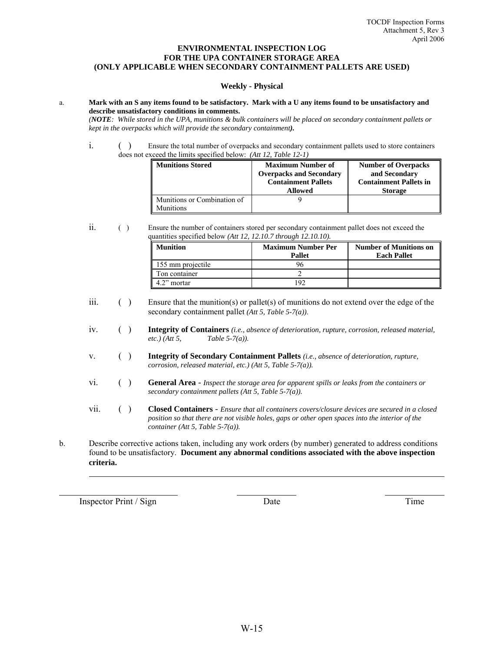#### **ENVIRONMENTAL INSPECTION LOG FOR THE UPA CONTAINER STORAGE AREA (ONLY APPLICABLE WHEN SECONDARY CONTAINMENT PALLETS ARE USED)**

#### **Weekly - Physical**

#### a. **Mark with an S any items found to be satisfactory. Mark with a U any items found to be unsatisfactory and describe unsatisfactory conditions in comments.**

*(NOTE: While stored in the UPA, munitions & bulk containers will be placed on secondary containment pallets or kept in the overpacks which will provide the secondary containment).* 

i. ( ) Ensure the total number of overpacks and secondary containment pallets used to store containers does not exceed the limits specified below: *(Att 12, Table 12-1)*

| Munitions Stored                         | <b>Maximum Number of</b><br><b>Overpacks and Secondary</b><br><b>Containment Pallets</b><br>Allowed | <b>Number of Overpacks</b><br>and Secondary<br><b>Containment Pallets in</b><br><b>Storage</b> |
|------------------------------------------|-----------------------------------------------------------------------------------------------------|------------------------------------------------------------------------------------------------|
| Munitions or Combination of<br>Munitions |                                                                                                     |                                                                                                |

ii. ( ) Ensure the number of containers stored per secondary containment pallet does not exceed the quantities specified below *(Att 12, 12.10.7 through 12.10.10).* 

| <b>Munition</b>   | <b>Maximum Number Per</b><br>Pallet | <b>Number of Munitions on</b><br><b>Each Pallet</b> |
|-------------------|-------------------------------------|-----------------------------------------------------|
| 155 mm projectile |                                     |                                                     |
| Ton container     |                                     |                                                     |
| 4.2" mortar       |                                     |                                                     |

iii.  $( )$  Ensure that the munition(s) or pallet(s) of munitions do not extend over the edge of the secondary containment pallet *(Att 5, Table 5-7(a))*.

iv. ( ) **Integrity of Containers** *(i.e., absence of deterioration, rupture, corrosion, released material, Table 5-7(a)).* 

- v. ( ) **Integrity of Secondary Containment Pallets** *(i.e., absence of deterioration, rupture, corrosion, released material, etc.) (Att 5, Table 5-7(a)).*
- vi. ( ) **General Area** *Inspect the storage area for apparent spills or leaks from the containers or secondary containment pallets (Att 5, Table 5-7(a)).*
- vii. ( ) **Closed Containers** *Ensure that all containers covers/closure devices are secured in a closed position so that there are not visible holes, gaps or other open spaces into the interior of the container (Att 5, Table 5-7(a)).*
- b. Describe corrective actions taken, including any work orders (by number) generated to address conditions found to be unsatisfactory. **Document any abnormal conditions associated with the above inspection criteria.**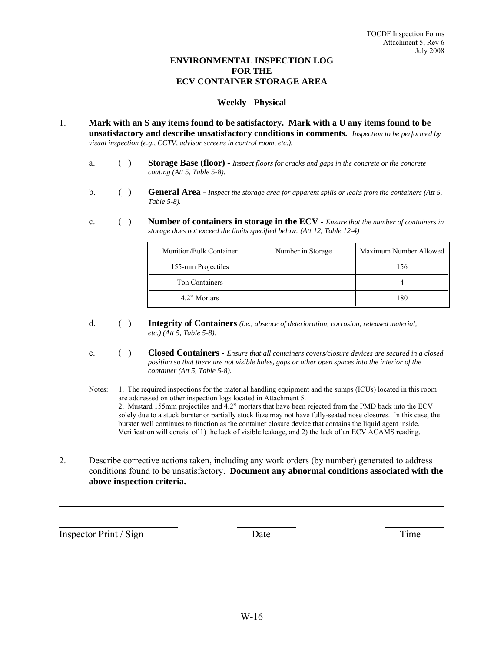# **ENVIRONMENTAL INSPECTION LOG FOR THE ECV CONTAINER STORAGE AREA**

#### **Weekly - Physical**

- 1. **Mark with an S any items found to be satisfactory. Mark with a U any items found to be unsatisfactory and describe unsatisfactory conditions in comments.** *Inspection to be performed by visual inspection (e.g., CCTV, advisor screens in control room, etc.).* 
	- a. ( ) **Storage Base (floor)** *Inspect floors for cracks and gaps in the concrete or the concrete coating (Att 5, Table 5-8).*
	- b. ( ) **General Area** *Inspect the storage area for apparent spills or leaks from the containers (Att 5, Table 5-8).*
	- c. ( ) **Number of containers in storage in the ECV** *Ensure that the number of containers in storage does not exceed the limits specified below: (Att 12, Table 12-4)*

| Munition/Bulk Container | Number in Storage | Maximum Number Allowed |
|-------------------------|-------------------|------------------------|
| 155-mm Projectiles      |                   | 156                    |
| <b>Ton Containers</b>   |                   |                        |
| 4.2" Mortars            |                   | 180                    |

- d. ( ) **Integrity of Containers** *(i.e., absence of deterioration, corrosion, released material, etc.) (Att 5, Table 5-8).*
- e. ( ) **Closed Containers** *Ensure that all containers covers/closure devices are secured in a closed position so that there are not visible holes, gaps or other open spaces into the interior of the container (Att 5, Table 5-8).*
- Notes: 1. The required inspections for the material handling equipment and the sumps (ICUs) located in this room are addressed on other inspection logs located in Attachment 5. 2. Mustard 155mm projectiles and 4.2" mortars that have been rejected from the PMD back into the ECV solely due to a stuck burster or partially stuck fuze may not have fully-seated nose closures. In this case, the burster well continues to function as the container closure device that contains the liquid agent inside. Verification will consist of 1) the lack of visible leakage, and 2) the lack of an ECV ACAMS reading.
- 2. Describe corrective actions taken, including any work orders (by number) generated to address conditions found to be unsatisfactory. **Document any abnormal conditions associated with the above inspection criteria.**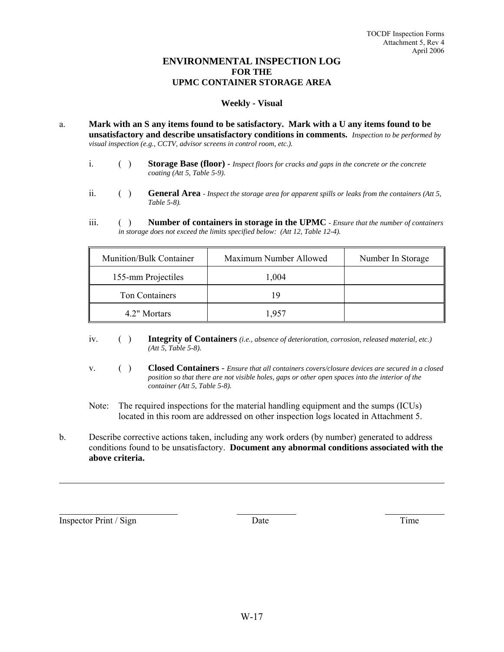# **ENVIRONMENTAL INSPECTION LOG FOR THE UPMC CONTAINER STORAGE AREA**

#### **Weekly - Visual**

- a. **Mark with an S any items found to be satisfactory. Mark with a U any items found to be unsatisfactory and describe unsatisfactory conditions in comments.** *Inspection to be performed by visual inspection (e.g., CCTV, advisor screens in control room, etc.).* 
	- i. ( ) **Storage Base (floor)** *Inspect floors for cracks and gaps in the concrete or the concrete coating (Att 5, Table 5-9).*
	- ii. ( ) **General Area** *Inspect the storage area for apparent spills or leaks from the containers (Att 5, Table 5-8).*
	- iii. ( ) **Number of containers in storage in the UPMC**  *Ensure that the number of containers in storage does not exceed the limits specified below: (Att 12, Table 12-4).*

| <b>Munition/Bulk Container</b> | Maximum Number Allowed | Number In Storage |
|--------------------------------|------------------------|-------------------|
| 155-mm Projectiles             | 1,004                  |                   |
| Ton Containers                 | 19                     |                   |
| 4.2" Mortars                   | 1.957                  |                   |

- iv. ( ) **Integrity of Containers** *(i.e., absence of deterioration, corrosion, released material, etc.) (Att 5, Table 5-8).*
- v. ( ) **Closed Containers** *Ensure that all containers covers/closure devices are secured in a closed position so that there are not visible holes, gaps or other open spaces into the interior of the container (Att 5, Table 5-8).*
- Note: The required inspections for the material handling equipment and the sumps (ICUs) located in this room are addressed on other inspection logs located in Attachment 5.
- b. Describe corrective actions taken, including any work orders (by number) generated to address conditions found to be unsatisfactory. **Document any abnormal conditions associated with the above criteria.**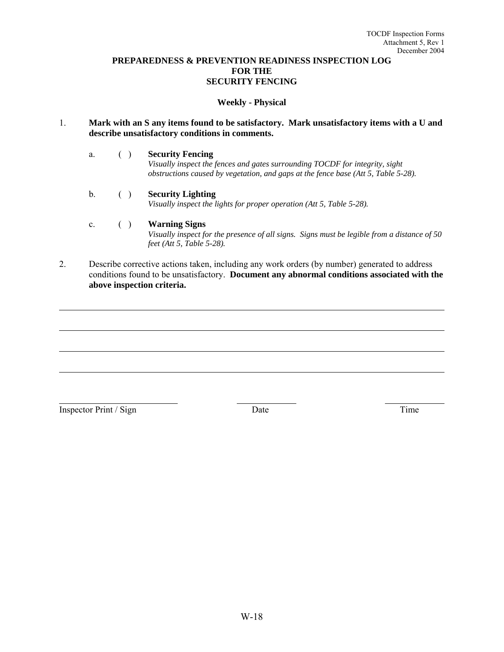#### **PREPAREDNESS & PREVENTION READINESS INSPECTION LOG FOR THE SECURITY FENCING**

#### **Weekly - Physical**

#### 1. **Mark with an S any items found to be satisfactory. Mark unsatisfactory items with a U and describe unsatisfactory conditions in comments.**

a. ( ) **Security Fencing**

 *Visually inspect the fences and gates surrounding TOCDF for integrity, sight obstructions caused by vegetation, and gaps at the fence base (Att 5, Table 5-28).*

b. ( ) **Security Lighting**

*Visually inspect the lights for proper operation (Att 5, Table 5-28).*

#### c. ( ) **Warning Signs**

 *Visually inspect for the presence of all signs. Signs must be legible from a distance of 50 feet (Att 5, Table 5-28).*

2. Describe corrective actions taken, including any work orders (by number) generated to address conditions found to be unsatisfactory. **Document any abnormal conditions associated with the above inspection criteria.**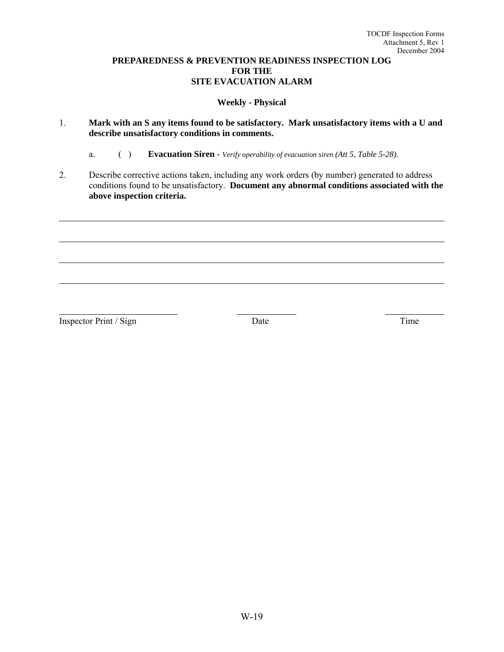### **PREPAREDNESS & PREVENTION READINESS INSPECTION LOG FOR THE SITE EVACUATION ALARM**

# **Weekly - Physical**

- 1. **Mark with an S any items found to be satisfactory. Mark unsatisfactory items with a U and describe unsatisfactory conditions in comments.**
	- a. ( ) **Evacuation Siren** *Verify operability of evacuation siren (Att 5, Table 5-28).*
- 2. Describe corrective actions taken, including any work orders (by number) generated to address conditions found to be unsatisfactory. **Document any abnormal conditions associated with the above inspection criteria.**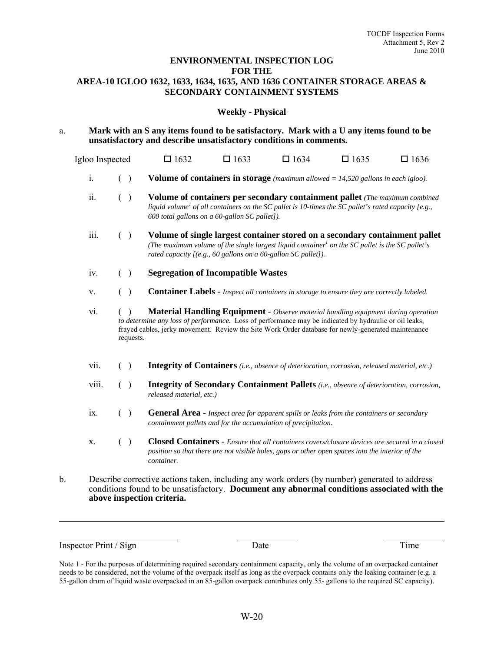#### **ENVIRONMENTAL INSPECTION LOG FOR THE AREA-10 IGLOO 1632, 1633, 1634, 1635, AND 1636 CONTAINER STORAGE AREAS & SECONDARY CONTAINMENT SYSTEMS**

#### **Weekly - Physical**

a. **Mark with an S any items found to be satisfactory. Mark with a U any items found to be unsatisfactory and describe unsatisfactory conditions in comments.**

Igloo Inspected  $\Box$  1632  $\Box$  1633  $\Box$  1634  $\Box$  1635  $\Box$  1636

- i. ( ) **Volume of containers in storage** *(maximum allowed = 14,520 gallons in each igloo).*
- ii. ( ) **Volume of containers per secondary containment pallet** *(The maximum combined liquid volume<sup>1</sup> of all containers on the SC pallet is 10-times the SC pallet's rated capacity [e.g., 600 total gallons on a 60-gallon SC pallet]).*
- iii. ( ) **Volume of single largest container stored on a secondary containment pallet** *(The maximum volume of the single largest liquid container<sup>1</sup> on the SC pallet is the SC pallet's rated capacity [(e.g., 60 gallons on a 60-gallon SC pallet]).*
- iv. ( ) **Segregation of Incompatible Wastes**
- v. ( ) **Container Labels** *Inspect all containers in storage to ensure they are correctly labeled.*
- vi. ( ) **Material Handling Equipment** *Observe material handling equipment during operation to determine any loss of performance.* Loss of performance may be indicated by hydraulic or oil leaks, frayed cables, jerky movement. Review the Site Work Order database for newly-generated maintenance requests.
- vii. ( ) **Integrity of Containers** *(i.e., absence of deterioration, corrosion, released material, etc.)*
- viii. ( ) **Integrity of Secondary Containment Pallets** *(i.e., absence of deterioration, corrosion, released material, etc.)*
- ix. ( ) **General Area** *Inspect area for apparent spills or leaks from the containers or secondary containment pallets and for the accumulation of precipitation.*
- x. ( ) **Closed Containers** *Ensure that all containers covers/closure devices are secured in a closed position so that there are not visible holes, gaps or other open spaces into the interior of the container.*
- b. Describe corrective actions taken, including any work orders (by number) generated to address conditions found to be unsatisfactory. **Document any abnormal conditions associated with the above inspection criteria.**

Inspector Print / Sign Date Date Time

Note 1 - For the purposes of determining required secondary containment capacity, only the volume of an overpacked container needs to be considered, not the volume of the overpack itself as long as the overpack contains only the leaking container (e.g. a 55-gallon drum of liquid waste overpacked in an 85-gallon overpack contributes only 55- gallons to the required SC capacity).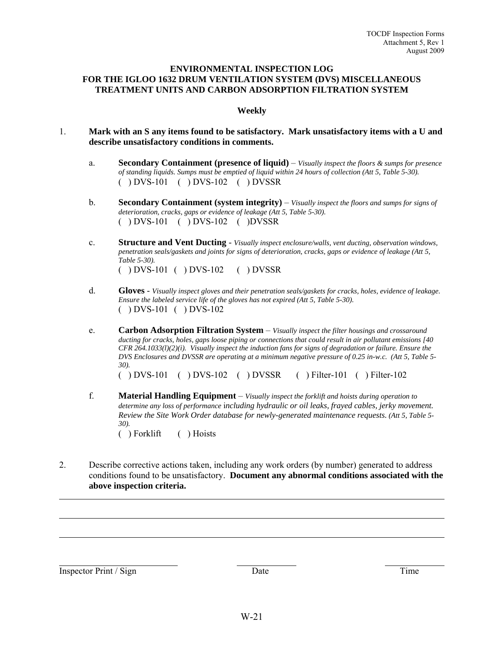#### **ENVIRONMENTAL INSPECTION LOG FOR THE IGLOO 1632 DRUM VENTILATION SYSTEM (DVS) MISCELLANEOUS TREATMENT UNITS AND CARBON ADSORPTION FILTRATION SYSTEM**

#### **Weekly**

- 1. **Mark with an S any items found to be satisfactory. Mark unsatisfactory items with a U and describe unsatisfactory conditions in comments.**
	- a. **Secondary Containment (presence of liquid)** *Visually inspect the floors & sumps for presence of standing liquids. Sumps must be emptied of liquid within 24 hours of collection (Att 5, Table 5-30).* ( ) DVS-101 ( ) DVS-102 ( ) DVSSR
	- b. **Secondary Containment (system integrity)** *Visually inspect the floors and sumps for signs of deterioration, cracks, gaps or evidence of leakage (Att 5, Table 5-30).* ( ) DVS-101 ( ) DVS-102 ( )DVSSR
	- c. **Structure and Vent Ducting** *Visually inspect enclosure/walls, vent ducting, observation windows, penetration seals/gaskets and joints for signs of deterioration, cracks, gaps or evidence of leakage (Att 5, Table 5-30).*  ( ) DVS-101 ( ) DVS-102 ( ) DVSSR
	- d. **Gloves** *Visually inspect gloves and their penetration seals/gaskets for cracks, holes, evidence of leakage. Ensure the labeled service life of the gloves has not expired (Att 5, Table 5-30).*  ( ) DVS-101 ( ) DVS-102
	- e. **Carbon Adsorption Filtration System** *Visually inspect the filter housings and crossaround ducting for cracks, holes, gaps loose piping or connections that could result in air pollutant emissions [40 CFR 264.1033(l)(2)(i). Visually inspect the induction fans for signs of degradation or failure. Ensure the DVS Enclosures and DVSSR are operating at a minimum negative pressure of 0.25 in-w.c. (Att 5, Table 5- 30).*

( ) DVS-101 ( ) DVS-102 ( ) DVSSR ( ) Filter-101 ( ) Filter-102

- f. **Material Handling Equipment** *Visually inspect the forklift and hoists during operation to determine any loss of performance* i*ncluding hydraulic or oil leaks, frayed cables, jerky movement. Review the Site Work Order database for newly-generated maintenance requests. (Att 5, Table 5- 30).*  ( ) Forklift ( ) Hoists
- 2. Describe corrective actions taken, including any work orders (by number) generated to address conditions found to be unsatisfactory. **Document any abnormal conditions associated with the above inspection criteria.**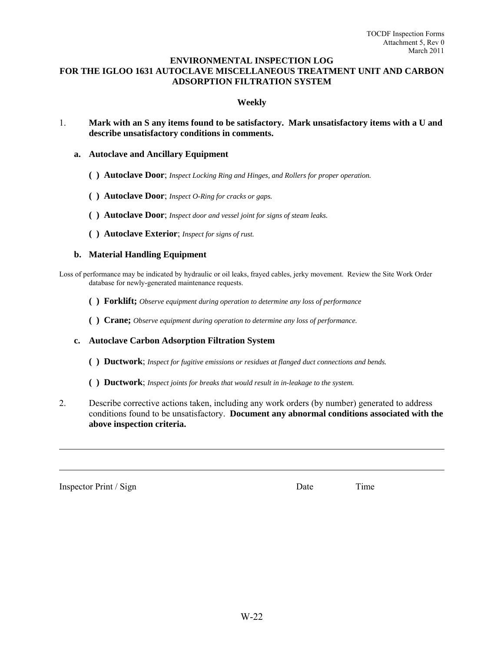#### **ENVIRONMENTAL INSPECTION LOG FOR THE IGLOO 1631 AUTOCLAVE MISCELLANEOUS TREATMENT UNIT AND CARBON ADSORPTION FILTRATION SYSTEM**

#### **Weekly**

- 1. **Mark with an S any items found to be satisfactory. Mark unsatisfactory items with a U and describe unsatisfactory conditions in comments.** 
	- **a. Autoclave and Ancillary Equipment** 
		- **( ) Autoclave Door**; *Inspect Locking Ring and Hinges, and Rollers for proper operation.*
		- **( ) Autoclave Door**; *Inspect O-Ring for cracks or gaps.*
		- **( ) Autoclave Door**; *Inspect door and vessel joint for signs of steam leaks.*
		- **( ) Autoclave Exterior**; *Inspect for signs of rust.*

#### **b. Material Handling Equipment**

Loss of performance may be indicated by hydraulic or oil leaks, frayed cables, jerky movement. Review the Site Work Order database for newly-generated maintenance requests.

- **( ) Forklift;** *Observe equipment during operation to determine any loss of performance*
- **( ) Crane;** *Observe equipment during operation to determine any loss of performance.*
- **c. Autoclave Carbon Adsorption Filtration System** 
	- **( ) Ductwork**; *Inspect for fugitive emissions or residues at flanged duct connections and bends.*
	- **( ) Ductwork**; *Inspect joints for breaks that would result in in-leakage to the system.*
- 2. Describe corrective actions taken, including any work orders (by number) generated to address conditions found to be unsatisfactory. **Document any abnormal conditions associated with the above inspection criteria.**

Inspector Print / Sign Date Date Time

W-22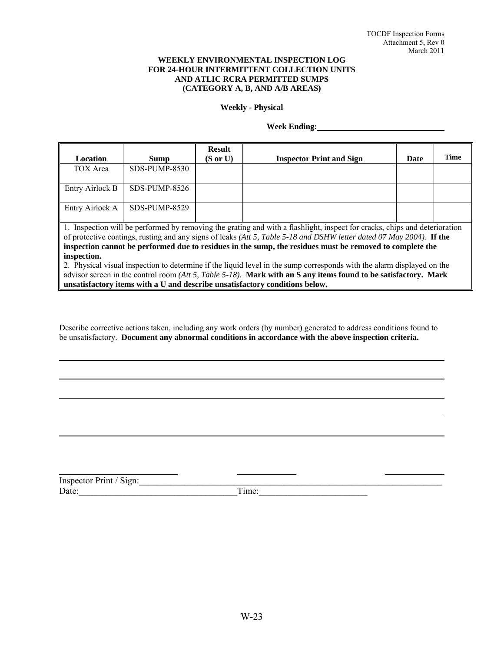#### **WEEKLY ENVIRONMENTAL INSPECTION LOG FOR 24-HOUR INTERMITTENT COLLECTION UNITS AND ATLIC RCRA PERMITTED SUMPS (CATEGORY A, B, AND A/B AREAS)**

#### **Weekly - Physical**

#### **Week Ending:**

| <b>Location</b>                                                                                                                                                                                                                                                                                                  | Sump          | <b>Result</b><br>$(S \text{ or } U)$ | <b>Inspector Print and Sign</b> | Date | Time |
|------------------------------------------------------------------------------------------------------------------------------------------------------------------------------------------------------------------------------------------------------------------------------------------------------------------|---------------|--------------------------------------|---------------------------------|------|------|
| TOX Area                                                                                                                                                                                                                                                                                                         | SDS-PUMP-8530 |                                      |                                 |      |      |
| Entry Airlock B                                                                                                                                                                                                                                                                                                  | SDS-PUMP-8526 |                                      |                                 |      |      |
| Entry Airlock A                                                                                                                                                                                                                                                                                                  | SDS-PUMP-8529 |                                      |                                 |      |      |
| 1. Inspection will be performed by removing the grating and with a flashlight, inspect for cracks, chips and deterioration<br>of protective coatings, rusting and any signs of leaks (Att 5, Table 5-18 and DSHW letter dated 07 May 2004). If the<br>المفارق المناقب المقارب المناقب والمتعالم المقارب والمراقب |               |                                      |                                 |      |      |

**inspection cannot be performed due to residues in the sump, the residues must be removed to complete the inspection.**  2. Physical visual inspection to determine if the liquid level in the sump corresponds with the alarm displayed on the

advisor screen in the control room *(Att 5, Table 5-18).* **Mark with an S any items found to be satisfactory. Mark unsatisfactory items with a U and describe unsatisfactory conditions below.**

Describe corrective actions taken, including any work orders (by number) generated to address conditions found to be unsatisfactory. **Document any abnormal conditions in accordance with the above inspection criteria.** 

| Inspector Print / Sign: |      |
|-------------------------|------|
| Date:                   | ime: |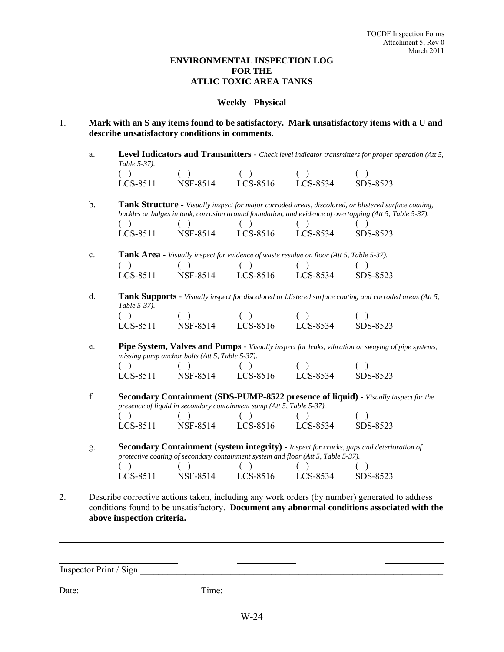## **ENVIRONMENTAL INSPECTION LOG FOR THE ATLIC TOXIC AREA TANKS**

#### **Weekly - Physical**

- 1. **Mark with an S any items found to be satisfactory. Mark unsatisfactory items with a U and describe unsatisfactory conditions in comments.**
	- a. **Level Indicators and Transmitters** *Check level indicator transmitters for proper operation (Att 5, Table 5-37).*

| LCS-8511 | NSF-8514 | LCS-8516 | LCS-8534 | SDS-8523 |
|----------|----------|----------|----------|----------|

b. **Tank Structure** - *Visually inspect for major corroded areas, discolored, or blistered surface coating, buckles or bulges in tank, corrosion around foundation, and evidence of overtopping (Att 5, Table 5-37).* 

| LCS-8511 | NSF-8514 | LCS-8516 | LCS-8534 | SDS-8523 |
|----------|----------|----------|----------|----------|

- c. **Tank Area** *Visually inspect for evidence of waste residue on floor (Att 5, Table 5-37).*   $( \ )$  ( ) ( ) ( ) ( ) LCS-8511 NSF-8514 LCS-8516 LCS-8534 SDS-8523
- d. **Tank Supports** *Visually inspect for discolored or blistered surface coating and corroded areas (Att 5, Table 5-37).*  $( \ )$  ( ) ( ) ( ) ( )

| LCS-8511 | NSF-8514 | LCS-8516 | LCS-8534 | SDS-8523 |
|----------|----------|----------|----------|----------|

e. **Pipe System, Valves and Pumps** - *Visually inspect for leaks, vibration or swaying of pipe systems, missing pump anchor bolts (Att 5, Table 5-37).*   $( \ )$  ( ) ( ) ( ) ( ) LCS-8511 NSF-8514 LCS-8516 LCS-8534 SDS-8523

f. **Secondary Containment (SDS-PUMP-8522 presence of liquid)** - *Visually inspect for the presence of liquid in secondary containment sump (Att 5, Table 5-37).*   $( \ )$  ( ) ( ) ( ) ( ) LCS-8511 NSF-8514 LCS-8516 LCS-8534 SDS-8523

g. **Secondary Containment (system integrity)** - *Inspect for cracks, gaps and deterioration of protective coating of secondary containment system and floor (Att 5, Table 5-37).*  $( \ )$  ( ) ( ) ( ) ( ) LCS-8511 NSF-8514 LCS-8516 LCS-8534 SDS-8523

2. Describe corrective actions taken, including any work orders (by number) generated to address conditions found to be unsatisfactory. **Document any abnormal conditions associated with the above inspection criteria.**

Inspector Print / Sign:

Date: Time: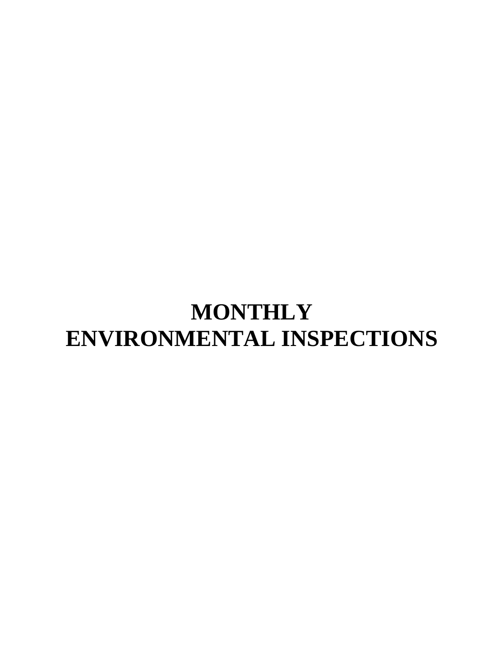# **MONTHLY ENVIRONMENTAL INSPECTIONS**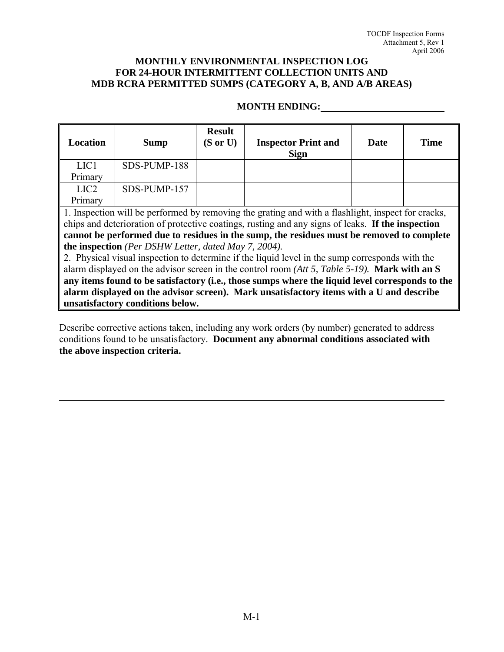# **MONTHLY ENVIRONMENTAL INSPECTION LOG FOR 24-HOUR INTERMITTENT COLLECTION UNITS AND MDB RCRA PERMITTED SUMPS (CATEGORY A, B, AND A/B AREAS)**

# **MONTH ENDING:**

| Location                                                                                           | Sump         | <b>Result</b><br>$(S \text{ or } U)$ | <b>Inspector Print and</b><br><b>Sign</b> | Date | <b>Time</b> |
|----------------------------------------------------------------------------------------------------|--------------|--------------------------------------|-------------------------------------------|------|-------------|
| LIC <sub>1</sub>                                                                                   | SDS-PUMP-188 |                                      |                                           |      |             |
| Primary                                                                                            |              |                                      |                                           |      |             |
| LIC <sub>2</sub>                                                                                   | SDS-PUMP-157 |                                      |                                           |      |             |
| Primary                                                                                            |              |                                      |                                           |      |             |
| 1. Inspection will be performed by removing the grating and with a flashlight, inspect for cracks, |              |                                      |                                           |      |             |
| chips and deterioration of protective coatings, rusting and any signs of leaks. If the inspection  |              |                                      |                                           |      |             |
| cannot be performed due to residues in the sump, the residues must be removed to complete          |              |                                      |                                           |      |             |
| the inspection (Per DSHW Letter, dated May 7, 2004).                                               |              |                                      |                                           |      |             |
| 2. Dhysical viewel inexaction to determine if the liquid level in the summ corresponds with the    |              |                                      |                                           |      |             |

2. Physical visual inspection to determine if the liquid level in the sump corresponds with the alarm displayed on the advisor screen in the control room *(Att 5, Table 5-19).* **Mark with an S any items found to be satisfactory (i.e., those sumps where the liquid level corresponds to the alarm displayed on the advisor screen). Mark unsatisfactory items with a U and describe unsatisfactory conditions below.** 

Describe corrective actions taken, including any work orders (by number) generated to address conditions found to be unsatisfactory. **Document any abnormal conditions associated with the above inspection criteria.** 

 $\overline{a}$ 

 $\overline{a}$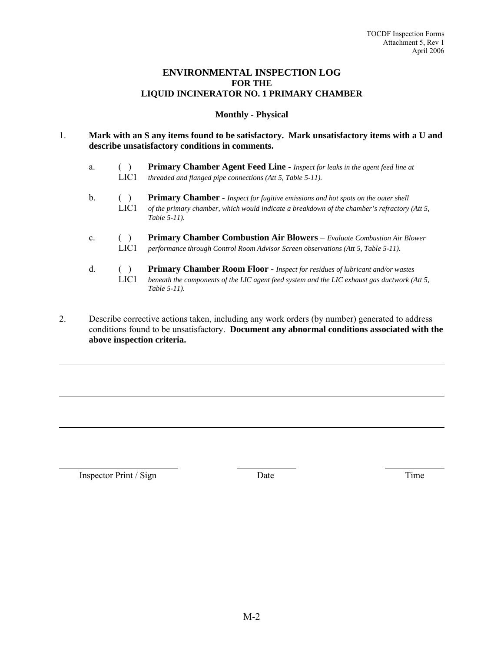## **ENVIRONMENTAL INSPECTION LOG FOR THE LIQUID INCINERATOR NO. 1 PRIMARY CHAMBER**

#### **Monthly - Physical**

#### 1. **Mark with an S any items found to be satisfactory. Mark unsatisfactory items with a U and describe unsatisfactory conditions in comments.**

- a. ( ) **Primary Chamber Agent Feed Line** *Inspect for leaks in the agent feed line at*  LIC1 *threaded and flanged pipe connections (Att 5, Table 5-11).*
- b. ( ) **Primary Chamber** *Inspect for fugitive emissions and hot spots on the outer shell* LIC1 *of the primary chamber, which would indicate a breakdown of the chamber's refractory (Att 5, Table 5-11).*
- c. ( ) **Primary Chamber Combustion Air Blowers** *Evaluate Combustion Air Blower*  LIC1 *performance through Control Room Advisor Screen observations (Att 5, Table 5-11).*
- d. ( ) **Primary Chamber Room Floor** *Inspect for residues of lubricant and/or wastes* LIC1 *beneath the components of the LIC agent feed system and the LIC exhaust gas ductwork (Att 5, Table 5-11).*
- 2. Describe corrective actions taken, including any work orders (by number) generated to address conditions found to be unsatisfactory. **Document any abnormal conditions associated with the above inspection criteria.**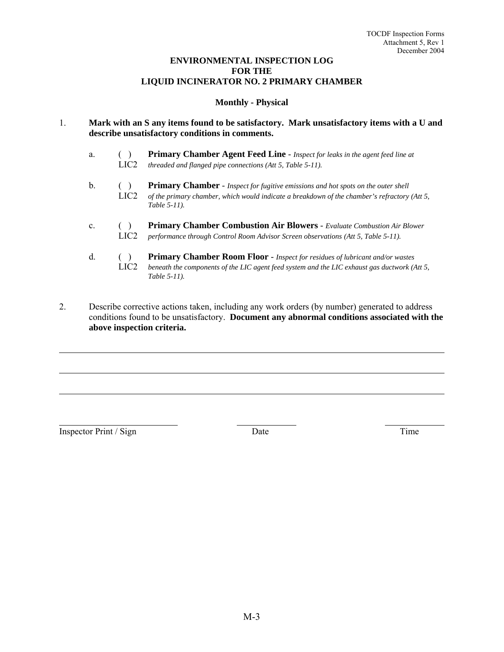# **ENVIRONMENTAL INSPECTION LOG FOR THE LIQUID INCINERATOR NO. 2 PRIMARY CHAMBER**

# **Monthly - Physical**

- 1. **Mark with an S any items found to be satisfactory. Mark unsatisfactory items with a U and describe unsatisfactory conditions in comments.**
	- a. ( ) **Primary Chamber Agent Feed Line** *Inspect for leaks in the agent feed line at* LIC2 *threaded and flanged pipe connections (Att 5, Table 5-11).*
	- b. ( ) **Primary Chamber** *Inspect for fugitive emissions and hot spots on the outer shell*<br>LIC2 *of the primary chamber, which would indicate a breakdown of the chamber's refractory* of the primary chamber, which would indicate a breakdown of the chamber's refractory (Att 5,  *Table 5-11).*
	- c. ( ) **Primary Chamber Combustion Air Blowers**  *Evaluate Combustion Air Blower* LIC2 *performance through Control Room Advisor Screen observations (Att 5, Table 5-11).*
	- d. ( ) **Primary Chamber Room Floor** *Inspect for residues of lubricant and/or wastes* LIC2 *beneath the components of the LIC agent feed system and the LIC exhaust gas ductwork (Att 5, Table 5-11).*
- 2. Describe corrective actions taken, including any work orders (by number) generated to address conditions found to be unsatisfactory. **Document any abnormal conditions associated with the above inspection criteria.**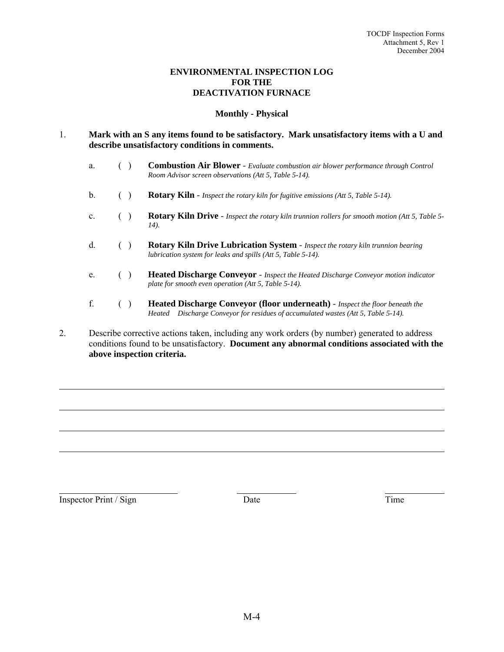# **ENVIRONMENTAL INSPECTION LOG FOR THE DEACTIVATION FURNACE**

# **Monthly - Physical**

#### 1. **Mark with an S any items found to be satisfactory. Mark unsatisfactory items with a U and describe unsatisfactory conditions in comments.**

- a. ( ) **Combustion Air Blower** *Evaluate combustion air blower performance through Control Room Advisor screen observations (Att 5, Table 5-14).*
- b. ( ) **Rotary Kiln** *Inspect the rotary kiln for fugitive emissions (Att 5, Table 5-14).*
- c. ( ) **Rotary Kiln Drive** *Inspect the rotary kiln trunnion rollers for smooth motion (Att 5, Table 5- 14).*
- d. ( ) **Rotary Kiln Drive Lubrication System** *Inspect the rotary kiln trunnion bearing lubrication system for leaks and spills (Att 5, Table 5-14).*
- e. ( ) **Heated Discharge Conveyor**  *Inspect the Heated Discharge Conveyor motion indicator plate for smooth even operation (Att 5, Table 5-14).*
- f. ( ) **Heated Discharge Conveyor (floor underneath)**  *Inspect the floor beneath the Heated Discharge Conveyor for residues of accumulated wastes (Att 5, Table 5-14).*
- 2. Describe corrective actions taken, including any work orders (by number) generated to address conditions found to be unsatisfactory. **Document any abnormal conditions associated with the above inspection criteria.**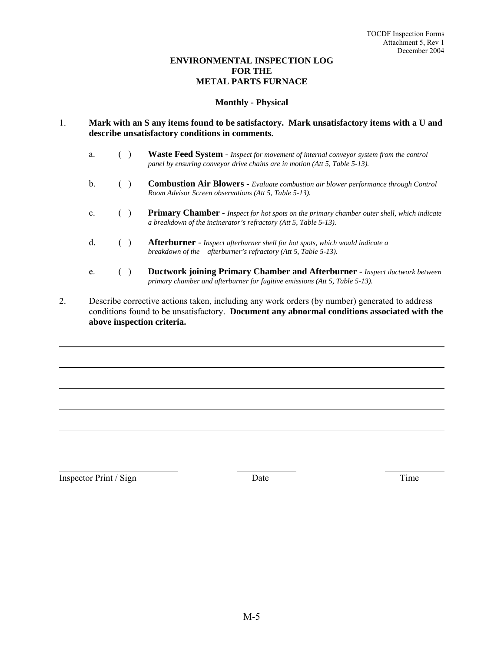# **ENVIRONMENTAL INSPECTION LOG FOR THE METAL PARTS FURNACE**

#### **Monthly - Physical**

#### 1. **Mark with an S any items found to be satisfactory. Mark unsatisfactory items with a U and describe unsatisfactory conditions in comments.**

| a.             | Waste Feed System - Inspect for movement of internal conveyor system from the control<br>panel by ensuring conveyor drive chains are in motion (Att 5, Table $5-13$ ). |
|----------------|------------------------------------------------------------------------------------------------------------------------------------------------------------------------|
| b.             | <b>Combustion Air Blowers - Evaluate combustion air blower performance through Control</b><br>Room Advisor Screen observations (Att 5, Table 5-13).                    |
| $\mathbf{c}$ . | <b>Primary Chamber -</b> Inspect for hot spots on the primary chamber outer shell, which indicate<br>a breakdown of the incinerator's refractory (Att 5, Table 5-13).  |
| d.             | <b>Afterburner</b> - Inspect afterburner shell for hot spots, which would indicate a<br>breakdown of the afterburner's refractory (Att 5, Table 5-13).                 |
| e.             | <b>Ductwork joining Primary Chamber and Afterburner - Inspect ductwork between</b><br>primary chamber and afterburner for fugitive emissions (Att 5, Table 5-13).      |

2. Describe corrective actions taken, including any work orders (by number) generated to address conditions found to be unsatisfactory. **Document any abnormal conditions associated with the above inspection criteria.**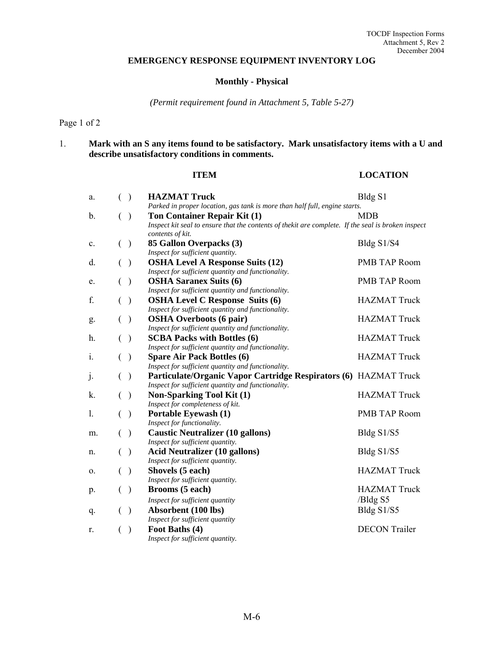# **EMERGENCY RESPONSE EQUIPMENT INVENTORY LOG**

# **Monthly - Physical**

*(Permit requirement found in Attachment 5, Table 5-27)* 

Page 1 of 2

# 1. **Mark with an S any items found to be satisfactory. Mark unsatisfactory items with a U and describe unsatisfactory conditions in comments.**

#### **ITEM** LOCATION

| a. | $\mathcal{E}$<br>€ | <b>HAZMAT Truck</b>                                                                                                    | Bldg S1              |
|----|--------------------|------------------------------------------------------------------------------------------------------------------------|----------------------|
|    |                    | Parked in proper location, gas tank is more than half full, engine starts.                                             |                      |
| b. | €<br>$\big)$       | Ton Container Repair Kit (1)                                                                                           | <b>MDB</b>           |
|    |                    | Inspect kit seal to ensure that the contents of thekit are complete. If the seal is broken inspect<br>contents of kit. |                      |
| c. | €<br>$\lambda$     | 85 Gallon Overpacks (3)                                                                                                | Bldg S1/S4           |
|    |                    | Inspect for sufficient quantity.                                                                                       |                      |
| d. | €<br>$\big)$       | <b>OSHA Level A Response Suits (12)</b>                                                                                | <b>PMB TAP Room</b>  |
|    |                    | Inspect for sufficient quantity and functionality.                                                                     |                      |
| e. | €<br>$\big)$       | <b>OSHA Saranex Suits (6)</b>                                                                                          | <b>PMB TAP Room</b>  |
|    |                    | Inspect for sufficient quantity and functionality.                                                                     |                      |
| f. | €<br>$\big)$       | <b>OSHA Level C Response Suits (6)</b>                                                                                 | <b>HAZMAT Truck</b>  |
|    |                    | Inspect for sufficient quantity and functionality.                                                                     |                      |
| g. | €<br>$\big)$       | <b>OSHA Overboots (6 pair)</b>                                                                                         | <b>HAZMAT Truck</b>  |
|    |                    | Inspect for sufficient quantity and functionality.                                                                     |                      |
| h. | €<br>$\big)$       | <b>SCBA Packs with Bottles (6)</b>                                                                                     | <b>HAZMAT Truck</b>  |
|    |                    | Inspect for sufficient quantity and functionality.                                                                     |                      |
| i. | €<br>$\big)$       | <b>Spare Air Pack Bottles (6)</b>                                                                                      | <b>HAZMAT Truck</b>  |
|    |                    | Inspect for sufficient quantity and functionality.                                                                     |                      |
| j. | $\rightarrow$<br>€ | <b>Particulate/Organic Vapor Cartridge Respirators (6) HAZMAT Truck</b>                                                |                      |
|    |                    | Inspect for sufficient quantity and functionality.                                                                     |                      |
| k. | €<br>$\rightarrow$ | <b>Non-Sparking Tool Kit (1)</b>                                                                                       | <b>HAZMAT Truck</b>  |
|    |                    | Inspect for completeness of kit.                                                                                       |                      |
| 1. | €<br>$\rightarrow$ | Portable Eyewash (1)                                                                                                   | <b>PMB TAP Room</b>  |
|    |                    | Inspect for functionality.                                                                                             |                      |
| m. | $($ )              | <b>Caustic Neutralizer (10 gallons)</b>                                                                                | Bldg S1/S5           |
|    |                    | Inspect for sufficient quantity.                                                                                       |                      |
| n. | €<br>$\rightarrow$ | <b>Acid Neutralizer (10 gallons)</b><br>Inspect for sufficient quantity.                                               | Bldg S1/S5           |
|    |                    | Shovels (5 each)                                                                                                       | <b>HAZMAT Truck</b>  |
| 0. | €<br>$\big)$       | Inspect for sufficient quantity.                                                                                       |                      |
|    |                    | Brooms (5 each)                                                                                                        | <b>HAZMAT Truck</b>  |
| p. | €<br>$\big)$       |                                                                                                                        |                      |
|    |                    | Inspect for sufficient quantity                                                                                        | /Bldg S5             |
| q. | €<br>$\lambda$     | Absorbent (100 lbs)                                                                                                    | Bldg S1/S5           |
|    |                    | Inspect for sufficient quantity                                                                                        |                      |
| r. | €<br>$\lambda$     | Foot Baths (4)                                                                                                         | <b>DECON</b> Trailer |
|    |                    | Inspect for sufficient quantity.                                                                                       |                      |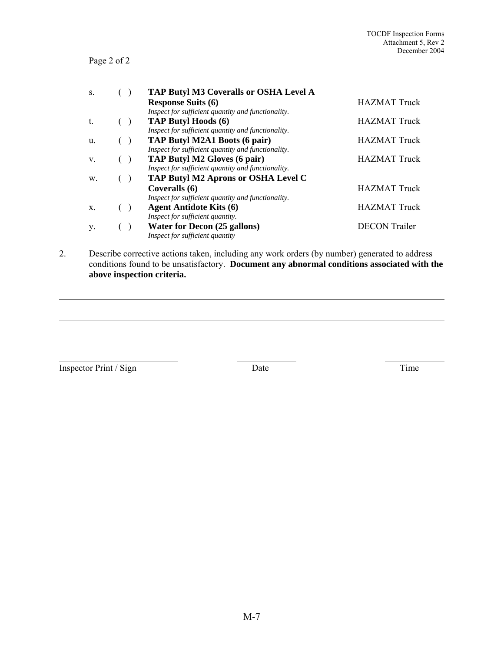# Page 2 of 2

| S. | <b>TAP Butyl M3 Coveralls or OSHA Level A</b>      |                      |
|----|----------------------------------------------------|----------------------|
|    | <b>Response Suits (6)</b>                          | <b>HAZMAT Truck</b>  |
|    | Inspect for sufficient quantity and functionality. |                      |
| t. | <b>TAP Butyl Hoods (6)</b>                         | <b>HAZMAT Truck</b>  |
|    | Inspect for sufficient quantity and functionality. |                      |
| u. | TAP Butyl M2A1 Boots (6 pair)                      | <b>HAZMAT</b> Truck  |
|    | Inspect for sufficient quantity and functionality. |                      |
| V. | <b>TAP Butyl M2 Gloves (6 pair)</b>                | <b>HAZMAT</b> Truck  |
|    | Inspect for sufficient quantity and functionality. |                      |
| W. | <b>TAP Butyl M2 Aprons or OSHA Level C</b>         |                      |
|    | Coveralls (6)                                      | <b>HAZMAT Truck</b>  |
|    | Inspect for sufficient quantity and functionality. |                      |
| Χ. | <b>Agent Antidote Kits (6)</b>                     | <b>HAZMAT Truck</b>  |
|    | Inspect for sufficient quantity.                   |                      |
| y. | <b>Water for Decon (25 gallons)</b>                | <b>DECON</b> Trailer |
|    | Inspect for sufficient quantity                    |                      |

2. Describe corrective actions taken, including any work orders (by number) generated to address conditions found to be unsatisfactory. **Document any abnormal conditions associated with the above inspection criteria.**

Inspector Print / Sign Date Date Time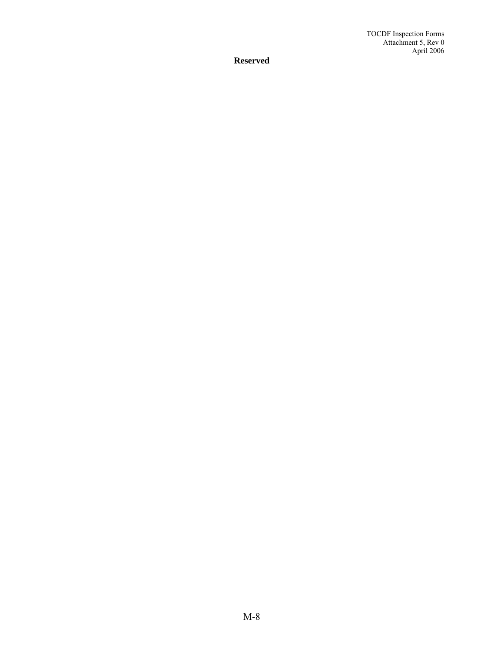**Reserved**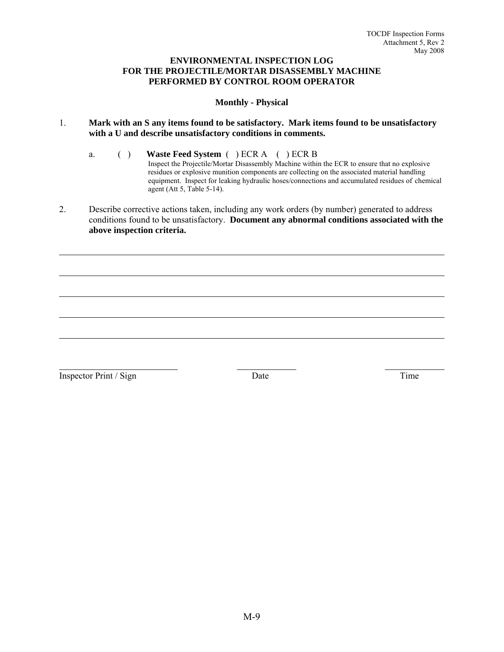#### **ENVIRONMENTAL INSPECTION LOG FOR THE PROJECTILE/MORTAR DISASSEMBLY MACHINE PERFORMED BY CONTROL ROOM OPERATOR**

#### **Monthly - Physical**

- 1. **Mark with an S any items found to be satisfactory. Mark items found to be unsatisfactory with a U and describe unsatisfactory conditions in comments.**
	- a. ( ) **Waste Feed System** ( ) ECR A ( ) ECR B Inspect the Projectile/Mortar Disassembly Machine within the ECR to ensure that no explosive residues or explosive munition components are collecting on the associated material handling equipment. Inspect for leaking hydraulic hoses/connections and accumulated residues of chemical agent (Att 5, Table 5-14).
- 2. Describe corrective actions taken, including any work orders (by number) generated to address conditions found to be unsatisfactory. **Document any abnormal conditions associated with the above inspection criteria.**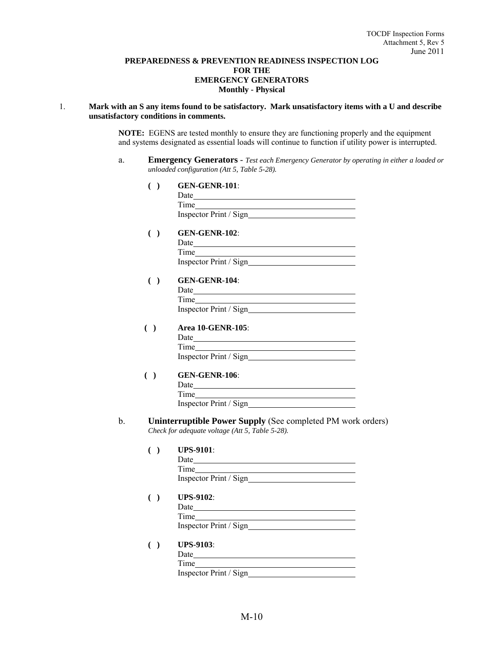#### **PREPAREDNESS & PREVENTION READINESS INSPECTION LOG FOR THE EMERGENCY GENERATORS Monthly - Physical**

#### 1. **Mark with an S any items found to be satisfactory. Mark unsatisfactory items with a U and describe unsatisfactory conditions in comments.**

**NOTE:** EGENS are tested monthly to ensure they are functioning properly and the equipment and systems designated as essential loads will continue to function if utility power is interrupted.

a. **Emergency Generators** - *Test each Emergency Generator by operating in either a loaded or unloaded configuration (Att 5, Table 5-28).*

#### **( ) GEN-GENR-101**:

| Date |                         |
|------|-------------------------|
| Time |                         |
|      | Inspector Print / Sign_ |

# **( ) GEN-GENR-102**:

| Date                   |
|------------------------|
| Time                   |
| Inspector Print / Sign |
|                        |

#### **( ) GEN-GENR-104**:

| Date                    |
|-------------------------|
| Time                    |
| Inspector Print / Sign_ |
|                         |

# **( ) Area 10-GENR-105**:

| Date                   |  |
|------------------------|--|
| Time                   |  |
| Inspector Print / Sign |  |

#### **( ) GEN-GENR-106**:

| Date |                        |
|------|------------------------|
| Time |                        |
|      | Inspector Print / Sign |

#### b. **Uninterruptible Power Supply** (See completed PM work orders) *Check for adequate voltage (Att 5, Table 5-28).*

| <b>UPS-9101</b> :      |
|------------------------|
| Date                   |
| Time                   |
| Inspector Print / Sign |
|                        |

- **( ) UPS-9102**:
	- Date
		- Time

Inspector Print / Sign

#### **( ) UPS-9103**:

| Date                   |
|------------------------|
| Time                   |
| Inspector Print / Sign |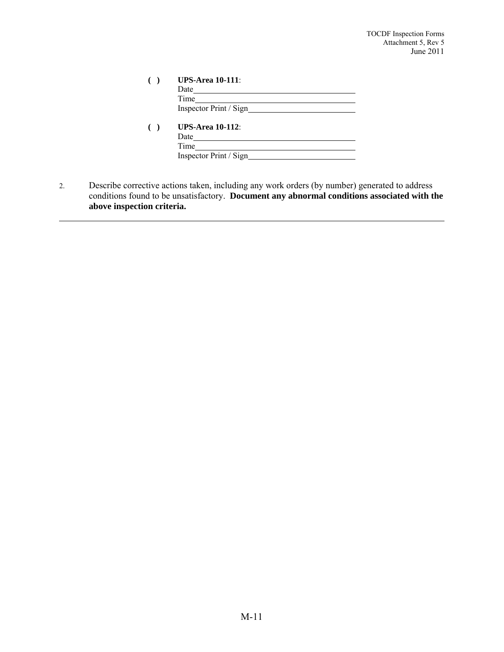TOCDF Inspection Forms Attachment 5, Rev 5 June 2011

| <b>UPS-Area 10-111:</b> |
|-------------------------|
| Date                    |
| Time                    |
|                         |
| <b>UPS-Area 10-112:</b> |
| Date                    |
| Time                    |
| Inspector Print / Sign  |

2. Describe corrective actions taken, including any work orders (by number) generated to address conditions found to be unsatisfactory. **Document any abnormal conditions associated with the above inspection criteria.**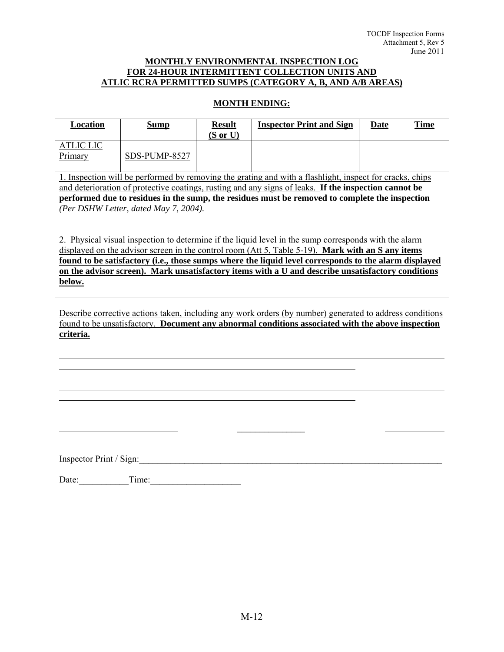## **MONTHLY ENVIRONMENTAL INSPECTION LOG FOR 24-HOUR INTERMITTENT COLLECTION UNITS AND ATLIC RCRA PERMITTED SUMPS (CATEGORY A, B, AND A/B AREAS)**

# **MONTH ENDING:**

| Location                                                                                                 | <b>Sump</b>   | <b>Result</b>       | <b>Inspector Print and Sign</b> | Date | <b>Time</b> |
|----------------------------------------------------------------------------------------------------------|---------------|---------------------|---------------------------------|------|-------------|
|                                                                                                          |               | $(S \text{ or } U)$ |                                 |      |             |
| <b>ATLIC LIC</b>                                                                                         |               |                     |                                 |      |             |
| Primary                                                                                                  | SDS-PUMP-8527 |                     |                                 |      |             |
|                                                                                                          |               |                     |                                 |      |             |
| 1. Inspection will be performed by removing the grating and with a flashlight, inspect for cracks, chips |               |                     |                                 |      |             |
| and deterioration of protective coatings, rusting and any signs of leaks. If the inspection cannot be    |               |                     |                                 |      |             |
| performed due to residues in the sump, the residues must be removed to complete the inspection           |               |                     |                                 |      |             |
| (Per DSHW Letter, dated May 7, 2004).                                                                    |               |                     |                                 |      |             |
|                                                                                                          |               |                     |                                 |      |             |
|                                                                                                          |               |                     |                                 |      |             |
| 2. Physical visual inspection to determine if the liquid level in the sump corresponds with the alarm    |               |                     |                                 |      |             |
| displayed on the advisor <u>screen</u> in the control room (Att 5, Table 5-19). Mark with an S any items |               |                     |                                 |      |             |
| found to be satisfactory (i.e., those sumps where the liquid level corresponds to the alarm displayed    |               |                     |                                 |      |             |
| on the advisor screen). Mark unsatisfactory items with a U and describe unsatisfactory conditions        |               |                     |                                 |      |             |
| below.                                                                                                   |               |                     |                                 |      |             |
|                                                                                                          |               |                     |                                 |      |             |

Describe corrective actions taken, including any work orders (by number) generated to address conditions found to be unsatisfactory. **Document any abnormal conditions associated with the above inspection criteria.**

Inspector Print / Sign:

l l

 $\overline{a}$ 

Date: Time:

 $\overline{\phantom{a}}$  , where  $\overline{\phantom{a}}$  , where  $\overline{\phantom{a}}$  , where  $\overline{\phantom{a}}$  , where  $\overline{\phantom{a}}$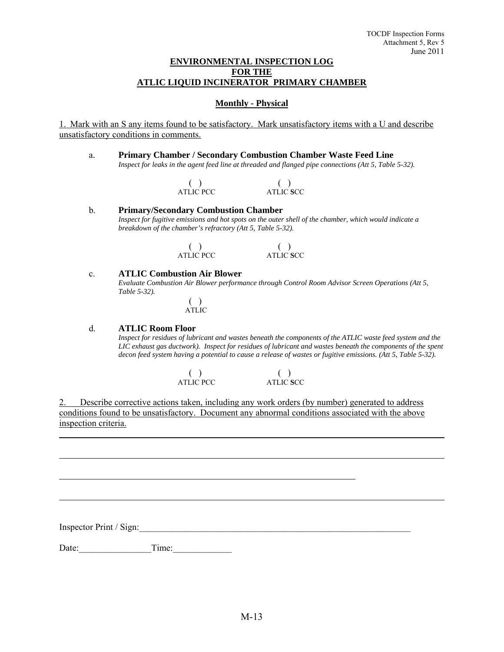#### **ENVIRONMENTAL INSPECTION LOG FOR THE ATLIC LIQUID INCINERATOR PRIMARY CHAMBER**

## **Monthly - Physical**

1. Mark with an S any items found to be satisfactory. Mark unsatisfactory items with a U and describe unsatisfactory conditions in comments.

a. **Primary Chamber / Secondary Combustion Chamber Waste Feed Line**  *Inspect for leaks in the agent feed line at threaded and flanged pipe connections (Att 5, Table 5-32).* 

| <b>ATLIC PCC</b> | ATLIC SCC |
|------------------|-----------|

b. **Primary/Secondary Combustion Chamber**  *Inspect for fugitive emissions and hot spots on the outer shell of the chamber, which would indicate a breakdown of the chamber's refractory (Att 5, Table 5-32).* 

| <b>ATLIC PCC</b> | ATLIC SCC |
|------------------|-----------|

#### c. **ATLIC Combustion Air Blower**

 *Evaluate Combustion Air Blower performance through Control Room Advisor Screen Operations (Att 5, Table 5-32).* 

> ( ) ATLIC

#### d. **ATLIC Room Floor**

 *Inspect for residues of lubricant and wastes beneath the components of the ATLIC waste feed system and the LIC exhaust gas ductwork). Inspect for residues of lubricant and wastes beneath the components of the spent decon feed system having a potential to cause a release of wastes or fugitive emissions. (Att 5, Table 5-32).* 

| <b>ATLIC PCC</b> | ATLIC SCC |
|------------------|-----------|

2. Describe corrective actions taken, including any work orders (by number) generated to address conditions found to be unsatisfactory. Document any abnormal conditions associated with the above inspection criteria.

Inspector Print / Sign:

l

 $\overline{a}$ 

Date: Time: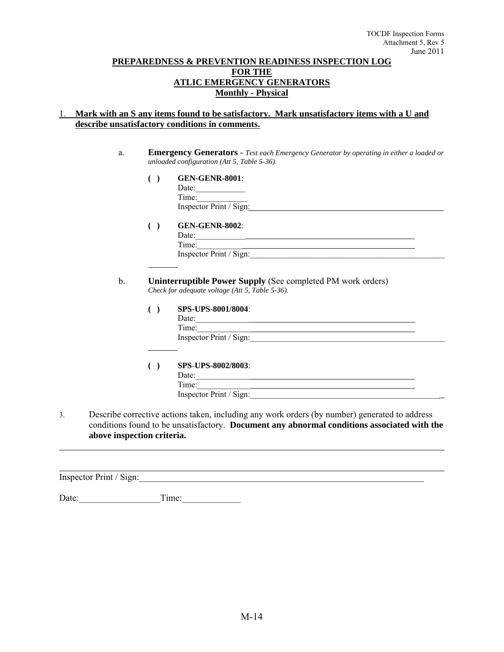### **PREPAREDNESS & PREVENTION READINESS INSPECTION LOG FOR THE ATLIC EMERGENCY GENERATORS Monthly - Physical**

# 1. **Mark with an S any items found to be satisfactory. Mark unsatisfactory items with a U and describe unsatisfactory conditions in comments.**

- a. **Emergency Generators** *Test each Emergency Generator by operating in either a loaded or unloaded configuration (Att 5, Table 5-36).*
	- **( ) GEN-GENR-8001**:

 Date:\_\_\_\_\_\_\_\_\_\_\_\_ Time:\_\_\_\_\_\_\_\_\_\_\_\_ Inspector Print / Sign:

 **( ) GEN-GENR-8002**:

Date:  $\qquad \qquad \qquad$ Time: Inspector Print / Sign:

 b. **Uninterruptible Power Supply** (See completed PM work orders) *Check for adequate voltage (Att 5, Table 5-36).* 

#### **( ) SPS-UPS-8001/8004**:

 $Date:$  Time:\_\_\_\_\_\_\_\_\_\_\_\_\_ Inspector Print / Sign:

**( ) SPS**-**UPS-8002/8003**:

Date: Time:

Inspector Print / Sign:

3. Describe corrective actions taken, including any work orders (by number) generated to address conditions found to be unsatisfactory. **Document any abnormal conditions associated with the above inspection criteria.**

Inspector Print / Sign:

l

Date: Time: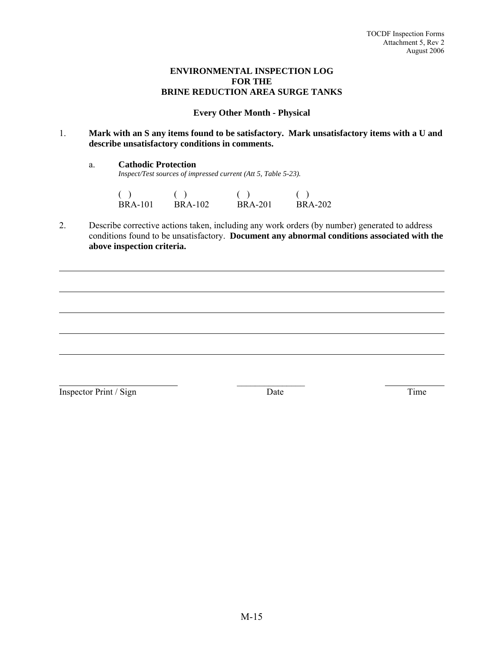## **ENVIRONMENTAL INSPECTION LOG FOR THE BRINE REDUCTION AREA SURGE TANKS**

# **Every Other Month - Physical**

1. **Mark with an S any items found to be satisfactory. Mark unsatisfactory items with a U and describe unsatisfactory conditions in comments.**

a. **Cathodic Protection**

*Inspect/Test sources of impressed current (Att 5, Table 5-23).* 

| ( )            | ( )            | ( )            | ( )     |
|----------------|----------------|----------------|---------|
| <b>BRA-101</b> | <b>BRA-102</b> | <b>BRA-201</b> | BRA-202 |

2. Describe corrective actions taken, including any work orders (by number) generated to address conditions found to be unsatisfactory. **Document any abnormal conditions associated with the above inspection criteria.**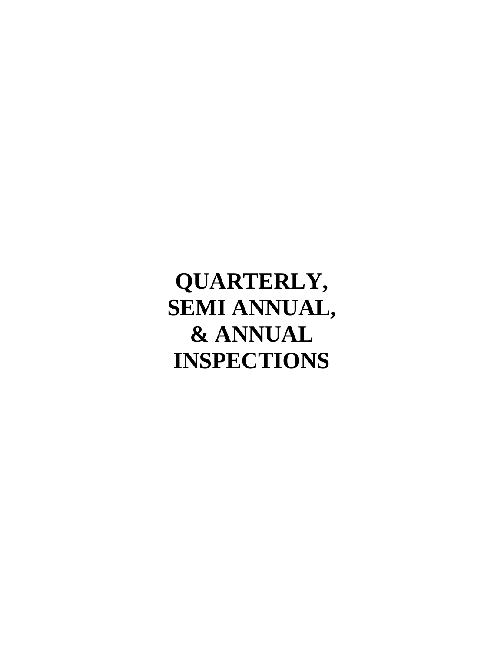**QUARTERLY, SEMI ANNUAL, & ANNUAL INSPECTIONS**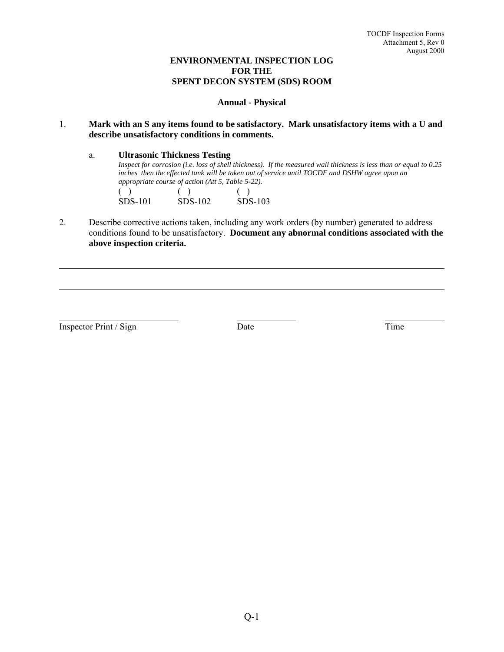# **ENVIRONMENTAL INSPECTION LOG FOR THE SPENT DECON SYSTEM (SDS) ROOM**

## **Annual - Physical**

## 1. **Mark with an S any items found to be satisfactory. Mark unsatisfactory items with a U and describe unsatisfactory conditions in comments.**

a. **Ultrasonic Thickness Testing** *Inspect for corrosion (i.e. loss of shell thickness). If the measured wall thickness is less than or equal to 0.25 inches then the effected tank will be taken out of service until TOCDF and DSHW agree upon an appropriate course of action (Att 5, Table 5-22).*   $( )$  ( ) ( ) SDS-101 SDS-102 SDS-103

2. Describe corrective actions taken, including any work orders (by number) generated to address conditions found to be unsatisfactory. **Document any abnormal conditions associated with the above inspection criteria.**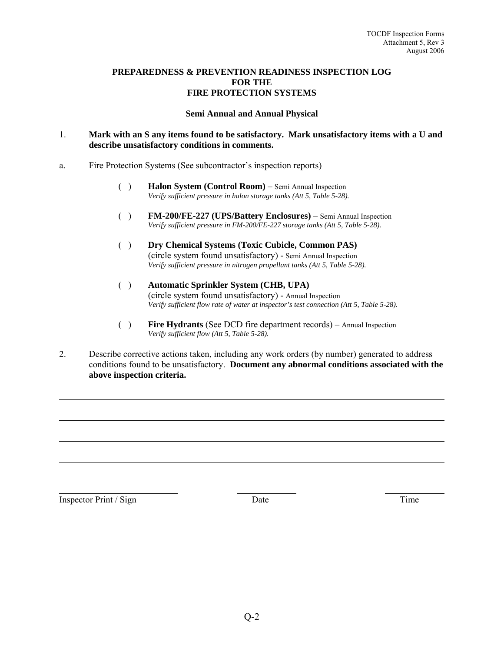# **PREPAREDNESS & PREVENTION READINESS INSPECTION LOG FOR THE FIRE PROTECTION SYSTEMS**

#### **Semi Annual and Annual Physical**

## 1. **Mark with an S any items found to be satisfactory. Mark unsatisfactory items with a U and describe unsatisfactory conditions in comments.**

- a. Fire Protection Systems (See subcontractor's inspection reports)
	- ( ) **Halon System (Control Room)** Semi Annual Inspection *Verify sufficient pressure in halon storage tanks (Att 5, Table 5-28).*
	- ( ) **FM-200/FE-227 (UPS/Battery Enclosures)** Semi Annual Inspection *Verify sufficient pressure in FM-200/FE-227 storage tanks (Att 5, Table 5-28).*
	- ( ) **Dry Chemical Systems (Toxic Cubicle, Common PAS)**  (circle system found unsatisfactory) - Semi Annual Inspection *Verify sufficient pressure in nitrogen propellant tanks (Att 5, Table 5-28).*
	- ( ) **Automatic Sprinkler System (CHB, UPA)**  (circle system found unsatisfactory) - Annual Inspection *Verify sufficient flow rate of water at inspector's test connection (Att 5, Table 5-28).*
	- ( ) **Fire Hydrants** (See DCD fire department records) Annual Inspection *Verify sufficient flow (Att 5, Table 5-28).*
- 2. Describe corrective actions taken, including any work orders (by number) generated to address conditions found to be unsatisfactory. **Document any abnormal conditions associated with the above inspection criteria.**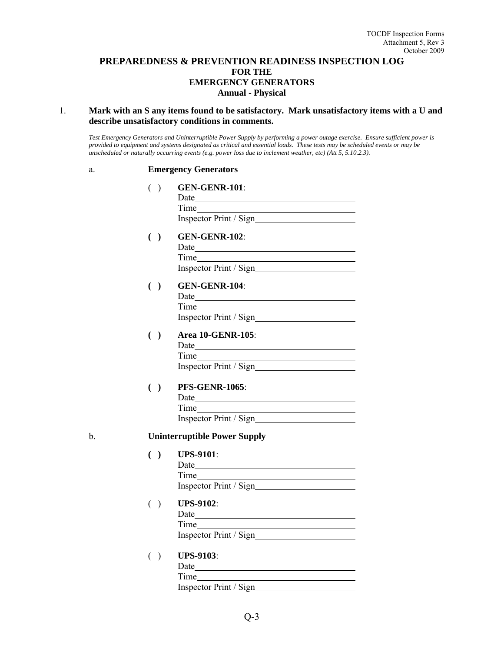# **PREPAREDNESS & PREVENTION READINESS INSPECTION LOG FOR THE EMERGENCY GENERATORS Annual - Physical**

#### 1. **Mark with an S any items found to be satisfactory. Mark unsatisfactory items with a U and describe unsatisfactory conditions in comments.**

*Test Emergency Generators and Uninterruptible Power Supply by performing a power outage exercise. Ensure sufficient power is provided to equipment and systems designated as critical and essential loads. These tests may be scheduled events or may be unscheduled or naturally occurring events (e.g. power loss due to inclement weather, etc) (Att 5, 5.10.2.3).* 

#### a. **Emergency Generators**

|    | $\left( \quad \right)$ | <b>GEN-GENR-101:</b>                                                        |
|----|------------------------|-----------------------------------------------------------------------------|
|    | ( )                    | <b>GEN-GENR-102:</b>                                                        |
|    | ( )                    | <b>GEN-GENR-104:</b>                                                        |
|    | ( )                    | <b>Area 10-GENR-105:</b>                                                    |
|    | ( )                    | <b>PFS-GENR-1065:</b><br><u> 1989 - Johann Barn, amerikansk politiker (</u> |
| b. |                        | <b>Uninterruptible Power Supply</b>                                         |
|    | ( )                    | <b>UPS-9101</b> :<br>Time                                                   |
|    | ( )                    | <b>UPS-9102:</b>                                                            |
|    | $($ )                  | <b>UPS-9103:</b>                                                            |

 Date Time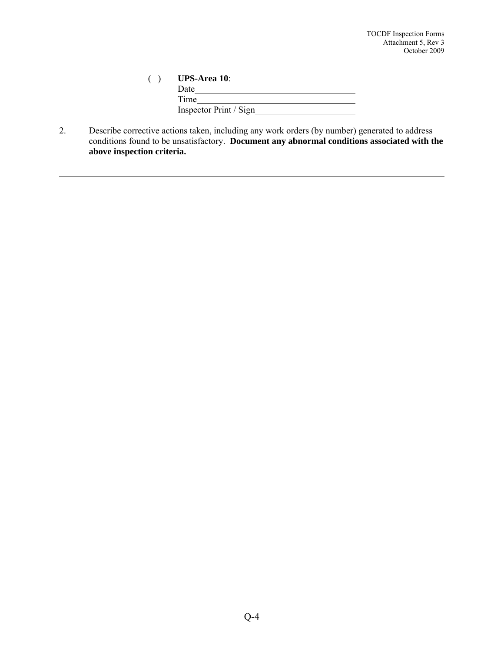| <b>UPS-Area 10:</b>    |
|------------------------|
| Date                   |
| Time                   |
| Inspector Print / Sign |

2. Describe corrective actions taken, including any work orders (by number) generated to address conditions found to be unsatisfactory. **Document any abnormal conditions associated with the above inspection criteria.**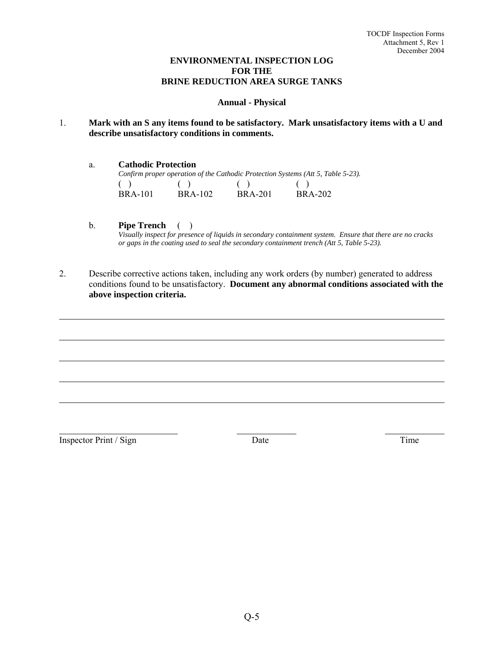# **ENVIRONMENTAL INSPECTION LOG FOR THE BRINE REDUCTION AREA SURGE TANKS**

## **Annual - Physical**

- 1. **Mark with an S any items found to be satisfactory. Mark unsatisfactory items with a U and describe unsatisfactory conditions in comments.**
- a. **Cathodic Protection** *Confirm proper operation of the Cathodic Protection Systems (Att 5, Table 5-23).*   $( \ )$   $( \ )$   $( \ )$   $( \ )$   $( \ )$  BRA-101 BRA-102 BRA-201 BRA-202
	- b. **Pipe Trench** ( ) *Visually inspect for presence of liquids in secondary containment system. Ensure that there are no cracks or gaps in the coating used to seal the secondary containment trench (Att 5, Table 5-23).*
- 2. Describe corrective actions taken, including any work orders (by number) generated to address conditions found to be unsatisfactory. **Document any abnormal conditions associated with the above inspection criteria.**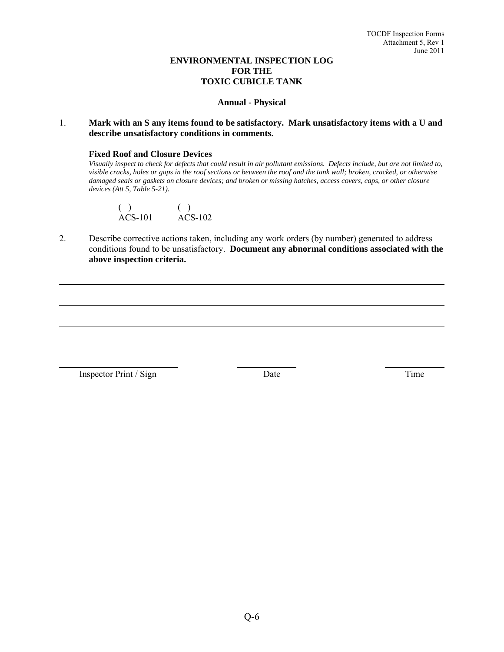# **ENVIRONMENTAL INSPECTION LOG FOR THE TOXIC CUBICLE TANK**

#### **Annual - Physical**

## 1. **Mark with an S any items found to be satisfactory. Mark unsatisfactory items with a U and describe unsatisfactory conditions in comments.**

#### **Fixed Roof and Closure Devices**

*Visually inspect to check for defects that could result in air pollutant emissions. Defects include, but are not limited to, visible cracks, holes or gaps in the roof sections or between the roof and the tank wall; broken, cracked, or otherwise damaged seals or gaskets on closure devices; and broken or missing hatches, access covers, caps, or other closure devices (Att 5, Table 5-21).* 

| $ACS-101$ | $ACS-102$ |
|-----------|-----------|

2. Describe corrective actions taken, including any work orders (by number) generated to address conditions found to be unsatisfactory. **Document any abnormal conditions associated with the above inspection criteria.**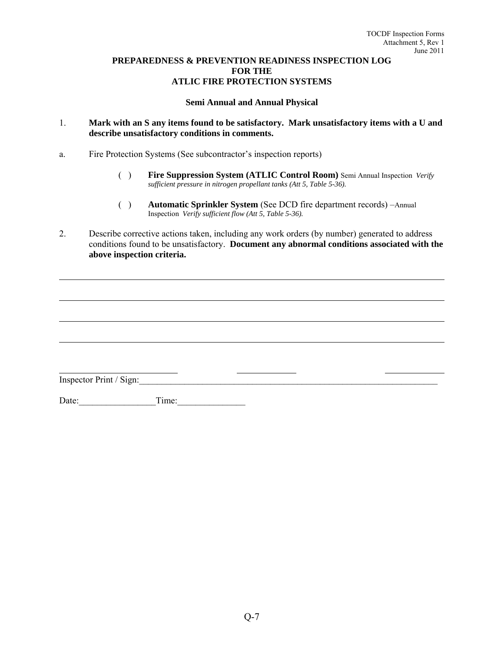## **PREPAREDNESS & PREVENTION READINESS INSPECTION LOG FOR THE ATLIC FIRE PROTECTION SYSTEMS**

## **Semi Annual and Annual Physical**

- 1. **Mark with an S any items found to be satisfactory. Mark unsatisfactory items with a U and describe unsatisfactory conditions in comments.**
- a. Fire Protection Systems (See subcontractor's inspection reports)
	- ( ) **Fire Suppression System (ATLIC Control Room)** Semi Annual Inspection *Verify sufficient pressure in nitrogen propellant tanks (Att 5, Table 5-36).*
	- ( ) **Automatic Sprinkler System** (See DCD fire department records) –Annual Inspection *Verify sufficient flow (Att 5, Table 5-36).*

2. Describe corrective actions taken, including any work orders (by number) generated to address conditions found to be unsatisfactory. **Document any abnormal conditions associated with the above inspection criteria.**

 $\overline{\phantom{a}}$ Inspector Print / Sign:

Date:\_\_\_\_\_\_\_\_\_\_\_\_\_\_\_\_\_Time:\_\_\_\_\_\_\_\_\_\_\_\_\_\_\_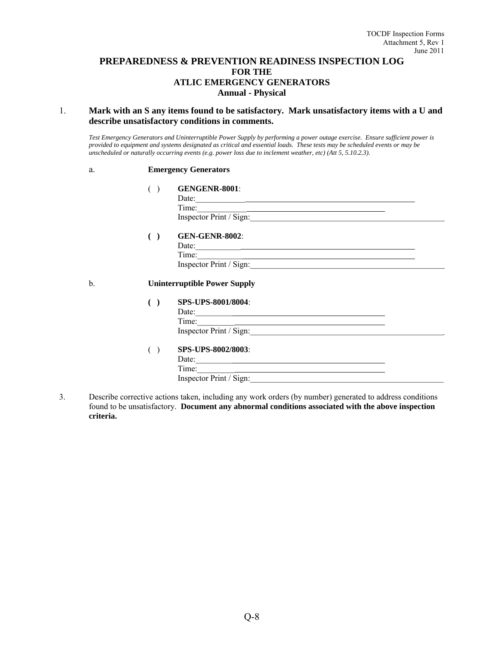# **PREPAREDNESS & PREVENTION READINESS INSPECTION LOG FOR THE ATLIC EMERGENCY GENERATORS Annual - Physical**

#### 1. **Mark with an S any items found to be satisfactory. Mark unsatisfactory items with a U and describe unsatisfactory conditions in comments.**

*Test Emergency Generators and Uninterruptible Power Supply by performing a power outage exercise. Ensure sufficient power is provided to equipment and systems designated as critical and essential loads. These tests may be scheduled events or may be unscheduled or naturally occurring events (e.g. power loss due to inclement weather, etc) (Att 5, 5.10.2.3).* 

#### a. **Emergency Generators**

#### ( ) **GENGENR-8001**:

| Date:                   |  |
|-------------------------|--|
| Time:                   |  |
| Inspector Print / Sign: |  |

#### **( ) GEN-GENR-8002**:

| Date:                   |  |
|-------------------------|--|
| Time:                   |  |
| Inspector Print / Sign: |  |

b. **Uninterruptible Power Supply** 

#### **( ) SPS-UPS-8001/8004**:

| Date:                   |  |
|-------------------------|--|
| Time:                   |  |
| Inspector Print / Sign: |  |

#### ( ) **SPS-UPS-8002/8003**:

| Date:                   |
|-------------------------|
| Time:                   |
| Inspector Print / Sign: |

3. Describe corrective actions taken, including any work orders (by number) generated to address conditions found to be unsatisfactory. **Document any abnormal conditions associated with the above inspection criteria.**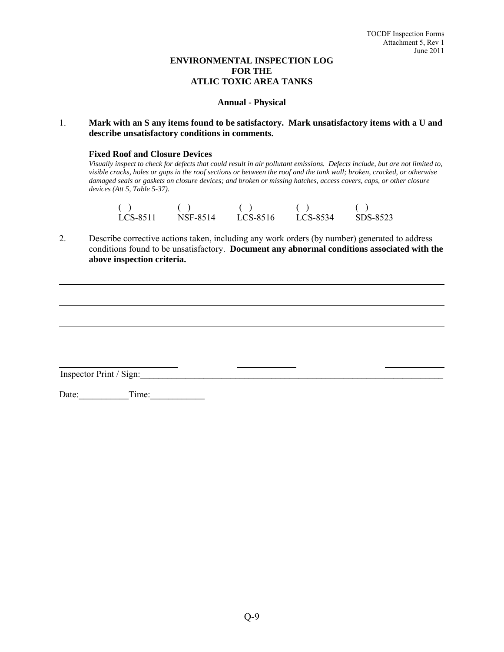# **ENVIRONMENTAL INSPECTION LOG FOR THE ATLIC TOXIC AREA TANKS**

#### **Annual - Physical**

## 1. **Mark with an S any items found to be satisfactory. Mark unsatisfactory items with a U and describe unsatisfactory conditions in comments.**

#### **Fixed Roof and Closure Devices**

*Visually inspect to check for defects that could result in air pollutant emissions. Defects include, but are not limited to, visible cracks, holes or gaps in the roof sections or between the roof and the tank wall; broken, cracked, or otherwise damaged seals or gaskets on closure devices; and broken or missing hatches, access covers, caps, or other closure devices (Att 5, Table 5-37).* 

| LCS-8511 | NSF-8514 | LCS-8516 | LCS-8534 | SDS-8523 |
|----------|----------|----------|----------|----------|

2. Describe corrective actions taken, including any work orders (by number) generated to address conditions found to be unsatisfactory. **Document any abnormal conditions associated with the above inspection criteria.**

Inspector Print / Sign:

Date: Time: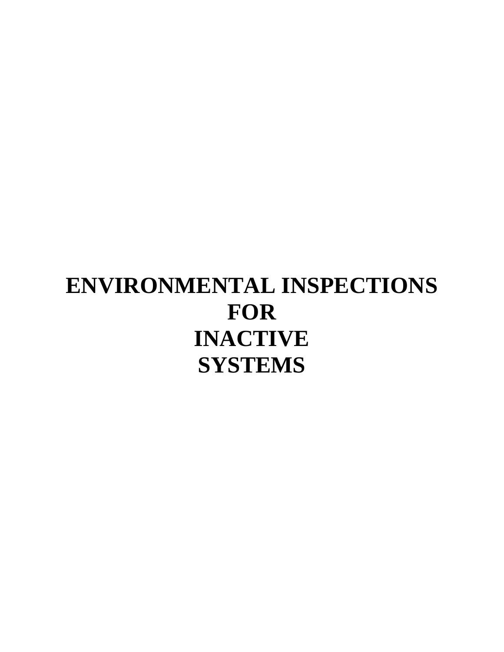# **ENVIRONMENTAL INSPECTIONS FOR INACTIVE SYSTEMS**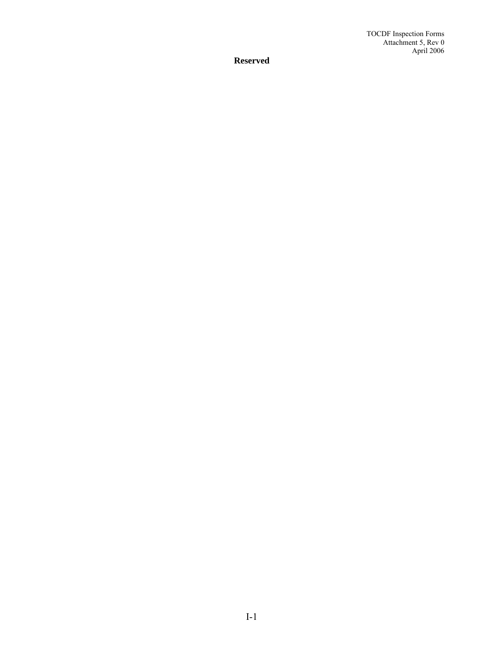TOCDF Inspection Forms Attachment 5, Rev 0 April 2006

**Reserved**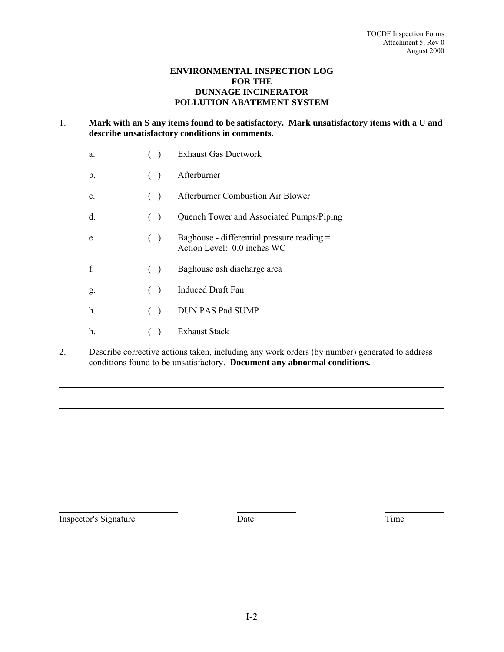## **ENVIRONMENTAL INSPECTION LOG FOR THE DUNNAGE INCINERATOR POLLUTION ABATEMENT SYSTEM**

# 1. **Mark with an S any items found to be satisfactory. Mark unsatisfactory items with a U and describe unsatisfactory conditions in comments.**

| a.    |               | <b>Exhaust Gas Ductwork</b>                                               |
|-------|---------------|---------------------------------------------------------------------------|
| b.    | $($ )         | Afterburner                                                               |
| c.    | (             | Afterburner Combustion Air Blower                                         |
| d.    | (             | Quench Tower and Associated Pumps/Piping                                  |
| e.    | (             | Baghouse - differential pressure reading =<br>Action Level: 0.0 inches WC |
| f     | (             | Baghouse ash discharge area                                               |
| g.    | $\rightarrow$ | <b>Induced Draft Fan</b>                                                  |
| $h$ . | $\rightarrow$ | DUN PAS Pad SUMP                                                          |
| h.    |               | <b>Exhaust Stack</b>                                                      |

2. Describe corrective actions taken, including any work orders (by number) generated to address conditions found to be unsatisfactory. **Document any abnormal conditions.**

Inspector's Signature Date Date Time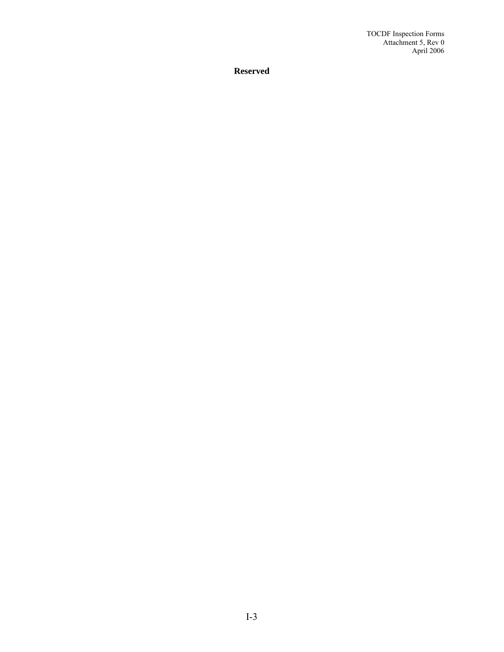TOCDF Inspection Forms Attachment 5, Rev 0 April 2006

**Reserved**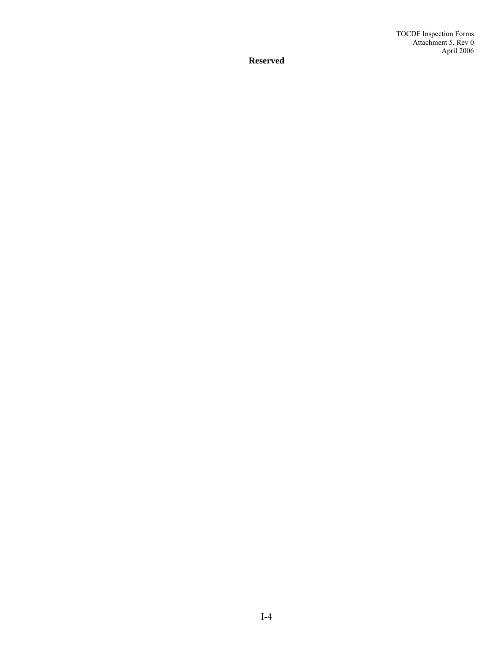**Reserved**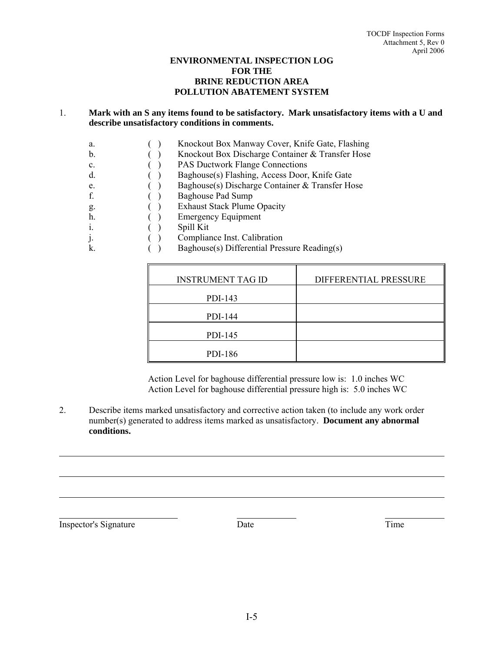## **ENVIRONMENTAL INSPECTION LOG FOR THE BRINE REDUCTION AREA POLLUTION ABATEMENT SYSTEM**

## 1. **Mark with an S any items found to be satisfactory. Mark unsatisfactory items with a U and describe unsatisfactory conditions in comments.**

- a. ( ) Knockout Box Manway Cover, Knife Gate, Flashing
- b. ( ) Knockout Box Discharge Container & Transfer Hose
- c. ( ) PAS Ductwork Flange Connections
- d. ( ) Baghouse(s) Flashing, Access Door, Knife Gate
- e. ( ) Baghouse(s) Discharge Container & Transfer Hose
- f. ( ) Baghouse Pad Sump
- g. ( ) Exhaust Stack Plume Opacity
- h. ( ) Emergency Equipment
- i. ( ) Spill Kit
- j. ( ) Compliance Inst. Calibration
- k. ( ) Baghouse(s) Differential Pressure Reading(s)

| <b>INSTRUMENT TAG ID</b> | DIFFERENTIAL PRESSURE |
|--------------------------|-----------------------|
| PDI-143                  |                       |
| PDI-144                  |                       |
| PDI-145                  |                       |
| PDI-186                  |                       |

Action Level for baghouse differential pressure low is: 1.0 inches WC Action Level for baghouse differential pressure high is: 5.0 inches WC

2. Describe items marked unsatisfactory and corrective action taken (to include any work order number(s) generated to address items marked as unsatisfactory. **Document any abnormal conditions.** 

Inspector's Signature Date Date Time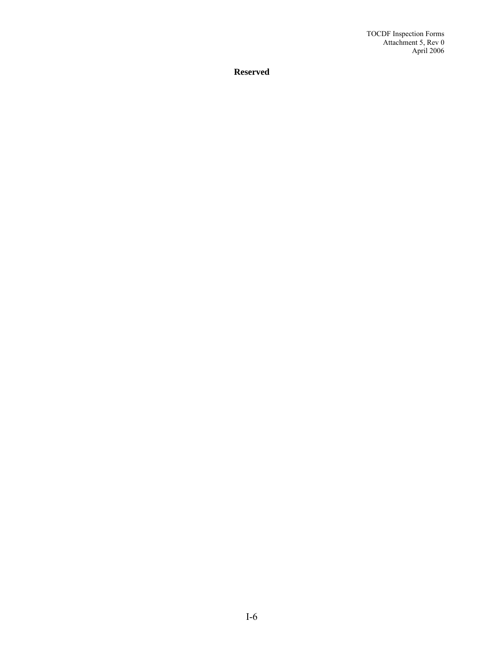TOCDF Inspection Forms Attachment 5, Rev 0 April 2006

**Reserved**